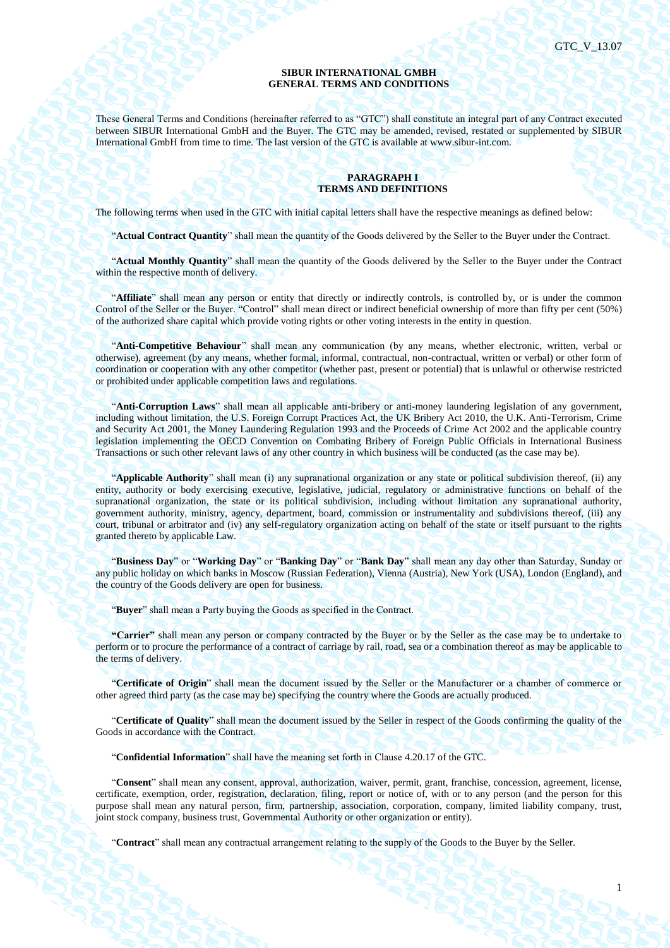1

#### **SIBUR INTERNATIONAL GMBH GENERAL TERMS AND CONDITIONS**

These General Terms and Conditions (hereinafter referred to as "GTC") shall constitute an integral part of any Contract executed between SIBUR International GmbH and the Buyer. The GTC may be amended, revised, restated or supplemented by SIBUR International GmbH from time to time. The last version of the GTC is available at www.sibur-int.com.

## **PARAGRAPH I TERMS AND DEFINITIONS**

The following terms when used in the GTC with initial capital letters shall have the respective meanings as defined below:

"**Actual Contract Quantity**" shall mean the quantity of the Goods delivered by the Seller to the Buyer under the Contract.

"**Actual Monthly Quantity**" shall mean the quantity of the Goods delivered by the Seller to the Buyer under the Contract within the respective month of delivery.

"**Affiliate**" shall mean any person or entity that directly or indirectly controls, is controlled by, or is under the common Control of the Seller or the Buyer. "Control" shall mean direct or indirect beneficial ownership of more than fifty per cent (50%) of the authorized share capital which provide voting rights or other voting interests in the entity in question.

"**Anti-Competitive Behaviour**" shall mean any communication (by any means, whether electronic, written, verbal or otherwise), agreement (by any means, whether formal, informal, contractual, non-contractual, written or verbal) or other form of coordination or cooperation with any other competitor (whether past, present or potential) that is unlawful or otherwise restricted or prohibited under applicable competition laws and regulations.

"**Anti-Corruption Laws**" shall mean all applicable anti-bribery or anti-money laundering legislation of any government, including without limitation, the U.S. Foreign Corrupt Practices Act, the UK Bribery Act 2010, the U.K. Anti-Terrorism, Crime and Security Act 2001, the Money Laundering Regulation 1993 and the Proceeds of Crime Act 2002 and the applicable country legislation implementing the OECD Convention on Combating Bribery of Foreign Public Officials in International Business Transactions or such other relevant laws of any other country in which business will be conducted (as the case may be).

"**Applicable Authority**" shall mean (i) any supranational organization or any state or political subdivision thereof, (ii) any entity, authority or body exercising executive, legislative, judicial, regulatory or administrative functions on behalf of the supranational organization, the state or its political subdivision, including without limitation any supranational authority, government authority, ministry, agency, department, board, commission or instrumentality and subdivisions thereof, (iii) any court, tribunal or arbitrator and (iv) any self-regulatory organization acting on behalf of the state or itself pursuant to the rights granted thereto by applicable Law.

"**Business Day**" or "**Working Day**" or "**Banking Day**" or "**Bank Day**" shall mean any day other than Saturday, Sunday or any public holiday on which banks in Moscow (Russian Federation), Vienna (Austria), New York (USA), London (England), and the country of the Goods delivery are open for business.

"**Buyer**" shall mean a Party buying the Goods as specified in the Contract.

**"Carrier"** shall mean any person or company contracted by the Buyer or by the Seller as the case may be to undertake to perform or to procure the performance of a contract of carriage by rail, road, sea or a combination thereof as may be applicable to the terms of delivery.

"**Certificate of Origin**" shall mean the document issued by the Seller or the Manufacturer or a chamber of commerce or other agreed third party (as the case may be) specifying the country where the Goods are actually produced.

"**Certificate of Quality**" shall mean the document issued by the Seller in respect of the Goods confirming the quality of the Goods in accordance with the Contract.

"**Confidential Information**" shall have the meaning set forth in Clause 4.20.17 of the GTC.

"**Consent**" shall mean any consent, approval, authorization, waiver, permit, grant, franchise, concession, agreement, license, certificate, exemption, order, registration, declaration, filing, report or notice of, with or to any person (and the person for this purpose shall mean any natural person, firm, partnership, association, corporation, company, limited liability company, trust, joint stock company, business trust, Governmental Authority or other organization or entity).

"**Contract**" shall mean any contractual arrangement relating to the supply of the Goods to the Buyer by the Seller.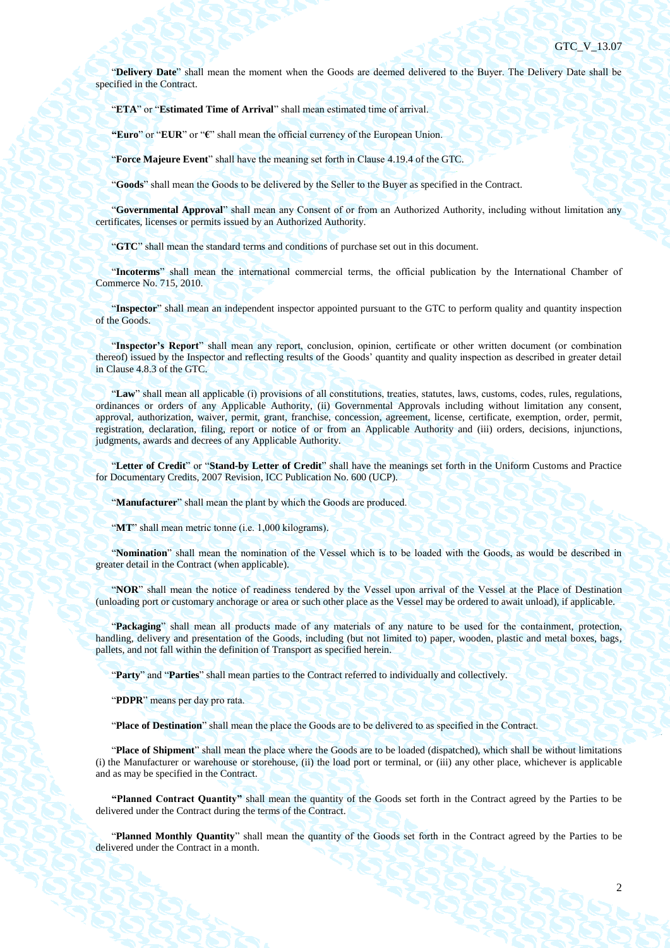"**Delivery Date**" shall mean the moment when the Goods are deemed delivered to the Buyer. The Delivery Date shall be specified in the Contract.

"**ETA**" or "**Estimated Time of Arrival**" shall mean estimated time of arrival.

**"Euro**" or "**EUR**" or "**€**" shall mean the official currency of the European Union.

"**Force Majeure Event**" shall have the meaning set forth in Claus[e 4.19.4](#page-40-0) of the GTC.

"**Goods**" shall mean the Goods to be delivered by the Seller to the Buyer as specified in the Contract.

"**Governmental Approval**" shall mean any Consent of or from an Authorized Authority, including without limitation any certificates, licenses or permits issued by an Authorized Authority.

"**GTC**" shall mean the standard terms and conditions of purchase set out in this document.

"**Incoterms**" shall mean the international commercial terms, the official publication by the International Chamber of Commerce No. 715, 2010.

"**Inspector**" shall mean an independent inspector appointed pursuant to the GTC to perform quality and quantity inspection of the Goods.

"**Inspector's Report**" shall mean any report, conclusion, opinion, certificate or other written document (or combination thereof) issued by the Inspector and reflecting results of the Goods' quantity and quality inspection as described in greater detail in Clause [4.8.3](#page-31-0) of the GTC.

"**Law**" shall mean all applicable (i) provisions of all constitutions, treaties, statutes, laws, customs, codes, rules, regulations, ordinances or orders of any Applicable Authority, (ii) Governmental Approvals including without limitation any consent, approval, authorization, waiver, permit, grant, franchise, concession, agreement, license, certificate, exemption, order, permit, registration, declaration, filing, report or notice of or from an Applicable Authority and (iii) orders, decisions, injunctions, judgments, awards and decrees of any Applicable Authority.

"**Letter of Credit**" or "**Stand-by Letter of Credit**" shall have the meanings set forth in the Uniform Customs and Practice for Documentary Credits, 2007 Revision, ICC Publication No. 600 (UCP).

"**Manufacturer**" shall mean the plant by which the Goods are produced.

"**MT**" shall mean metric tonne (i.e. 1,000 kilograms).

"**Nomination**" shall mean the nomination of the Vessel which is to be loaded with the Goods, as would be described in greater detail in the Contract (when applicable).

"**NOR**" shall mean the notice of readiness tendered by the Vessel upon arrival of the Vessel at the Place of Destination (unloading port or customary anchorage or area or such other place as the Vessel may be ordered to await unload), if applicable.

"**Packaging**" shall mean all products made of any materials of any nature to be used for the containment, protection, handling, delivery and presentation of the Goods, including (but not limited to) paper, wooden, plastic and metal boxes, bags, pallets, and not fall within the definition of Transport as specified herein.

"**Party**" and "**Parties**" shall mean parties to the Contract referred to individually and collectively.

"**PDPR**" means per day pro rata.

"**Place of Destination**" shall mean the place the Goods are to be delivered to as specified in the Contract.

"**Place of Shipment**" shall mean the place where the Goods are to be loaded (dispatched), which shall be without limitations (i) the Manufacturer or warehouse or storehouse, (ii) the load port or terminal, or (iii) any other place, whichever is applicable and as may be specified in the Contract.

**"Planned Contract Quantity"** shall mean the quantity of the Goods set forth in the Contract agreed by the Parties to be delivered under the Contract during the terms of the Contract.

"**Planned Monthly Quantity**" shall mean the quantity of the Goods set forth in the Contract agreed by the Parties to be delivered under the Contract in a month.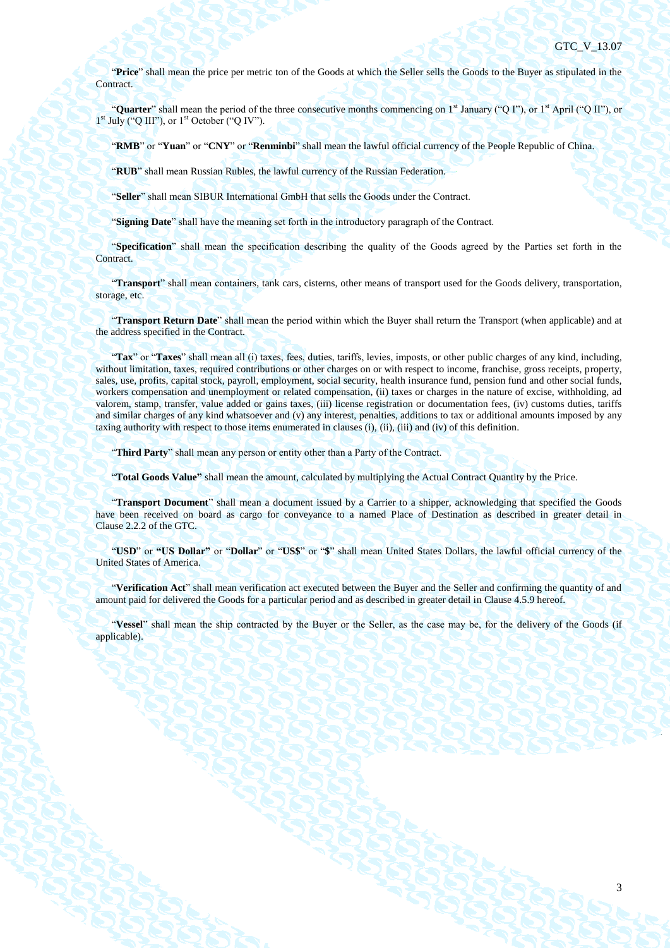"**Price**" shall mean the price per metric ton of the Goods at which the Seller sells the Goods to the Buyer as stipulated in the Contract.

"**Quarter**" shall mean the period of the three consecutive months commencing on 1<sup>st</sup> January ("Q I"), or 1<sup>st</sup> April ("Q II"), or  $1<sup>st</sup>$  July ("Q III"), or  $1<sup>st</sup>$  October ("Q IV").

"**RMB**" or "**Yuan**" or "**CNY**" or "**Renminbi**" shall mean the lawful official currency of the People Republic of China.

"**RUB**" shall mean Russian Rubles, the lawful currency of the Russian Federation.

"**Seller**" shall mean SIBUR International GmbH that sells the Goods under the Contract.

"**Signing Date**" shall have the meaning set forth in the introductory paragraph of the Contract.

"**Specification**" shall mean the specification describing the quality of the Goods agreed by the Parties set forth in the Contract.

"**Transport**" shall mean containers, tank cars, cisterns, other means of transport used for the Goods delivery, transportation, storage, etc.

"**Transport Return Date**" shall mean the period within which the Buyer shall return the Transport (when applicable) and at the address specified in the Contract.

"**Tax**" or "**Taxes**" shall mean all (i) taxes, fees, duties, tariffs, levies, imposts, or other public charges of any kind, including, without limitation, taxes, required contributions or other charges on or with respect to income, franchise, gross receipts, property, sales, use, profits, capital stock, payroll, employment, social security, health insurance fund, pension fund and other social funds, workers compensation and unemployment or related compensation, (ii) taxes or charges in the nature of excise, withholding, ad valorem, stamp, transfer, value added or gains taxes, (iii) license registration or documentation fees, (iv) customs duties, tariffs and similar charges of any kind whatsoever and (v) any interest, penalties, additions to tax or additional amounts imposed by any taxing authority with respect to those items enumerated in clauses (i), (ii), (iii) and (iv) of this definition.

"**Third Party**" shall mean any person or entity other than a Party of the Contract.

"**Total Goods Value"** shall mean the amount, calculated by multiplying the Actual Contract Quantity by the Price.

"**Transport Document**" shall mean a document issued by a Carrier to a shipper, acknowledging that specified the Goods have been received on board as cargo for conveyance to a named Place of Destination as described in greater detail in Clause 2.2.2 of the GTC.

"**USD**" or **"US Dollar"** or "**Dollar**" or "**US\$**" or "**\$**" shall mean United States Dollars, the lawful official currency of the United States of America.

"**Verification Act**" shall mean verification act executed between the Buyer and the Seller and confirming the quantity of and amount paid for delivered the Goods for a particular period and as described in greater detail in Clause [4.5.9](#page-27-0) hereof.

"**Vessel**" shall mean the ship contracted by the Buyer or the Seller, as the case may be, for the delivery of the Goods (if applicable).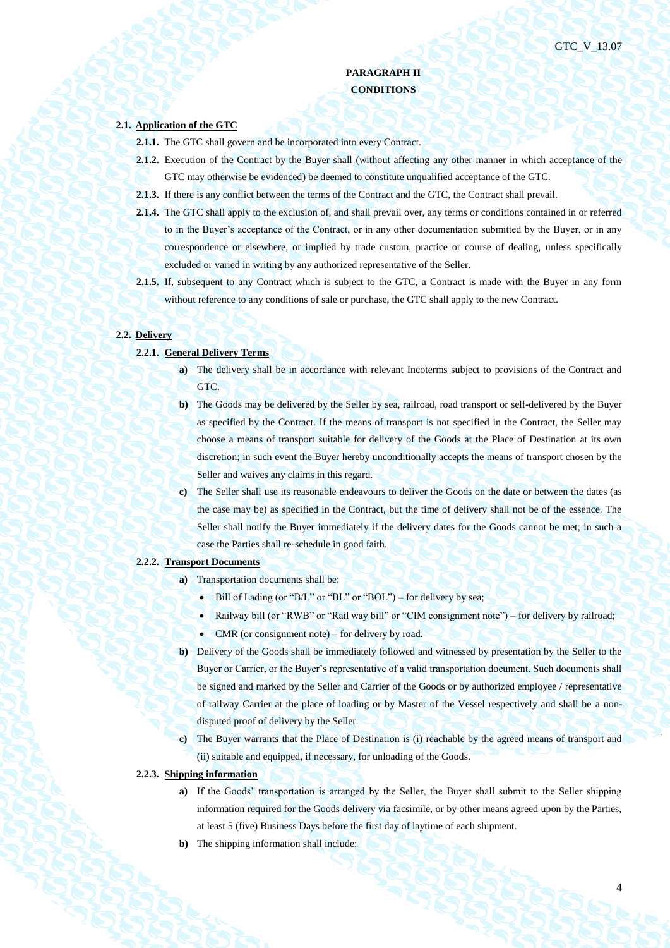4

## **PARAGRAPH II CONDITIONS**

## **2.1. Application of the GTC**

- **2.1.1.** The GTC shall govern and be incorporated into every Contract.
- **2.1.2.** Execution of the Contract by the Buyer shall (without affecting any other manner in which acceptance of the GTC may otherwise be evidenced) be deemed to constitute unqualified acceptance of the GTC.
- **2.1.3.** If there is any conflict between the terms of the Contract and the GTC, the Contract shall prevail.
- **2.1.4.** The GTC shall apply to the exclusion of, and shall prevail over, any terms or conditions contained in or referred to in the Buyer's acceptance of the Contract, or in any other documentation submitted by the Buyer, or in any correspondence or elsewhere, or implied by trade custom, practice or course of dealing, unless specifically excluded or varied in writing by any authorized representative of the Seller.
- **2.1.5.** If, subsequent to any Contract which is subject to the GTC, a Contract is made with the Buyer in any form without reference to any conditions of sale or purchase, the GTC shall apply to the new Contract.

### **2.2. Delivery**

- **2.2.1. General Delivery Terms**
	- **a**) The delivery shall be in accordance with relevant Incoterms subject to provisions of the Contract and GTC.
	- **b)** The Goods may be delivered by the Seller by sea, railroad, road transport or self-delivered by the Buyer as specified by the Contract. If the means of transport is not specified in the Contract, the Seller may choose a means of transport suitable for delivery of the Goods at the Place of Destination at its own discretion; in such event the Buyer hereby unconditionally accepts the means of transport chosen by the Seller and waives any claims in this regard.
	- **c)** The Seller shall use its reasonable endeavours to deliver the Goods on the date or between the dates (as the case may be) as specified in the Contract, but the time of delivery shall not be of the essence. The Seller shall notify the Buyer immediately if the delivery dates for the Goods cannot be met; in such a case the Parties shall re-schedule in good faith.

### **2.2.2. Transport Documents**

- **a)** Transportation documents shall be:
	- $\bullet$  Bill of Lading (or "B/L" or "BL" or "BOL") for delivery by sea;
	- Railway bill (or "RWB" or "Rail way bill" or "CIM consignment note") for delivery by railroad;
	- CMR (or consignment note) for delivery by road.
- **b)** Delivery of the Goods shall be immediately followed and witnessed by presentation by the Seller to the Buyer or Carrier, or the Buyer's representative of a valid transportation document. Such documents shall be signed and marked by the Seller and Carrier of the Goods or by authorized employee / representative of railway Carrier at the place of loading or by Master of the Vessel respectively and shall be a nondisputed proof of delivery by the Seller.
- **c)** The Buyer warrants that the Place of Destination is (i) reachable by the agreed means of transport and (ii) suitable and equipped, if necessary, for unloading of the Goods.
- **2.2.3. Shipping information**
	- **a)** If the Goods' transportation is arranged by the Seller, the Buyer shall submit to the Seller shipping information required for the Goods delivery via facsimile, or by other means agreed upon by the Parties, at least 5 (five) Business Days before the first day of laytime of each shipment.
	- **b)** The shipping information shall include: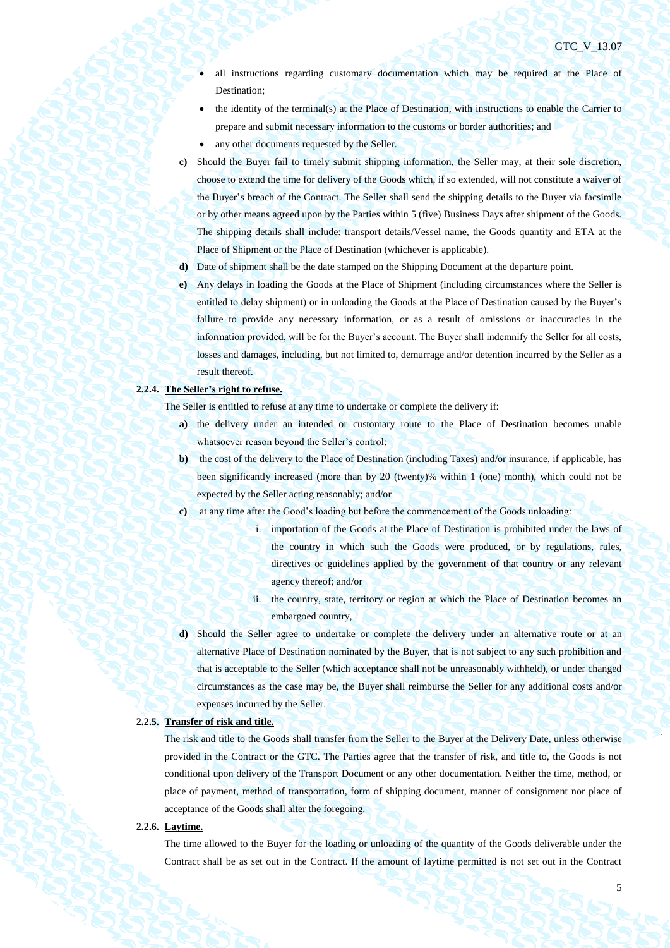- all instructions regarding customary documentation which may be required at the Place of Destination;
- the identity of the terminal(s) at the Place of Destination, with instructions to enable the Carrier to prepare and submit necessary information to the customs or border authorities; and
- any other documents requested by the Seller.
- **c)** Should the Buyer fail to timely submit shipping information, the Seller may, at their sole discretion, choose to extend the time for delivery of the Goods which, if so extended, will not constitute a waiver of the Buyer's breach of the Contract. The Seller shall send the shipping details to the Buyer via facsimile or by other means agreed upon by the Parties within 5 (five) Business Days after shipment of the Goods. The shipping details shall include: transport details/Vessel name, the Goods quantity and ETA at the Place of Shipment or the Place of Destination (whichever is applicable).
- **d)** Date of shipment shall be the date stamped on the Shipping Document at the departure point.
- **e)** Any delays in loading the Goods at the Place of Shipment (including circumstances where the Seller is entitled to delay shipment) or in unloading the Goods at the Place of Destination caused by the Buyer's failure to provide any necessary information, or as a result of omissions or inaccuracies in the information provided, will be for the Buyer's account. The Buyer shall indemnify the Seller for all costs, losses and damages, including, but not limited to, demurrage and/or detention incurred by the Seller as a result thereof.

## **2.2.4. The Seller's right to refuse.**

The Seller is entitled to refuse at any time to undertake or complete the delivery if:

- **a)** the delivery under an intended or customary route to the Place of Destination becomes unable whatsoever reason beyond the Seller's control;
- **b)** the cost of the delivery to the Place of Destination (including Taxes) and/or insurance, if applicable, has been significantly increased (more than by 20 (twenty)% within 1 (one) month), which could not be expected by the Seller acting reasonably; and/or
- **c)** at any time after the Good's loading but before the commencement of the Goods unloading:
	- i. importation of the Goods at the Place of Destination is prohibited under the laws of the country in which such the Goods were produced, or by regulations, rules, directives or guidelines applied by the government of that country or any relevant agency thereof; and/or
	- ii. the country, state, territory or region at which the Place of Destination becomes an embargoed country,
- **d)** Should the Seller agree to undertake or complete the delivery under an alternative route or at an alternative Place of Destination nominated by the Buyer, that is not subject to any such prohibition and that is acceptable to the Seller (which acceptance shall not be unreasonably withheld), or under changed circumstances as the case may be, the Buyer shall reimburse the Seller for any additional costs and/or expenses incurred by the Seller.

## **2.2.5. Transfer of risk and title.**

The risk and title to the Goods shall transfer from the Seller to the Buyer at the Delivery Date, unless otherwise provided in the Contract or the GTC. The Parties agree that the transfer of risk, and title to, the Goods is not conditional upon delivery of the Transport Document or any other documentation. Neither the time, method, or place of payment, method of transportation, form of shipping document, manner of consignment nor place of acceptance of the Goods shall alter the foregoing.

#### **2.2.6. Laytime.**

The time allowed to the Buyer for the loading or unloading of the quantity of the Goods deliverable under the Contract shall be as set out in the Contract. If the amount of laytime permitted is not set out in the Contract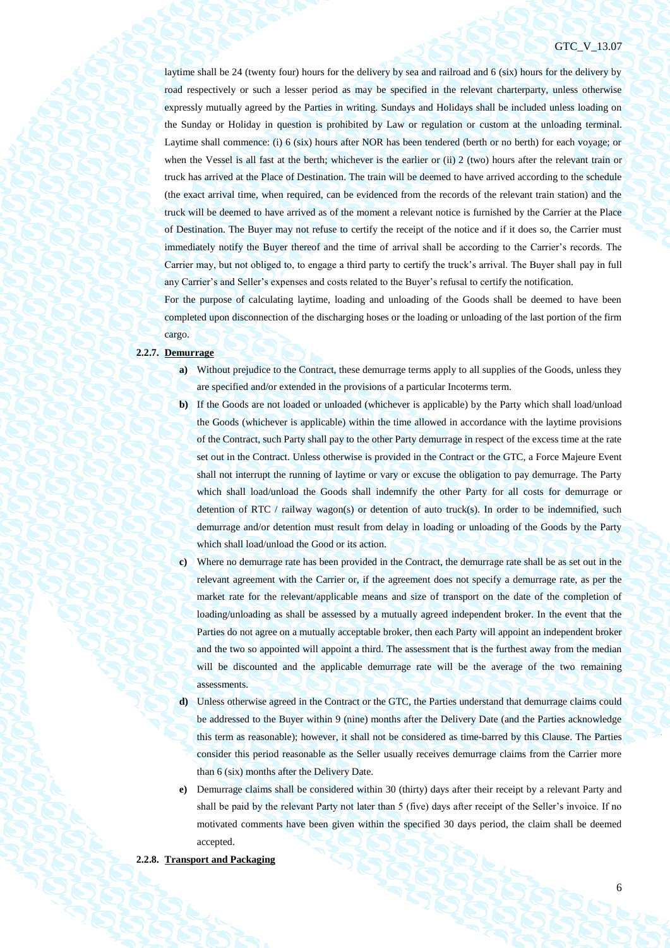## GTC\_V\_13.07

laytime shall be 24 (twenty four) hours for the delivery by sea and railroad and 6 (six) hours for the delivery by road respectively or such a lesser period as may be specified in the relevant charterparty, unless otherwise expressly mutually agreed by the Parties in writing. Sundays and Holidays shall be included unless loading on the Sunday or Holiday in question is prohibited by Law or regulation or custom at the unloading terminal. Laytime shall commence: (i) 6 (six) hours after NOR has been tendered (berth or no berth) for each voyage; or when the Vessel is all fast at the berth; whichever is the earlier or (ii) 2 (two) hours after the relevant train or truck has arrived at the Place of Destination. The train will be deemed to have arrived according to the schedule (the exact arrival time, when required, can be evidenced from the records of the relevant train station) and the truck will be deemed to have arrived as of the moment a relevant notice is furnished by the Carrier at the Place of Destination. The Buyer may not refuse to certify the receipt of the notice and if it does so, the Carrier must immediately notify the Buyer thereof and the time of arrival shall be according to the Carrier's records. The Carrier may, but not obliged to, to engage a third party to certify the truck's arrival. The Buyer shall pay in full any Carrier's and Seller's expenses and costs related to the Buyer's refusal to certify the notification.

For the purpose of calculating laytime, loading and unloading of the Goods shall be deemed to have been completed upon disconnection of the discharging hoses or the loading or unloading of the last portion of the firm cargo.

#### **2.2.7. Demurrage**

- **a)** Without prejudice to the Contract, these demurrage terms apply to all supplies of the Goods, unless they are specified and/or extended in the provisions of a particular Incoterms term.
- **b**) If the Goods are not loaded or unloaded (whichever is applicable) by the Party which shall load/unload the Goods (whichever is applicable) within the time allowed in accordance with the laytime provisions of the Contract, such Party shall pay to the other Party demurrage in respect of the excess time at the rate set out in the Contract. Unless otherwise is provided in the Contract or the GTC, a Force Majeure Event shall not interrupt the running of laytime or vary or excuse the obligation to pay demurrage. The Party which shall load/unload the Goods shall indemnify the other Party for all costs for demurrage or detention of RTC / railway wagon(s) or detention of auto truck(s). In order to be indemnified, such demurrage and/or detention must result from delay in loading or unloading of the Goods by the Party which shall load/unload the Good or its action.
- **c)** Where no demurrage rate has been provided in the Contract, the demurrage rate shall be as set out in the relevant agreement with the Carrier or, if the agreement does not specify a demurrage rate, as per the market rate for the relevant/applicable means and size of transport on the date of the completion of loading/unloading as shall be assessed by a mutually agreed independent broker. In the event that the Parties do not agree on a mutually acceptable broker, then each Party will appoint an independent broker and the two so appointed will appoint a third. The assessment that is the furthest away from the median will be discounted and the applicable demurrage rate will be the average of the two remaining assessments.
- **d)** Unless otherwise agreed in the Contract or the GTC, the Parties understand that demurrage claims could be addressed to the Buyer within 9 (nine) months after the Delivery Date (and the Parties acknowledge this term as reasonable); however, it shall not be considered as time-barred by this Clause. The Parties consider this period reasonable as the Seller usually receives demurrage claims from the Carrier more than 6 (six) months after the Delivery Date.
- **e)** Demurrage claims shall be considered within 30 (thirty) days after their receipt by a relevant Party and shall be paid by the relevant Party not later than 5 (five) days after receipt of the Seller's invoice. If no motivated comments have been given within the specified 30 days period, the claim shall be deemed accepted.

## **2.2.8. Transport and Packaging**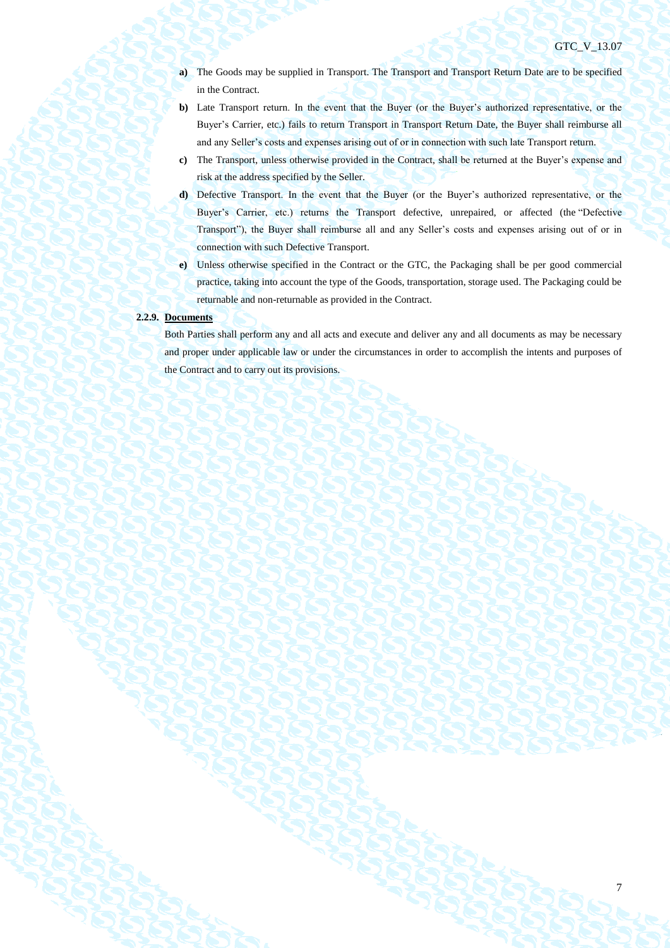- **a)** The Goods may be supplied in Transport. The Transport and Transport Return Date are to be specified in the Contract.
- **b**) Late Transport return. In the event that the Buyer (or the Buyer's authorized representative, or the Buyer's Carrier, etc.) fails to return Transport in Transport Return Date, the Buyer shall reimburse all and any Seller's costs and expenses arising out of or in connection with such late Transport return.
- **c)** The Transport, unless otherwise provided in the Contract, shall be returned at the Buyer's expense and risk at the address specified by the Seller.
- **d)** Defective Transport. In the event that the Buyer (or the Buyer's authorized representative, or the Buyer's Carrier, etc.) returns the Transport defective, unrepaired, or affected (the "Defective Transport"), the Buyer shall reimburse all and any Seller's costs and expenses arising out of or in connection with such Defective Transport.
- **e)** Unless otherwise specified in the Contract or the GTC, the Packaging shall be per good commercial practice, taking into account the type of the Goods, transportation, storage used. The Packaging could be returnable and non-returnable as provided in the Contract.

## **2.2.9. Documents**

Both Parties shall perform any and all acts and execute and deliver any and all documents as may be necessary and proper under applicable law or under the circumstances in order to accomplish the intents and purposes of the Contract and to carry out its provisions.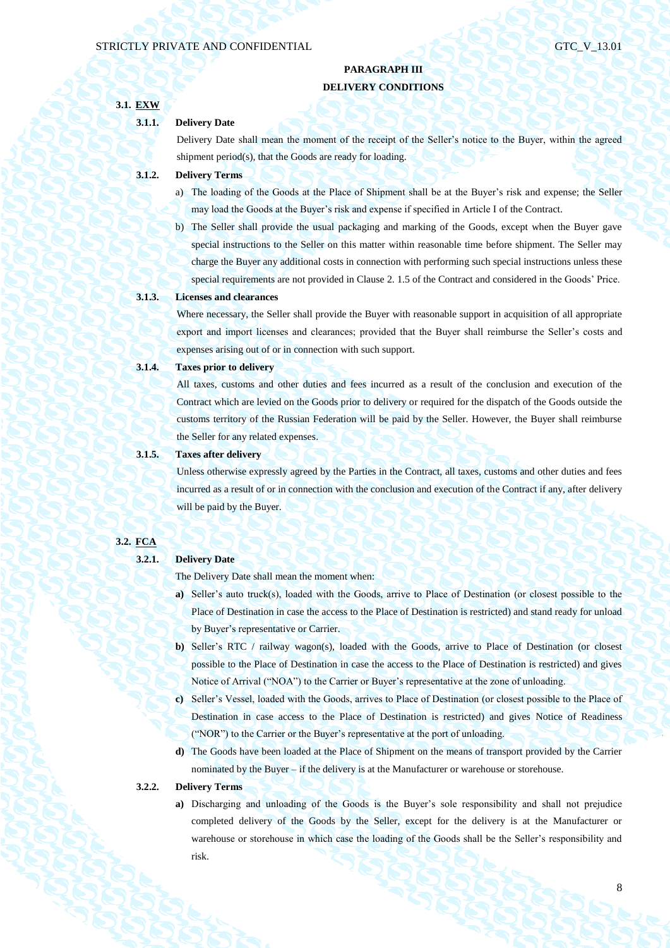## **PARAGRAPH III DELIVERY CONDITIONS**

# **3.1. EXW 3.1.1. Delivery Date** Delivery Date shall mean the moment of the receipt of the Seller's notice to the Buyer, within the agreed shipment period(s), that the Goods are ready for loading. **3.1.2. Delivery Terms** a) The loading of the Goods at the Place of Shipment shall be at the Buyer's risk and expense; the Seller may load the Goods at the Buyer's risk and expense if specified in Article I of the Contract. b) The Seller shall provide the usual packaging and marking of the Goods, except when the Buyer gave special instructions to the Seller on this matter within reasonable time before shipment. The Seller may charge the Buyer any additional costs in connection with performing such special instructions unless these special requirements are not provided in Clause 2. 1.5 of the Contract and considered in the Goods' Price. **3.1.3. Licenses and clearances**  Where necessary, the Seller shall provide the Buyer with reasonable support in acquisition of all appropriate export and import licenses and clearances; provided that the Buyer shall reimburse the Seller's costs and expenses arising out of or in connection with such support. **3.1.4. Taxes prior to delivery** All taxes, customs and other duties and fees incurred as a result of the conclusion and execution of the Contract which are levied on the Goods prior to delivery or required for the dispatch of the Goods outside the customs territory of the Russian Federation will be paid by the Seller. However, the Buyer shall reimburse the Seller for any related expenses. **3.1.5. Taxes after delivery** Unless otherwise expressly agreed by the Parties in the Contract, all taxes, customs and other duties and fees incurred as a result of or in connection with the conclusion and execution of the Contract if any, after delivery will be paid by the Buyer.

## **3.2. FCA**

## **3.2.1. Delivery Date**

The Delivery Date shall mean the moment when:

- **a)** Seller's auto truck(s), loaded with the Goods, arrive to Place of Destination (or closest possible to the Place of Destination in case the access to the Place of Destination is restricted) and stand ready for unload by Buyer's representative or Carrier.
- **b)** Seller's RTC / railway wagon(s), loaded with the Goods, arrive to Place of Destination (or closest possible to the Place of Destination in case the access to the Place of Destination is restricted) and gives Notice of Arrival ("NOA") to the Carrier or Buyer's representative at the zone of unloading.
- **c)** Seller's Vessel, loaded with the Goods, arrives to Place of Destination (or closest possible to the Place of Destination in case access to the Place of Destination is restricted) and gives Notice of Readiness ("NOR") to the Carrier or the Buyer's representative at the port of unloading.
- **d)** The Goods have been loaded at the Place of Shipment on the means of transport provided by the Carrier nominated by the Buyer – if the delivery is at the Manufacturer or warehouse or storehouse.

### **3.2.2. Delivery Terms**

**a)** Discharging and unloading of the Goods is the Buyer's sole responsibility and shall not prejudice completed delivery of the Goods by the Seller, except for the delivery is at the Manufacturer or warehouse or storehouse in which case the loading of the Goods shall be the Seller's responsibility and risk.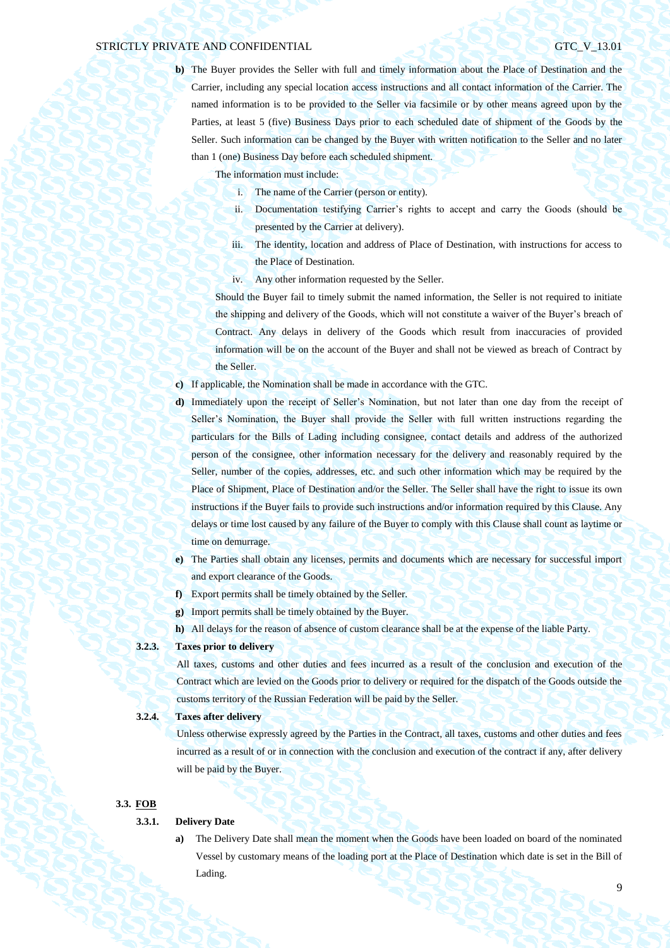**b)** The Buyer provides the Seller with full and timely information about the Place of Destination and the Carrier, including any special location access instructions and all contact information of the Carrier. The named information is to be provided to the Seller via facsimile or by other means agreed upon by the Parties, at least 5 (five) Business Days prior to each scheduled date of shipment of the Goods by the Seller. Such information can be changed by the Buyer with written notification to the Seller and no later than 1 (one) Business Day before each scheduled shipment.

The information must include:

- i. The name of the Carrier (person or entity).
- ii. Documentation testifying Carrier's rights to accept and carry the Goods (should be presented by the Carrier at delivery).
- iii. The identity, location and address of Place of Destination, with instructions for access to the Place of Destination.
- iv. Any other information requested by the Seller.

Should the Buyer fail to timely submit the named information, the Seller is not required to initiate the shipping and delivery of the Goods, which will not constitute a waiver of the Buyer's breach of Contract. Any delays in delivery of the Goods which result from inaccuracies of provided information will be on the account of the Buyer and shall not be viewed as breach of Contract by the Seller.

- **c)** If applicable, the Nomination shall be made in accordance with the GTC.
- **d)** Immediately upon the receipt of Seller's Nomination, but not later than one day from the receipt of Seller's Nomination, the Buyer shall provide the Seller with full written instructions regarding the particulars for the Bills of Lading including consignee, contact details and address of the authorized person of the consignee, other information necessary for the delivery and reasonably required by the Seller, number of the copies, addresses, etc. and such other information which may be required by the Place of Shipment, Place of Destination and/or the Seller. The Seller shall have the right to issue its own instructions if the Buyer fails to provide such instructions and/or information required by this Clause. Any delays or time lost caused by any failure of the Buyer to comply with this Clause shall count as laytime or time on demurrage.
- **e)** The Parties shall obtain any licenses, permits and documents which are necessary for successful import and export clearance of the Goods.
- **f)** Export permits shall be timely obtained by the Seller.
- **g)** Import permits shall be timely obtained by the Buyer.
- **h)** All delays for the reason of absence of custom clearance shall be at the expense of the liable Party.

## **3.2.3. Taxes prior to delivery**

All taxes, customs and other duties and fees incurred as a result of the conclusion and execution of the Contract which are levied on the Goods prior to delivery or required for the dispatch of the Goods outside the customs territory of the Russian Federation will be paid by the Seller.

### **3.2.4. Taxes after delivery**

Unless otherwise expressly agreed by the Parties in the Contract, all taxes, customs and other duties and fees incurred as a result of or in connection with the conclusion and execution of the contract if any, after delivery will be paid by the Buyer.

#### **3.3. FOB**

### **3.3.1. Delivery Date**

**a)** The Delivery Date shall mean the moment when the Goods have been loaded on board of the nominated Vessel by customary means of the loading port at the Place of Destination which date is set in the Bill of Lading.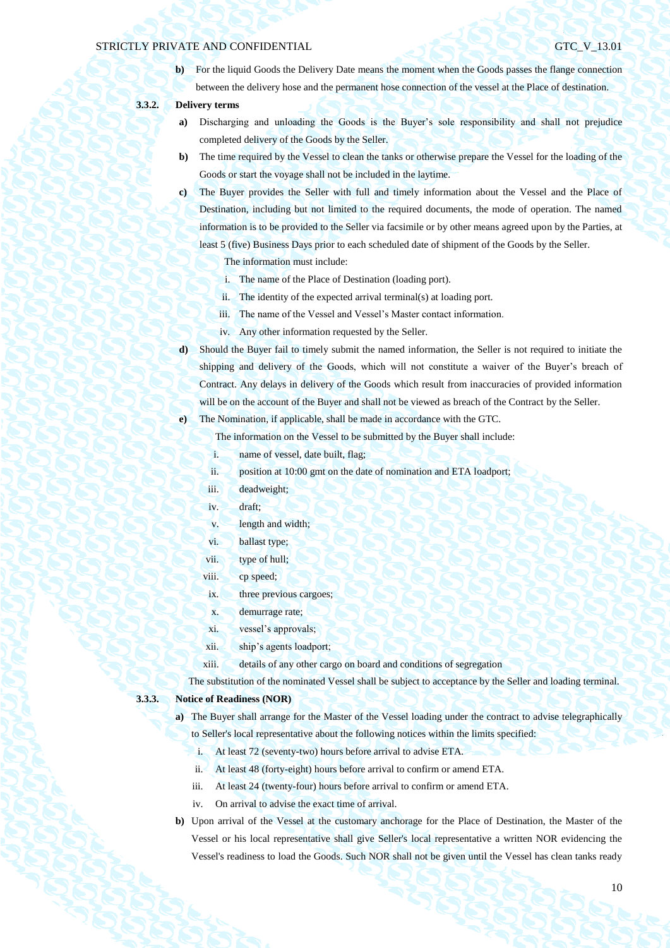**b**) For the liquid Goods the Delivery Date means the moment when the Goods passes the flange connection between the delivery hose and the permanent hose connection of the vessel at the Place of destination.

## **3.3.2. Delivery terms**

- **a)** Discharging and unloading the Goods is the Buyer's sole responsibility and shall not prejudice completed delivery of the Goods by the Seller.
- **b)** The time required by the Vessel to clean the tanks or otherwise prepare the Vessel for the loading of the Goods or start the voyage shall not be included in the laytime.
- **c)** The Buyer provides the Seller with full and timely information about the Vessel and the Place of Destination, including but not limited to the required documents, the mode of operation. The named information is to be provided to the Seller via facsimile or by other means agreed upon by the Parties, at least 5 (five) Business Days prior to each scheduled date of shipment of the Goods by the Seller.

The information must include:

- i. The name of the Place of Destination (loading port).
- ii. The identity of the expected arrival terminal(s) at loading port.
- iii. The name of the Vessel and Vessel's Master contact information.
- iv. Any other information requested by the Seller.
- **d)** Should the Buyer fail to timely submit the named information, the Seller is not required to initiate the shipping and delivery of the Goods, which will not constitute a waiver of the Buyer's breach of Contract. Any delays in delivery of the Goods which result from inaccuracies of provided information will be on the account of the Buyer and shall not be viewed as breach of the Contract by the Seller.

**e)** The Nomination, if applicable, shall be made in accordance with the GTC.

The information on the Vessel to be submitted by the Buyer shall include:

- i. name of vessel, date built, flag;
- ii. position at 10:00 gmt on the date of nomination and ETA loadport;
- iii. deadweight;
- iv. draft;
- v. length and width;
- vi. ballast type;
- vii. type of hull;
- viii. cp speed;
- ix. three previous cargoes;
- x. demurrage rate;
- xi. vessel's approvals;
- xii. ship's agents loadport;
- xiii. details of any other cargo on board and conditions of segregation

The substitution of the nominated Vessel shall be subject to acceptance by the Seller and loading terminal.

## **3.3.3. Notice of Readiness (NOR)**

- **a)** The Buyer shall arrange for the Master of the Vessel loading under the contract to advise telegraphically to Seller's local representative about the following notices within the limits specified:
	- i. At least 72 (seventy-two) hours before arrival to advise ETA.
	- ii. At least 48 (forty-eight) hours before arrival to confirm or amend ETA.
	- iii. At least 24 (twenty-four) hours before arrival to confirm or amend ETA.
	- iv. On arrival to advise the exact time of arrival.
- **b)** Upon arrival of the Vessel at the customary anchorage for the Place of Destination, the Master of the Vessel or his local representative shall give Seller's local representative a written NOR evidencing the Vessel's readiness to load the Goods. Such NOR shall not be given until the Vessel has clean tanks ready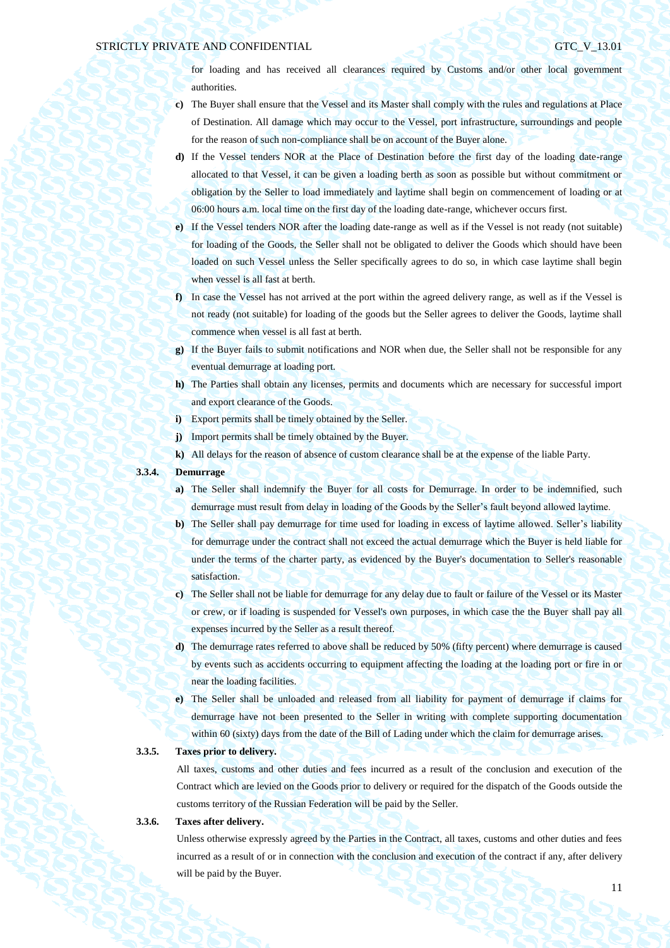for loading and has received all clearances required by Customs and/or other local government authorities.

- **c)** The Buyer shall ensure that the Vessel and its Master shall comply with the rules and regulations at Place of Destination. All damage which may occur to the Vessel, port infrastructure, surroundings and people for the reason of such non-compliance shall be on account of the Buyer alone.
- **d)** If the Vessel tenders NOR at the Place of Destination before the first day of the loading date-range allocated to that Vessel, it can be given a loading berth as soon as possible but without commitment or obligation by the Seller to load immediately and laytime shall begin on commencement of loading or at 06:00 hours a.m. local time on the first day of the loading date-range, whichever occurs first.
- **e)** If the Vessel tenders NOR after the loading date-range as well as if the Vessel is not ready (not suitable) for loading of the Goods, the Seller shall not be obligated to deliver the Goods which should have been loaded on such Vessel unless the Seller specifically agrees to do so, in which case laytime shall begin when vessel is all fast at berth.
- **f)** In case the Vessel has not arrived at the port within the agreed delivery range, as well as if the Vessel is not ready (not suitable) for loading of the goods but the Seller agrees to deliver the Goods, laytime shall commence when vessel is all fast at berth.
- **g)** If the Buyer fails to submit notifications and NOR when due, the Seller shall not be responsible for any eventual demurrage at loading port.
- **h)** The Parties shall obtain any licenses, permits and documents which are necessary for successful import and export clearance of the Goods.
- **i)** Export permits shall be timely obtained by the Seller.
- **j)** Import permits shall be timely obtained by the Buyer.
- **k)** All delays for the reason of absence of custom clearance shall be at the expense of the liable Party.
- **3.3.4. Demurrage**
	- **a**) The Seller shall indemnify the Buyer for all costs for Demurrage. In order to be indemnified, such demurrage must result from delay in loading of the Goods by the Seller's fault beyond allowed laytime.
	- **b)** The Seller shall pay demurrage for time used for loading in excess of laytime allowed. Seller's liability for demurrage under the contract shall not exceed the actual demurrage which the Buyer is held liable for under the terms of the charter party, as evidenced by the Buyer's documentation to Seller's reasonable satisfaction.
	- **c)** The Seller shall not be liable for demurrage for any delay due to fault or failure of the Vessel or its Master or crew, or if loading is suspended for Vessel's own purposes, in which case the the Buyer shall pay all expenses incurred by the Seller as a result thereof.
	- **d)** The demurrage rates referred to above shall be reduced by 50% (fifty percent) where demurrage is caused by events such as accidents occurring to equipment affecting the loading at the loading port or fire in or near the loading facilities.
	- **e)** The Seller shall be unloaded and released from all liability for payment of demurrage if claims for demurrage have not been presented to the Seller in writing with complete supporting documentation within 60 (sixty) days from the date of the Bill of Lading under which the claim for demurrage arises.

## **3.3.5. Taxes prior to delivery.**

All taxes, customs and other duties and fees incurred as a result of the conclusion and execution of the Contract which are levied on the Goods prior to delivery or required for the dispatch of the Goods outside the customs territory of the Russian Federation will be paid by the Seller.

### **3.3.6. Taxes after delivery.**

Unless otherwise expressly agreed by the Parties in the Contract, all taxes, customs and other duties and fees incurred as a result of or in connection with the conclusion and execution of the contract if any, after delivery will be paid by the Buyer.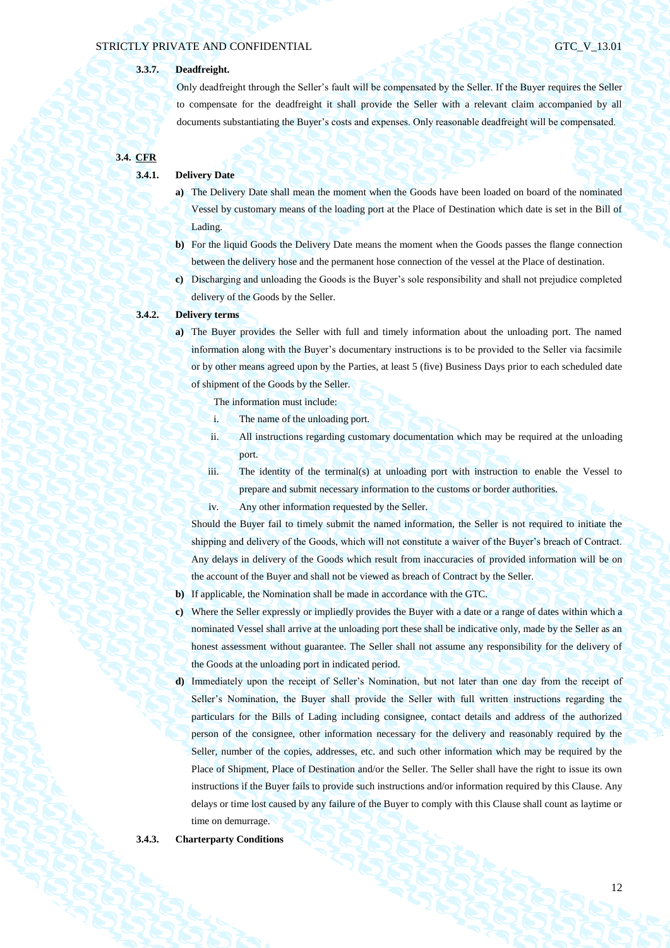## **3.3.7. Deadfreight.**

Only deadfreight through the Seller's fault will be compensated by the Seller. If the Buyer requires the Seller to compensate for the deadfreight it shall provide the Seller with a relevant claim accompanied by all documents substantiating the Buyer's costs and expenses. Only reasonable deadfreight will be compensated.

**3.4. CFR**

### **3.4.1. Delivery Date**

- **a)** The Delivery Date shall mean the moment when the Goods have been loaded on board of the nominated Vessel by customary means of the loading port at the Place of Destination which date is set in the Bill of Lading.
- **b)** For the liquid Goods the Delivery Date means the moment when the Goods passes the flange connection between the delivery hose and the permanent hose connection of the vessel at the Place of destination.
- **c)** Discharging and unloading the Goods is the Buyer's sole responsibility and shall not prejudice completed delivery of the Goods by the Seller.

## **3.4.2. Delivery terms**

**a)** The Buyer provides the Seller with full and timely information about the unloading port. The named information along with the Buyer's documentary instructions is to be provided to the Seller via facsimile or by other means agreed upon by the Parties, at least 5 (five) Business Days prior to each scheduled date of shipment of the Goods by the Seller.

The information must include:

- i. The name of the unloading port.
- ii. All instructions regarding customary documentation which may be required at the unloading port.
- iii. The identity of the terminal(s) at unloading port with instruction to enable the Vessel to prepare and submit necessary information to the customs or border authorities.
- iv. Any other information requested by the Seller.

Should the Buyer fail to timely submit the named information, the Seller is not required to initiate the shipping and delivery of the Goods, which will not constitute a waiver of the Buyer's breach of Contract. Any delays in delivery of the Goods which result from inaccuracies of provided information will be on the account of the Buyer and shall not be viewed as breach of Contract by the Seller.

- **b)** If applicable, the Nomination shall be made in accordance with the GTC.
- **c)** Where the Seller expressly or impliedly provides the Buyer with a date or a range of dates within which a nominated Vessel shall arrive at the unloading port these shall be indicative only, made by the Seller as an honest assessment without guarantee. The Seller shall not assume any responsibility for the delivery of the Goods at the unloading port in indicated period.
- **d)** Immediately upon the receipt of Seller's Nomination, but not later than one day from the receipt of Seller's Nomination, the Buyer shall provide the Seller with full written instructions regarding the particulars for the Bills of Lading including consignee, contact details and address of the authorized person of the consignee, other information necessary for the delivery and reasonably required by the Seller, number of the copies, addresses, etc. and such other information which may be required by the Place of Shipment, Place of Destination and/or the Seller. The Seller shall have the right to issue its own instructions if the Buyer fails to provide such instructions and/or information required by this Clause. Any delays or time lost caused by any failure of the Buyer to comply with this Clause shall count as laytime or time on demurrage.

#### **3.4.3. Charterparty Conditions**

12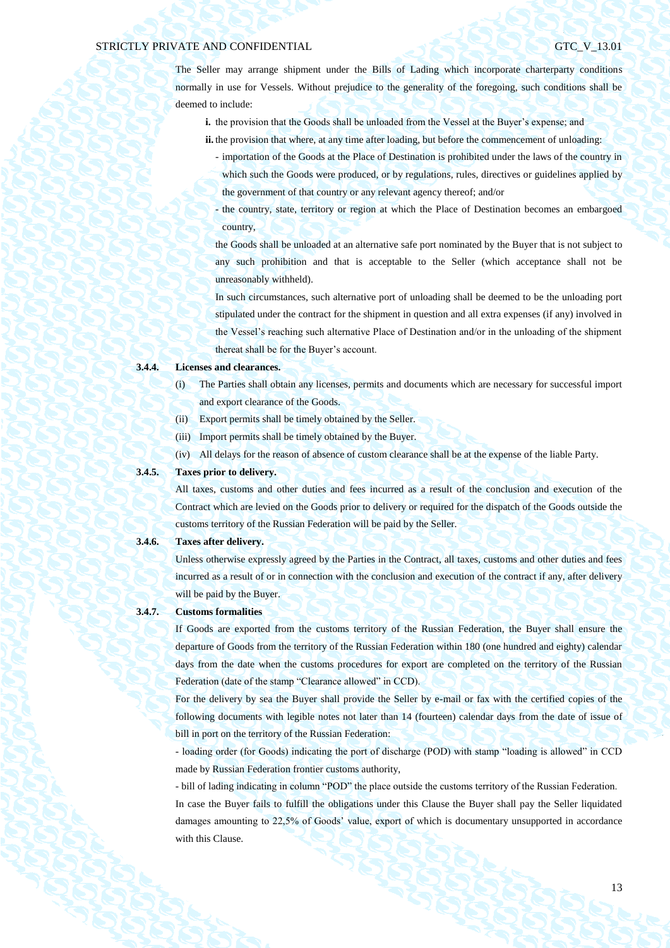The Seller may arrange shipment under the Bills of Lading which incorporate charterparty conditions normally in use for Vessels. Without prejudice to the generality of the foregoing, such conditions shall be deemed to include:

- **i.** the provision that the Goods shall be unloaded from the Vessel at the Buyer's expense; and
- **ii.** the provision that where, at any time after loading, but before the commencement of unloading:
	- importation of the Goods at the Place of Destination is prohibited under the laws of the country in which such the Goods were produced, or by regulations, rules, directives or guidelines applied by the government of that country or any relevant agency thereof; and/or
	- the country, state, territory or region at which the Place of Destination becomes an embargoed country,

the Goods shall be unloaded at an alternative safe port nominated by the Buyer that is not subject to any such prohibition and that is acceptable to the Seller (which acceptance shall not be unreasonably withheld).

In such circumstances, such alternative port of unloading shall be deemed to be the unloading port stipulated under the contract for the shipment in question and all extra expenses (if any) involved in the Vessel's reaching such alternative Place of Destination and/or in the unloading of the shipment thereat shall be for the Buyer's account.

### **3.4.4. Licenses and clearances.**

- (i) The Parties shall obtain any licenses, permits and documents which are necessary for successful import and export clearance of the Goods.
- (ii) Export permits shall be timely obtained by the Seller.
- (iii) Import permits shall be timely obtained by the Buyer.
- (iv) All delays for the reason of absence of custom clearance shall be at the expense of the liable Party.

## **3.4.5. Taxes prior to delivery.**

All taxes, customs and other duties and fees incurred as a result of the conclusion and execution of the Contract which are levied on the Goods prior to delivery or required for the dispatch of the Goods outside the customs territory of the Russian Federation will be paid by the Seller.

### **3.4.6. Taxes after delivery.**

Unless otherwise expressly agreed by the Parties in the Contract, all taxes, customs and other duties and fees incurred as a result of or in connection with the conclusion and execution of the contract if any, after delivery will be paid by the Buyer.

#### **3.4.7. Customs formalities**

If Goods are exported from the customs territory of the Russian Federation, the Buyer shall ensure the departure of Goods from the territory of the Russian Federation within 180 (one hundred and eighty) calendar days from the date when the customs procedures for export are completed on the territory of the Russian Federation (date of the stamp "Clearance allowed" in CCD).

For the delivery by sea the Buyer shall provide the Seller by e-mail or fax with the certified copies of the following documents with legible notes not later than 14 (fourteen) calendar days from the date of issue of bill in port on the territory of the Russian Federation:

- loading order (for Goods) indicating the port of discharge (POD) with stamp "loading is allowed" in CCD made by Russian Federation frontier customs authority,

- bill of lading indicating in column "POD" the place outside the customs territory of the Russian Federation. In case the Buyer fails to fulfill the obligations under this Clause the Buyer shall pay the Seller liquidated damages amounting to 22,5% of Goods' value, export of which is documentary unsupported in accordance with this Clause.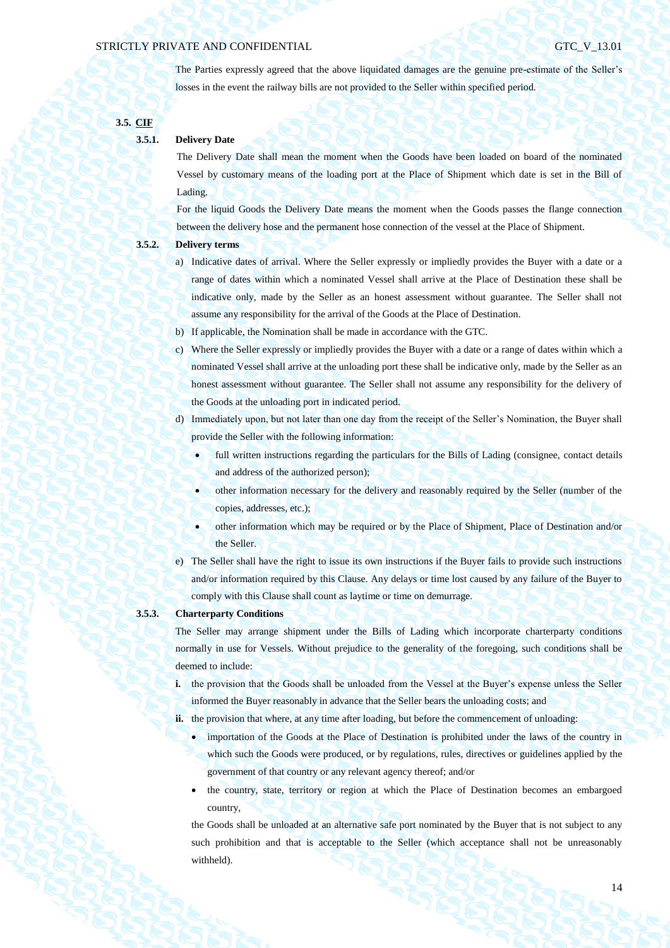The Parties expressly agreed that the above liquidated damages are the genuine pre-estimate of the Seller's losses in the event the railway bills are not provided to the Seller within specified period.

**3.5. CIF**

## **3.5.1. Delivery Date**

The Delivery Date shall mean the moment when the Goods have been loaded on board of the nominated Vessel by customary means of the loading port at the Place of Shipment which date is set in the Bill of Lading.

For the liquid Goods the Delivery Date means the moment when the Goods passes the flange connection between the delivery hose and the permanent hose connection of the vessel at the Place of Shipment.

## **3.5.2. Delivery terms**

- a) Indicative dates of arrival. Where the Seller expressly or impliedly provides the Buyer with a date or a range of dates within which a nominated Vessel shall arrive at the Place of Destination these shall be indicative only, made by the Seller as an honest assessment without guarantee. The Seller shall not assume any responsibility for the arrival of the Goods at the Place of Destination.
- b) If applicable, the Nomination shall be made in accordance with the GTC.
- c) Where the Seller expressly or impliedly provides the Buyer with a date or a range of dates within which a nominated Vessel shall arrive at the unloading port these shall be indicative only, made by the Seller as an honest assessment without guarantee. The Seller shall not assume any responsibility for the delivery of the Goods at the unloading port in indicated period.
- d) Immediately upon, but not later than one day from the receipt of the Seller's Nomination, the Buyer shall provide the Seller with the following information:
	- full written instructions regarding the particulars for the Bills of Lading (consignee, contact details and address of the authorized person);
		- other information necessary for the delivery and reasonably required by the Seller (number of the copies, addresses, etc.);
	- other information which may be required or by the Place of Shipment, Place of Destination and/or the Seller.
- e) The Seller shall have the right to issue its own instructions if the Buyer fails to provide such instructions and/or information required by this Clause. Any delays or time lost caused by any failure of the Buyer to comply with this Clause shall count as laytime or time on demurrage.

## **3.5.3. Charterparty Conditions**

The Seller may arrange shipment under the Bills of Lading which incorporate charterparty conditions normally in use for Vessels. Without prejudice to the generality of the foregoing, such conditions shall be deemed to include:

**i.** the provision that the Goods shall be unloaded from the Vessel at the Buyer's expense unless the Seller informed the Buyer reasonably in advance that the Seller bears the unloading costs; and

ii. the provision that where, at any time after loading, but before the commencement of unloading:

- importation of the Goods at the Place of Destination is prohibited under the laws of the country in which such the Goods were produced, or by regulations, rules, directives or guidelines applied by the government of that country or any relevant agency thereof; and/or
- the country, state, territory or region at which the Place of Destination becomes an embargoed country,

the Goods shall be unloaded at an alternative safe port nominated by the Buyer that is not subject to any such prohibition and that is acceptable to the Seller (which acceptance shall not be unreasonably withheld).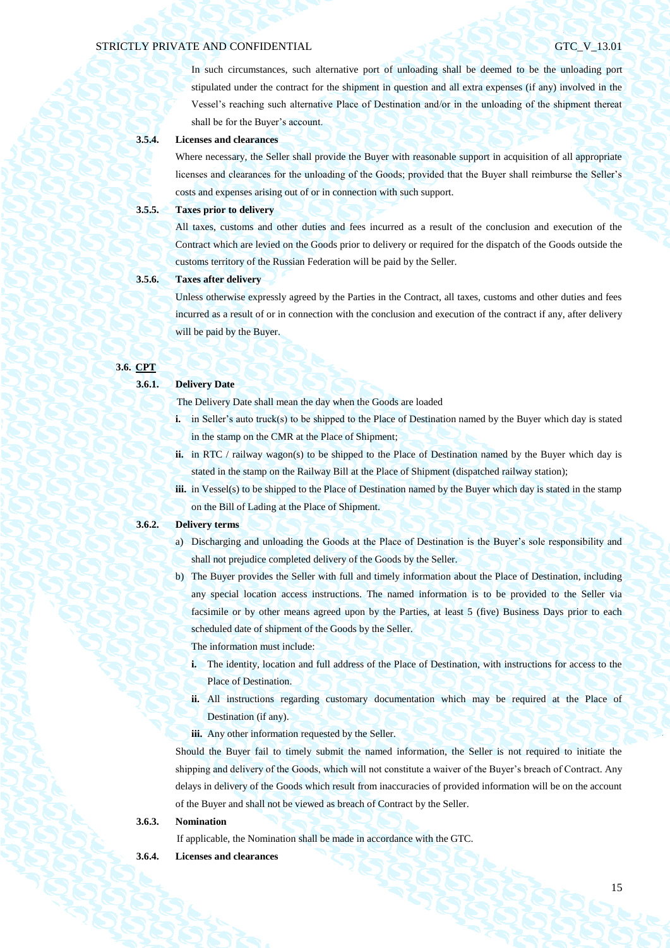In such circumstances, such alternative port of unloading shall be deemed to be the unloading port stipulated under the contract for the shipment in question and all extra expenses (if any) involved in the Vessel's reaching such alternative Place of Destination and/or in the unloading of the shipment thereat shall be for the Buyer's account.

### **3.5.4. Licenses and clearances**

Where necessary, the Seller shall provide the Buyer with reasonable support in acquisition of all appropriate licenses and clearances for the unloading of the Goods; provided that the Buyer shall reimburse the Seller's costs and expenses arising out of or in connection with such support.

### **3.5.5. Taxes prior to delivery**

All taxes, customs and other duties and fees incurred as a result of the conclusion and execution of the Contract which are levied on the Goods prior to delivery or required for the dispatch of the Goods outside the customs territory of the Russian Federation will be paid by the Seller.

## **3.5.6. Taxes after delivery**

Unless otherwise expressly agreed by the Parties in the Contract, all taxes, customs and other duties and fees incurred as a result of or in connection with the conclusion and execution of the contract if any, after delivery will be paid by the Buyer.

## **3.6. CPT**

#### **3.6.1. Delivery Date**

The Delivery Date shall mean the day when the Goods are loaded

- **i.** in Seller's auto truck(s) to be shipped to the Place of Destination named by the Buyer which day is stated in the stamp on the CMR at the Place of Shipment;
- **ii.** in RTC / railway wagon(s) to be shipped to the Place of Destination named by the Buyer which day is stated in the stamp on the Railway Bill at the Place of Shipment (dispatched railway station);
- **iii.** in Vessel(s) to be shipped to the Place of Destination named by the Buyer which day is stated in the stamp on the Bill of Lading at the Place of Shipment.

## **3.6.2. Delivery terms**

- a) Discharging and unloading the Goods at the Place of Destination is the Buyer's sole responsibility and shall not prejudice completed delivery of the Goods by the Seller.
- b) The Buyer provides the Seller with full and timely information about the Place of Destination, including any special location access instructions. The named information is to be provided to the Seller via facsimile or by other means agreed upon by the Parties, at least 5 (five) Business Days prior to each scheduled date of shipment of the Goods by the Seller.

The information must include:

- **i.** The identity, location and full address of the Place of Destination, with instructions for access to the Place of Destination.
- **ii.** All instructions regarding customary documentation which may be required at the Place of Destination (if any).
- iii. Any other information requested by the Seller.

Should the Buyer fail to timely submit the named information, the Seller is not required to initiate the shipping and delivery of the Goods, which will not constitute a waiver of the Buyer's breach of Contract. Any delays in delivery of the Goods which result from inaccuracies of provided information will be on the account of the Buyer and shall not be viewed as breach of Contract by the Seller.

### **3.6.3. Nomination**

If applicable, the Nomination shall be made in accordance with the GTC.

**3.6.4. Licenses and clearances**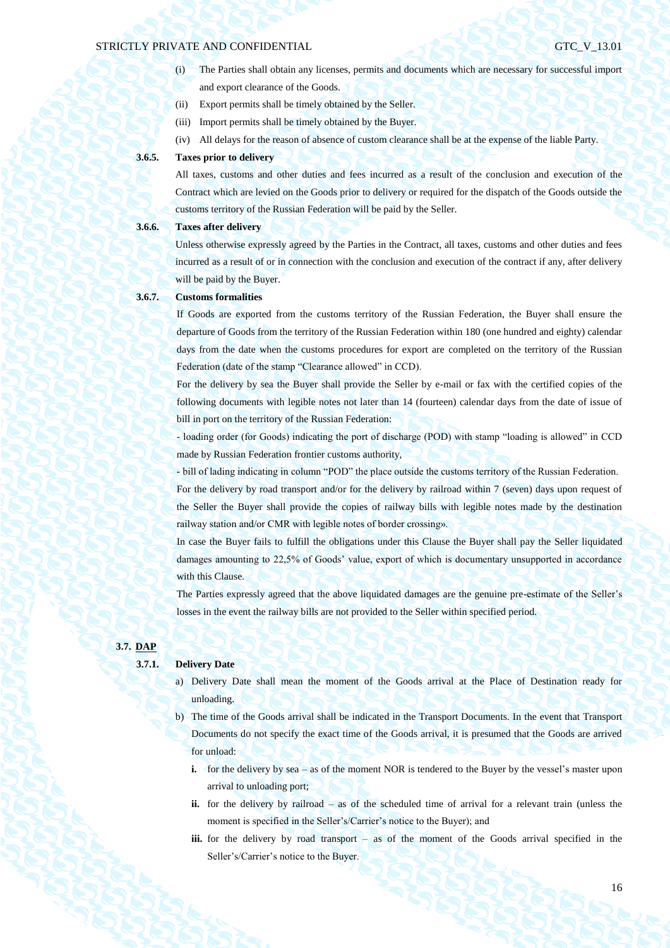- (i) The Parties shall obtain any licenses, permits and documents which are necessary for successful import and export clearance of the Goods.
- (ii) Export permits shall be timely obtained by the Seller.
- (iii) Import permits shall be timely obtained by the Buyer.
- (iv) All delays for the reason of absence of custom clearance shall be at the expense of the liable Party.

## **3.6.5. Taxes prior to delivery**

All taxes, customs and other duties and fees incurred as a result of the conclusion and execution of the Contract which are levied on the Goods prior to delivery or required for the dispatch of the Goods outside the customs territory of the Russian Federation will be paid by the Seller.

## **3.6.6. Taxes after delivery**

Unless otherwise expressly agreed by the Parties in the Contract, all taxes, customs and other duties and fees incurred as a result of or in connection with the conclusion and execution of the contract if any, after delivery will be paid by the Buyer.

## **3.6.7. Customs formalities**

If Goods are exported from the customs territory of the Russian Federation, the Buyer shall ensure the departure of Goods from the territory of the Russian Federation within 180 (one hundred and eighty) calendar days from the date when the customs procedures for export are completed on the territory of the Russian Federation (date of the stamp "Clearance allowed" in CCD).

For the delivery by sea the Buyer shall provide the Seller by e-mail or fax with the certified copies of the following documents with legible notes not later than 14 (fourteen) calendar days from the date of issue of bill in port on the territory of the Russian Federation:

- loading order (for Goods) indicating the port of discharge (POD) with stamp "loading is allowed" in CCD made by Russian Federation frontier customs authority,

- bill of lading indicating in column "POD" the place outside the customs territory of the Russian Federation. For the delivery by road transport and/or for the delivery by railroad within 7 (seven) days upon request of the Seller the Buyer shall provide the copies of railway bills with legible notes made by the destination railway station and/or CMR with legible notes of border crossing».

In case the Buyer fails to fulfill the obligations under this Clause the Buyer shall pay the Seller liquidated damages amounting to 22,5% of Goods' value, export of which is documentary unsupported in accordance with this Clause.

The Parties expressly agreed that the above liquidated damages are the genuine pre-estimate of the Seller's losses in the event the railway bills are not provided to the Seller within specified period.

## **3.7. DAP**

## **3.7.1. Delivery Date**

- a) Delivery Date shall mean the moment of the Goods arrival at the Place of Destination ready for unloading.
- b) The time of the Goods arrival shall be indicated in the Transport Documents. In the event that Transport Documents do not specify the exact time of the Goods arrival, it is presumed that the Goods are arrived for unload:
	- **i.** for the delivery by sea as of the moment NOR is tendered to the Buyer by the vessel's master upon arrival to unloading port;
	- **ii.** for the delivery by railroad as of the scheduled time of arrival for a relevant train (unless the moment is specified in the Seller's/Carrier's notice to the Buyer); and
	- **iii.** for the delivery by road transport as of the moment of the Goods arrival specified in the Seller's/Carrier's notice to the Buyer.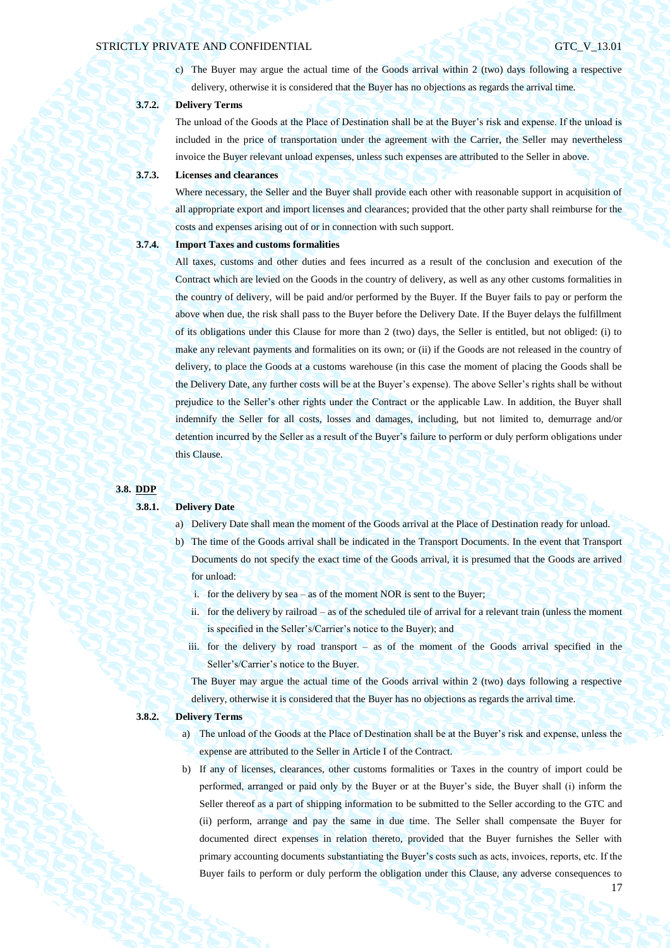c) The Buyer may argue the actual time of the Goods arrival within 2 (two) days following a respective delivery, otherwise it is considered that the Buyer has no objections as regards the arrival time.

## **3.7.2. Delivery Terms**

The unload of the Goods at the Place of Destination shall be at the Buyer's risk and expense. If the unload is included in the price of transportation under the agreement with the Carrier, the Seller may nevertheless invoice the Buyer relevant unload expenses, unless such expenses are attributed to the Seller in above.

## **3.7.3. Licenses and clearances**

Where necessary, the Seller and the Buyer shall provide each other with reasonable support in acquisition of all appropriate export and import licenses and clearances; provided that the other party shall reimburse for the costs and expenses arising out of or in connection with such support.

## **3.7.4. Import Taxes and customs formalities**

All taxes, customs and other duties and fees incurred as a result of the conclusion and execution of the Contract which are levied on the Goods in the country of delivery, as well as any other customs formalities in the country of delivery, will be paid and/or performed by the Buyer. If the Buyer fails to pay or perform the above when due, the risk shall pass to the Buyer before the Delivery Date. If the Buyer delays the fulfillment of its obligations under this Clause for more than 2 (two) days, the Seller is entitled, but not obliged: (i) to make any relevant payments and formalities on its own; or (ii) if the Goods are not released in the country of delivery, to place the Goods at a customs warehouse (in this case the moment of placing the Goods shall be the Delivery Date, any further costs will be at the Buyer's expense). The above Seller's rights shall be without prejudice to the Seller's other rights under the Contract or the applicable Law. In addition, the Buyer shall indemnify the Seller for all costs, losses and damages, including, but not limited to, demurrage and/or detention incurred by the Seller as a result of the Buyer's failure to perform or duly perform obligations under this Clause.

#### **3.8. DDP**

# **3.8.1. Delivery Date**

- a) Delivery Date shall mean the moment of the Goods arrival at the Place of Destination ready for unload.
- b) The time of the Goods arrival shall be indicated in the Transport Documents. In the event that Transport Documents do not specify the exact time of the Goods arrival, it is presumed that the Goods are arrived for unload:
	- i. for the delivery by sea as of the moment NOR is sent to the Buyer;
	- ii. for the delivery by railroad as of the scheduled tile of arrival for a relevant train (unless the moment is specified in the Seller's/Carrier's notice to the Buyer); and
	- iii. for the delivery by road transport as of the moment of the Goods arrival specified in the Seller's/Carrier's notice to the Buyer.

The Buyer may argue the actual time of the Goods arrival within 2 (two) days following a respective delivery, otherwise it is considered that the Buyer has no objections as regards the arrival time.

#### **3.8.2. Delivery Terms**

- a) The unload of the Goods at the Place of Destination shall be at the Buyer's risk and expense, unless the expense are attributed to the Seller in Article I of the Contract.
- b) If any of licenses, clearances, other customs formalities or Taxes in the country of import could be performed, arranged or paid only by the Buyer or at the Buyer's side, the Buyer shall (i) inform the Seller thereof as a part of shipping information to be submitted to the Seller according to the GTC and (ii) perform, arrange and pay the same in due time. The Seller shall compensate the Buyer for documented direct expenses in relation thereto, provided that the Buyer furnishes the Seller with primary accounting documents substantiating the Buyer's costs such as acts, invoices, reports, etc. If the Buyer fails to perform or duly perform the obligation under this Clause, any adverse consequences to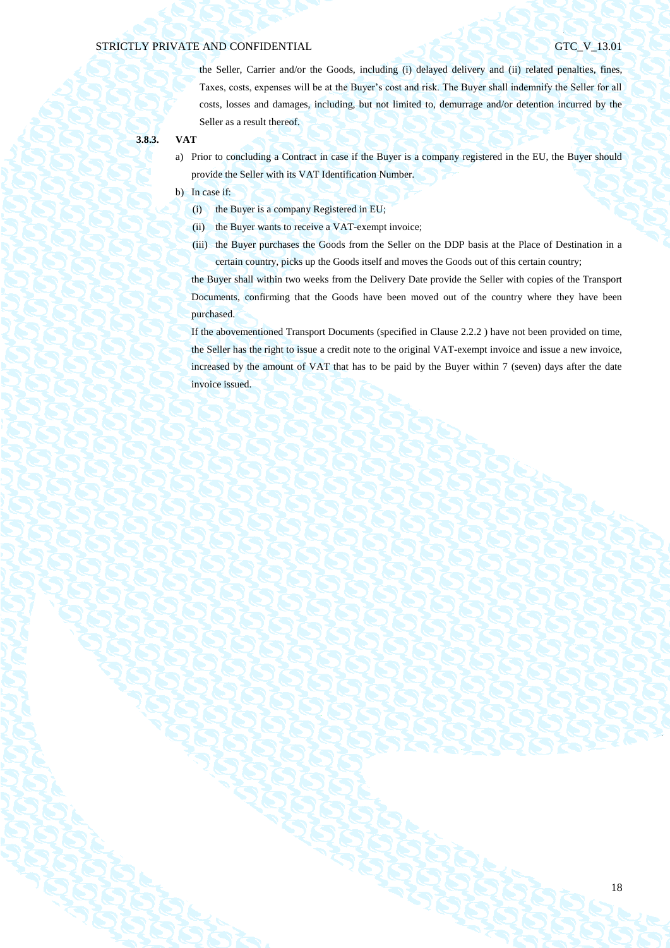the Seller, Carrier and/or the Goods, including (i) delayed delivery and (ii) related penalties, fines, Taxes, costs, expenses will be at the Buyer's cost and risk. The Buyer shall indemnify the Seller for all costs, losses and damages, including, but not limited to, demurrage and/or detention incurred by the Seller as a result thereof.

- **3.8.3. VAT**
	- a) Prior to concluding a Contract in case if the Buyer is a company registered in the EU, the Buyer should provide the Seller with its VAT Identification Number.
	- b) In case if:
		- (i) the Buyer is a company Registered in EU;
		- (ii) the Buyer wants to receive a VAT-exempt invoice;
		- (iii) the Buyer purchases the Goods from the Seller on the DDP basis at the Place of Destination in a certain country, picks up the Goods itself and moves the Goods out of this certain country;

the Buyer shall within two weeks from the Delivery Date provide the Seller with copies of the Transport Documents, confirming that the Goods have been moved out of the country where they have been purchased.

If the abovementioned Transport Documents (specified in Clause 2.2.2 ) have not been provided on time, the Seller has the right to issue a credit note to the original VAT-exempt invoice and issue a new invoice, increased by the amount of VAT that has to be paid by the Buyer within 7 (seven) days after the date invoice issued.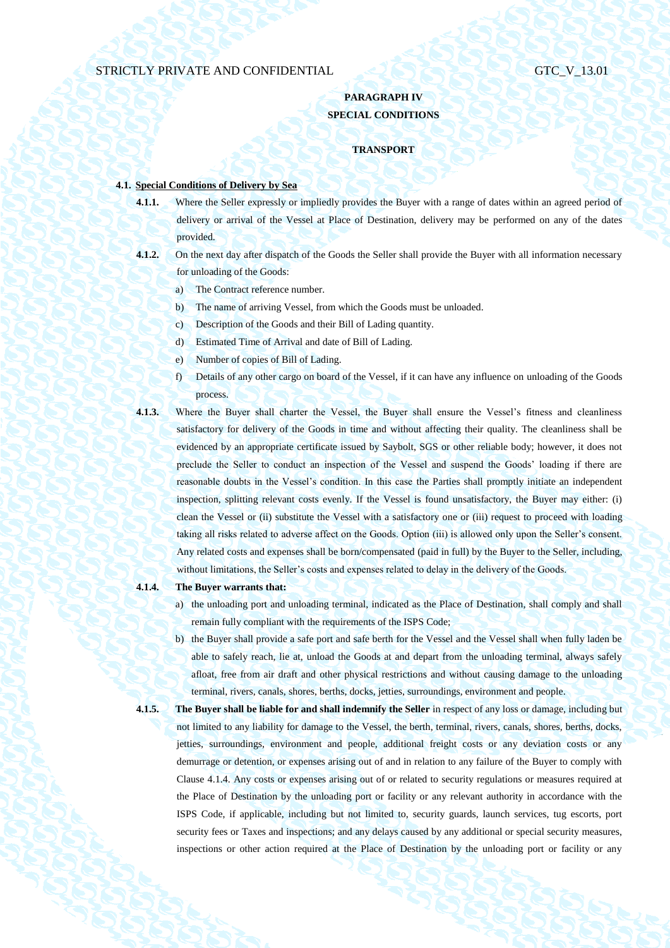## **PARAGRAPH IV SPECIAL CONDITIONS**

#### **TRANSPORT**

## **4.1. Special Conditions of Delivery by Sea**

- **4.1.1.** Where the Seller expressly or impliedly provides the Buyer with a range of dates within an agreed period of delivery or arrival of the Vessel at Place of Destination, delivery may be performed on any of the dates provided.
- **4.1.2.** On the next day after dispatch of the Goods the Seller shall provide the Buyer with all information necessary for unloading of the Goods:
	- a) The Contract reference number.
	- b) The name of arriving Vessel, from which the Goods must be unloaded.
	- c) Description of the Goods and their Bill of Lading quantity.
	- d) Estimated Time of Arrival and date of Bill of Lading.
	- e) Number of copies of Bill of Lading.
	- f) Details of any other cargo on board of the Vessel, if it can have any influence on unloading of the Goods process.
- **4.1.3.** Where the Buyer shall charter the Vessel, the Buyer shall ensure the Vessel's fitness and cleanliness satisfactory for delivery of the Goods in time and without affecting their quality. The cleanliness shall be evidenced by an appropriate certificate issued by Saybolt, SGS or other reliable body; however, it does not preclude the Seller to conduct an inspection of the Vessel and suspend the Goods' loading if there are reasonable doubts in the Vessel's condition. In this case the Parties shall promptly initiate an independent inspection, splitting relevant costs evenly. If the Vessel is found unsatisfactory, the Buyer may either: (i) clean the Vessel or (ii) substitute the Vessel with a satisfactory one or (iii) request to proceed with loading taking all risks related to adverse affect on the Goods. Option (iii) is allowed only upon the Seller's consent. Any related costs and expenses shall be born/compensated (paid in full) by the Buyer to the Seller, including, without limitations, the Seller's costs and expenses related to delay in the delivery of the Goods.
- <span id="page-18-0"></span>**4.1.4. The Buyer warrants that:**
	- a) the unloading port and unloading terminal, indicated as the Place of Destination, shall comply and shall remain fully compliant with the requirements of the ISPS Code;
	- b) the Buyer shall provide a safe port and safe berth for the Vessel and the Vessel shall when fully laden be able to safely reach, lie at, unload the Goods at and depart from the unloading terminal, always safely afloat, free from air draft and other physical restrictions and without causing damage to the unloading terminal, rivers, canals, shores, berths, docks, jetties, surroundings, environment and people.
- 

**4.1.5. The Buyer shall be liable for and shall indemnify the Seller** in respect of any loss or damage, including but not limited to any liability for damage to the Vessel, the berth, terminal, rivers, canals, shores, berths, docks, jetties, surroundings, environment and people, additional freight costs or any deviation costs or any demurrage or detention, or expenses arising out of and in relation to any failure of the Buyer to comply with Clause [4.1.4.](#page-18-0) Any costs or expenses arising out of or related to security regulations or measures required at the Place of Destination by the unloading port or facility or any relevant authority in accordance with the ISPS Code, if applicable, including but not limited to, security guards, launch services, tug escorts, port security fees or Taxes and inspections; and any delays caused by any additional or special security measures, inspections or other action required at the Place of Destination by the unloading port or facility or any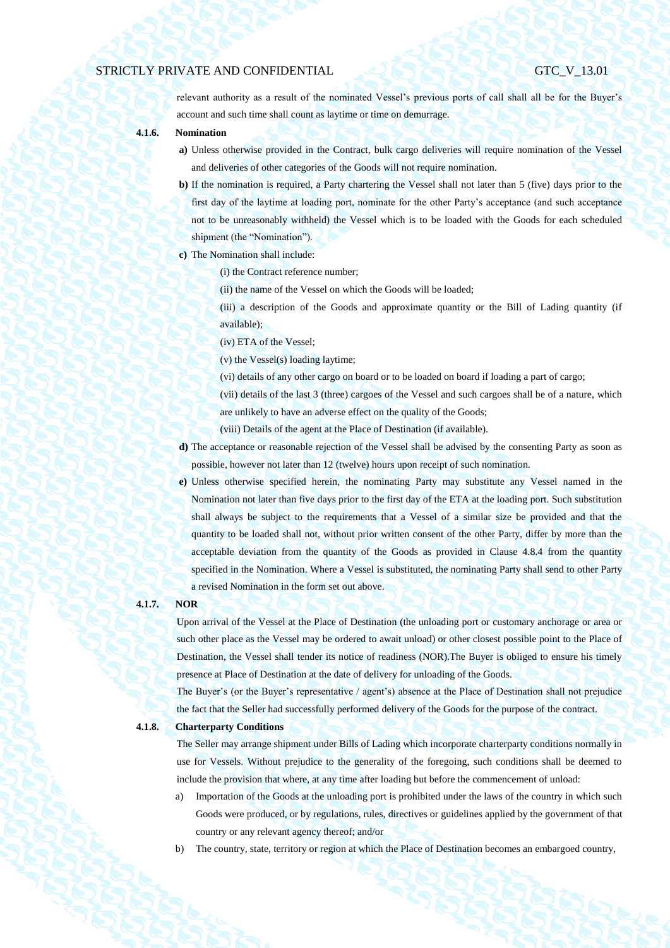relevant authority as a result of the nominated Vessel's previous ports of call shall all be for the Buyer's account and such time shall count as laytime or time on demurrage.

### **4.1.6. Nomination**

- **a)** Unless otherwise provided in the Contract, bulk cargo deliveries will require nomination of the Vessel and deliveries of other categories of the Goods will not require nomination.
- **b)** If the nomination is required, a Party chartering the Vessel shall not later than 5 (five) days prior to the first day of the laytime at loading port, nominate for the other Party's acceptance (and such acceptance not to be unreasonably withheld) the Vessel which is to be loaded with the Goods for each scheduled shipment (the "Nomination").
- **c)** The Nomination shall include:
	- (i) the Contract reference number;
		- (ii) the name of the Vessel on which the Goods will be loaded;
	- (iii) a description of the Goods and approximate quantity or the Bill of Lading quantity (if available);
		- (iv) ETA of the Vessel;
	- (v) the Vessel(s) loading laytime;
	- (vi) details of any other cargo on board or to be loaded on board if loading a part of cargo;
	- (vii) details of the last 3 (three) cargoes of the Vessel and such cargoes shall be of a nature, which are unlikely to have an adverse effect on the quality of the Goods;
	- (viii) Details of the agent at the Place of Destination (if available).
- **d)** The acceptance or reasonable rejection of the Vessel shall be advised by the consenting Party as soon as possible, however not later than 12 (twelve) hours upon receipt of such nomination.
- **e)** Unless otherwise specified herein, the nominating Party may substitute any Vessel named in the Nomination not later than five days prior to the first day of the ETA at the loading port. Such substitution shall always be subject to the requirements that a Vessel of a similar size be provided and that the quantity to be loaded shall not, without prior written consent of the other Party, differ by more than the acceptable deviation from the quantity of the Goods as provided in Clause [4.8.4](#page-32-0) from the quantity specified in the Nomination. Where a Vessel is substituted, the nominating Party shall send to other Party a revised Nomination in the form set out above.

## **4.1.7. NOR**

Upon arrival of the Vessel at the Place of Destination (the unloading port or customary anchorage or area or such other place as the Vessel may be ordered to await unload) or other closest possible point to the Place of Destination, the Vessel shall tender its notice of readiness (NOR).The Buyer is obliged to ensure his timely presence at Place of Destination at the date of delivery for unloading of the Goods.

The Buyer's (or the Buyer's representative / agent's) absence at the Place of Destination shall not prejudice the fact that the Seller had successfully performed delivery of the Goods for the purpose of the contract.

**4.1.8. Charterparty Conditions**

The Seller may arrange shipment under Bills of Lading which incorporate charterparty conditions normally in use for Vessels. Without prejudice to the generality of the foregoing, such conditions shall be deemed to include the provision that where, at any time after loading but before the commencement of unload:

- a) Importation of the Goods at the unloading port is prohibited under the laws of the country in which such Goods were produced, or by regulations, rules, directives or guidelines applied by the government of that country or any relevant agency thereof; and/or
- b) The country, state, territory or region at which the Place of Destination becomes an embargoed country,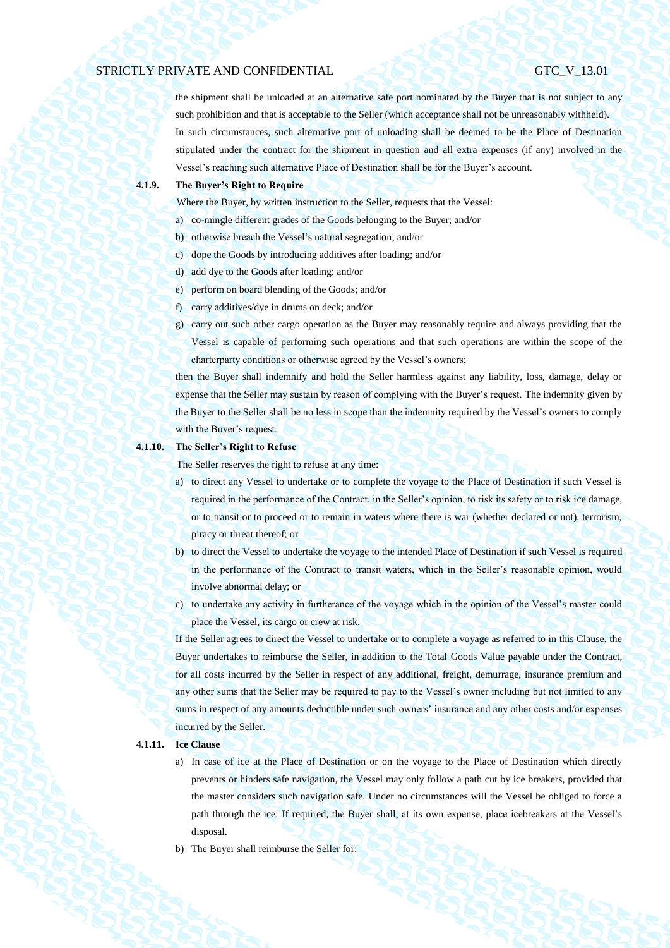the shipment shall be unloaded at an alternative safe port nominated by the Buyer that is not subject to any such prohibition and that is acceptable to the Seller (which acceptance shall not be unreasonably withheld). In such circumstances, such alternative port of unloading shall be deemed to be the Place of Destination stipulated under the contract for the shipment in question and all extra expenses (if any) involved in the Vessel's reaching such alternative Place of Destination shall be for the Buyer's account.

## **4.1.9. The Buyer's Right to Require**

Where the Buyer, by written instruction to the Seller, requests that the Vessel:

- a) co-mingle different grades of the Goods belonging to the Buyer; and/or
- b) otherwise breach the Vessel's natural segregation; and/or
- c) dope the Goods by introducing additives after loading; and/or
- d) add dye to the Goods after loading; and/or
- e) perform on board blending of the Goods; and/or
- f) carry additives/dye in drums on deck; and/or
- g) carry out such other cargo operation as the Buyer may reasonably require and always providing that the Vessel is capable of performing such operations and that such operations are within the scope of the charterparty conditions or otherwise agreed by the Vessel's owners;

then the Buyer shall indemnify and hold the Seller harmless against any liability, loss, damage, delay or expense that the Seller may sustain by reason of complying with the Buyer's request. The indemnity given by the Buyer to the Seller shall be no less in scope than the indemnity required by the Vessel's owners to comply with the Buyer's request.

#### **4.1.10. The Seller's Right to Refuse**

The Seller reserves the right to refuse at any time:

- a) to direct any Vessel to undertake or to complete the voyage to the Place of Destination if such Vessel is required in the performance of the Contract, in the Seller's opinion, to risk its safety or to risk ice damage, or to transit or to proceed or to remain in waters where there is war (whether declared or not), terrorism, piracy or threat thereof; or
- b) to direct the Vessel to undertake the voyage to the intended Place of Destination if such Vessel is required in the performance of the Contract to transit waters, which in the Seller's reasonable opinion, would involve abnormal delay; or
- c) to undertake any activity in furtherance of the voyage which in the opinion of the Vessel's master could place the Vessel, its cargo or crew at risk.

If the Seller agrees to direct the Vessel to undertake or to complete a voyage as referred to in this Clause, the Buyer undertakes to reimburse the Seller, in addition to the Total Goods Value payable under the Contract, for all costs incurred by the Seller in respect of any additional, freight, demurrage, insurance premium and any other sums that the Seller may be required to pay to the Vessel's owner including but not limited to any sums in respect of any amounts deductible under such owners' insurance and any other costs and/or expenses incurred by the Seller.

### **4.1.11. Ice Clause**

- a) In case of ice at the Place of Destination or on the voyage to the Place of Destination which directly prevents or hinders safe navigation, the Vessel may only follow a path cut by ice breakers, provided that the master considers such navigation safe. Under no circumstances will the Vessel be obliged to force a path through the ice. If required, the Buyer shall, at its own expense, place icebreakers at the Vessel's disposal.
- b) The Buyer shall reimburse the Seller for: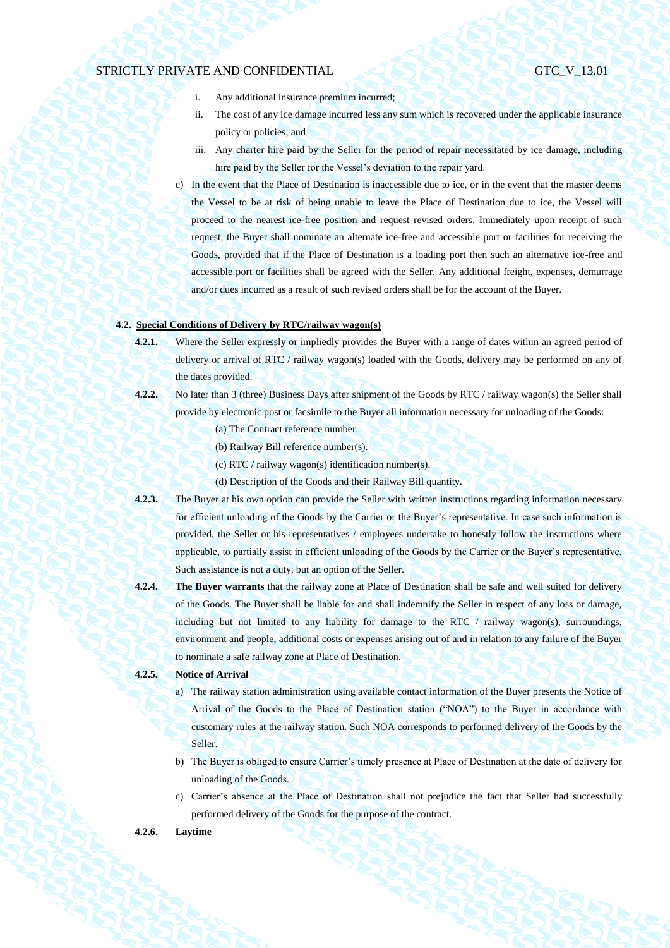- i. Any additional insurance premium incurred;
- ii. The cost of any ice damage incurred less any sum which is recovered under the applicable insurance policy or policies; and
- iii. Any charter hire paid by the Seller for the period of repair necessitated by ice damage, including hire paid by the Seller for the Vessel's deviation to the repair yard.
- c) In the event that the Place of Destination is inaccessible due to ice, or in the event that the master deems the Vessel to be at risk of being unable to leave the Place of Destination due to ice, the Vessel will proceed to the nearest ice-free position and request revised orders. Immediately upon receipt of such request, the Buyer shall nominate an alternate ice-free and accessible port or facilities for receiving the Goods, provided that if the Place of Destination is a loading port then such an alternative ice-free and accessible port or facilities shall be agreed with the Seller. Any additional freight, expenses, demurrage and/or dues incurred as a result of such revised orders shall be for the account of the Buyer.

## **4.2. Special Conditions of Delivery by RTC/railway wagon(s)**

- **4.2.1.** Where the Seller expressly or impliedly provides the Buyer with a range of dates within an agreed period of delivery or arrival of RTC / railway wagon(s) loaded with the Goods, delivery may be performed on any of the dates provided.
- **4.2.2.** No later than 3 (three) Business Days after shipment of the Goods by RTC / railway wagon(s) the Seller shall provide by electronic post or facsimile to the Buyer all information necessary for unloading of the Goods:
	- (a) The Contract reference number.
	- (b) Railway Bill reference number(s).
	- (c) RTC / railway wagon(s) identification number(s).
	- (d) Description of the Goods and their Railway Bill quantity.
- **4.2.3.** The Buyer at his own option can provide the Seller with written instructions regarding information necessary for efficient unloading of the Goods by the Carrier or the Buyer's representative. In case such information is provided, the Seller or his representatives / employees undertake to honestly follow the instructions where applicable, to partially assist in efficient unloading of the Goods by the Carrier or the Buyer's representative. Such assistance is not a duty, but an option of the Seller.
- **4.2.4. The Buyer warrants** that the railway zone at Place of Destination shall be safe and well suited for delivery of the Goods. The Buyer shall be liable for and shall indemnify the Seller in respect of any loss or damage, including but not limited to any liability for damage to the RTC  $/$  railway wagon(s), surroundings, environment and people, additional costs or expenses arising out of and in relation to any failure of the Buyer to nominate a safe railway zone at Place of Destination.

## **4.2.5. Notice of Arrival**

- a) The railway station administration using available contact information of the Buyer presents the Notice of Arrival of the Goods to the Place of Destination station ("NOA") to the Buyer in accordance with customary rules at the railway station. Such NOA corresponds to performed delivery of the Goods by the Seller.
- b) The Buyer is obliged to ensure Carrier's timely presence at Place of Destination at the date of delivery for unloading of the Goods.
- c) Carrier's absence at the Place of Destination shall not prejudice the fact that Seller had successfully performed delivery of the Goods for the purpose of the contract.

## **4.2.6. Laytime**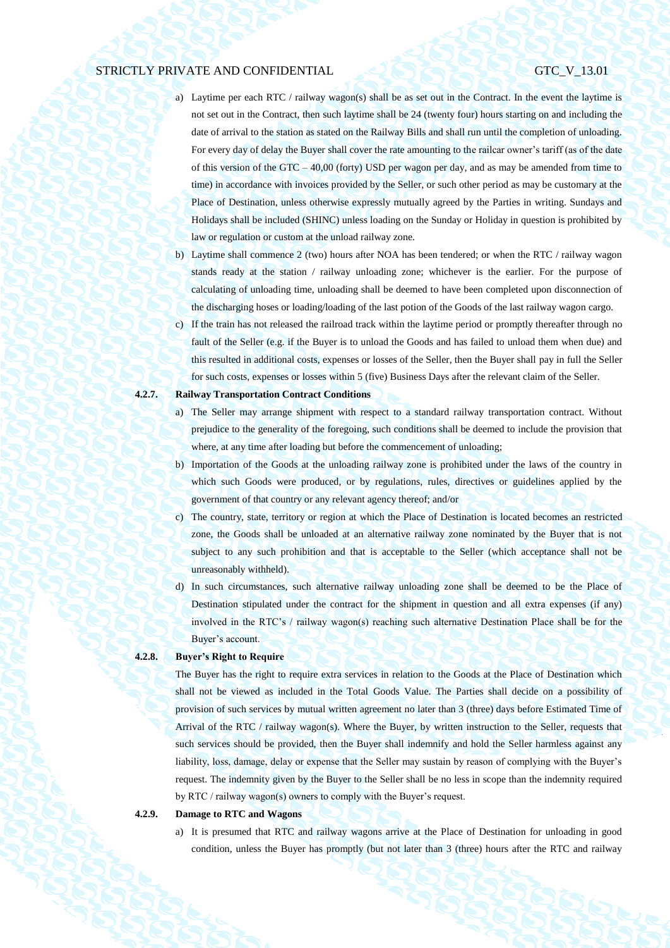- a) Laytime per each RTC / railway wagon(s) shall be as set out in the Contract. In the event the laytime is not set out in the Contract, then such laytime shall be 24 (twenty four) hours starting on and including the date of arrival to the station as stated on the Railway Bills and shall run until the completion of unloading. For every day of delay the Buyer shall cover the rate amounting to the railcar owner's tariff (as of the date of this version of the GTC – 40,00 (forty) USD per wagon per day, and as may be amended from time to time) in accordance with invoices provided by the Seller, or such other period as may be customary at the Place of Destination, unless otherwise expressly mutually agreed by the Parties in writing. Sundays and Holidays shall be included (SHINC) unless loading on the Sunday or Holiday in question is prohibited by law or regulation or custom at the unload railway zone.
- b) Laytime shall commence 2 (two) hours after NOA has been tendered; or when the RTC / railway wagon stands ready at the station / railway unloading zone; whichever is the earlier. For the purpose of calculating of unloading time, unloading shall be deemed to have been completed upon disconnection of the discharging hoses or loading/loading of the last potion of the Goods of the last railway wagon cargo.
- c) If the train has not released the railroad track within the laytime period or promptly thereafter through no fault of the Seller (e.g. if the Buyer is to unload the Goods and has failed to unload them when due) and this resulted in additional costs, expenses or losses of the Seller, then the Buyer shall pay in full the Seller for such costs, expenses or losses within 5 (five) Business Days after the relevant claim of the Seller.

## **4.2.7. Railway Transportation Contract Conditions**

- a) The Seller may arrange shipment with respect to a standard railway transportation contract. Without prejudice to the generality of the foregoing, such conditions shall be deemed to include the provision that where, at any time after loading but before the commencement of unloading;
- b) Importation of the Goods at the unloading railway zone is prohibited under the laws of the country in which such Goods were produced, or by regulations, rules, directives or guidelines applied by the government of that country or any relevant agency thereof; and/or
- c) The country, state, territory or region at which the Place of Destination is located becomes an restricted zone, the Goods shall be unloaded at an alternative railway zone nominated by the Buyer that is not subject to any such prohibition and that is acceptable to the Seller (which acceptance shall not be unreasonably withheld).
- d) In such circumstances, such alternative railway unloading zone shall be deemed to be the Place of Destination stipulated under the contract for the shipment in question and all extra expenses (if any) involved in the RTC's / railway wagon(s) reaching such alternative Destination Place shall be for the Buyer's account.

## **4.2.8. Buyer's Right to Require**

The Buyer has the right to require extra services in relation to the Goods at the Place of Destination which shall not be viewed as included in the Total Goods Value. The Parties shall decide on a possibility of provision of such services by mutual written agreement no later than 3 (three) days before Estimated Time of Arrival of the RTC / railway wagon(s). Where the Buyer, by written instruction to the Seller, requests that such services should be provided, then the Buyer shall indemnify and hold the Seller harmless against any liability, loss, damage, delay or expense that the Seller may sustain by reason of complying with the Buyer's request. The indemnity given by the Buyer to the Seller shall be no less in scope than the indemnity required by RTC / railway wagon(s) owners to comply with the Buyer's request.

#### **4.2.9. Damage to RTC and Wagons**

a) It is presumed that RTC and railway wagons arrive at the Place of Destination for unloading in good condition, unless the Buyer has promptly (but not later than 3 (three) hours after the RTC and railway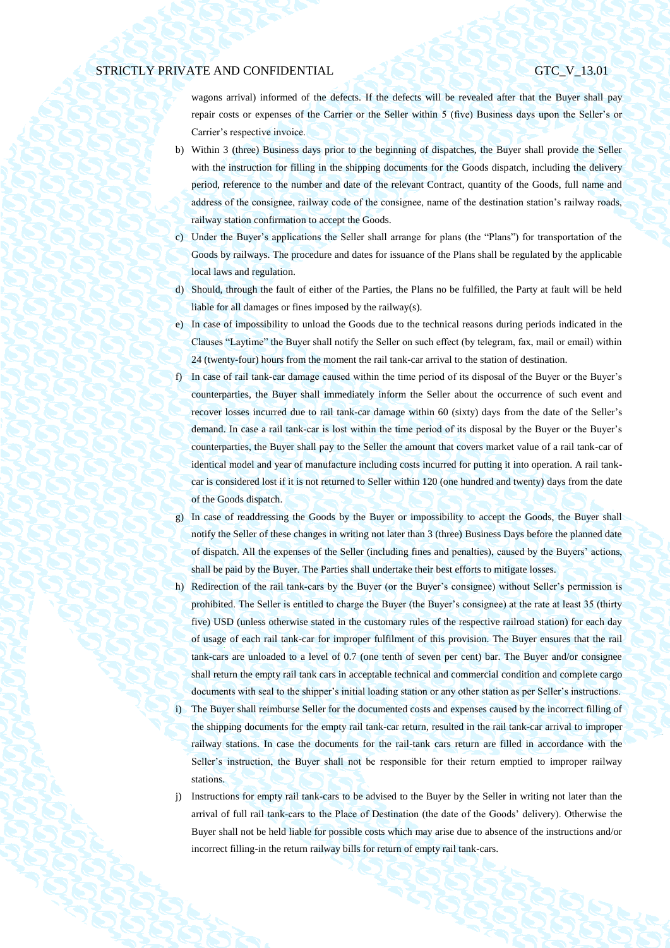wagons arrival) informed of the defects. If the defects will be revealed after that the Buyer shall pay repair costs or expenses of the Carrier or the Seller within 5 (five) Business days upon the Seller's or Carrier's respective invoice.

- b) Within 3 (three) Business days prior to the beginning of dispatches, the Buyer shall provide the Seller with the instruction for filling in the shipping documents for the Goods dispatch, including the delivery period, reference to the number and date of the relevant Contract, quantity of the Goods, full name and address of the consignee, railway code of the consignee, name of the destination station's railway roads, railway station confirmation to accept the Goods.
- c) Under the Buyer's applications the Seller shall arrange for plans (the "Plans") for transportation of the Goods by railways. The procedure and dates for issuance of the Plans shall be regulated by the applicable local laws and regulation.
- d) Should, through the fault of either of the Parties, the Plans no be fulfilled, the Party at fault will be held liable for all damages or fines imposed by the railway(s).
- e) In case of impossibility to unload the Goods due to the technical reasons during periods indicated in the Clauses "Laytime" the Buyer shall notify the Seller on such effect (by telegram, fax, mail or email) within 24 (twenty-four) hours from the moment the rail tank-car arrival to the station of destination.
- f) In case of rail tank-car damage caused within the time period of its disposal of the Buyer or the Buyer's counterparties, the Buyer shall immediately inform the Seller about the occurrence of such event and recover losses incurred due to rail tank-car damage within 60 (sixty) days from the date of the Seller's demand. In case a rail tank-car is lost within the time period of its disposal by the Buyer or the Buyer's counterparties, the Buyer shall pay to the Seller the amount that covers market value of a rail tank-car of identical model and year of manufacture including costs incurred for putting it into operation. A rail tankcar is considered lost if it is not returned to Seller within 120 (one hundred and twenty) days from the date of the Goods dispatch.
- g) In case of readdressing the Goods by the Buyer or impossibility to accept the Goods, the Buyer shall notify the Seller of these changes in writing not later than 3 (three) Business Days before the planned date of dispatch. All the expenses of the Seller (including fines and penalties), caused by the Buyers' actions, shall be paid by the Buyer. The Parties shall undertake their best efforts to mitigate losses.
- h) Redirection of the rail tank-cars by the Buyer (or the Buyer's consignee) without Seller's permission is prohibited. The Seller is entitled to charge the Buyer (the Buyer's consignee) at the rate at least 35 (thirty five) USD (unless otherwise stated in the customary rules of the respective railroad station) for each day of usage of each rail tank-car for improper fulfilment of this provision. The Buyer ensures that the rail tank-cars are unloaded to a level of 0.7 (one tenth of seven per cent) bar. The Buyer and/or consignee shall return the empty rail tank cars in acceptable technical and commercial condition and complete cargo documents with seal to the shipper's initial loading station or any other station as per Seller's instructions. i) The Buyer shall reimburse Seller for the documented costs and expenses caused by the incorrect filling of the shipping documents for the empty rail tank-car return, resulted in the rail tank-car arrival to improper railway stations. In case the documents for the rail-tank cars return are filled in accordance with the Seller's instruction, the Buyer shall not be responsible for their return emptied to improper railway stations.
- j) Instructions for empty rail tank-cars to be advised to the Buyer by the Seller in writing not later than the arrival of full rail tank-cars to the Place of Destination (the date of the Goods' delivery). Otherwise the Buyer shall not be held liable for possible costs which may arise due to absence of the instructions and/or incorrect filling-in the return railway bills for return of empty rail tank-cars.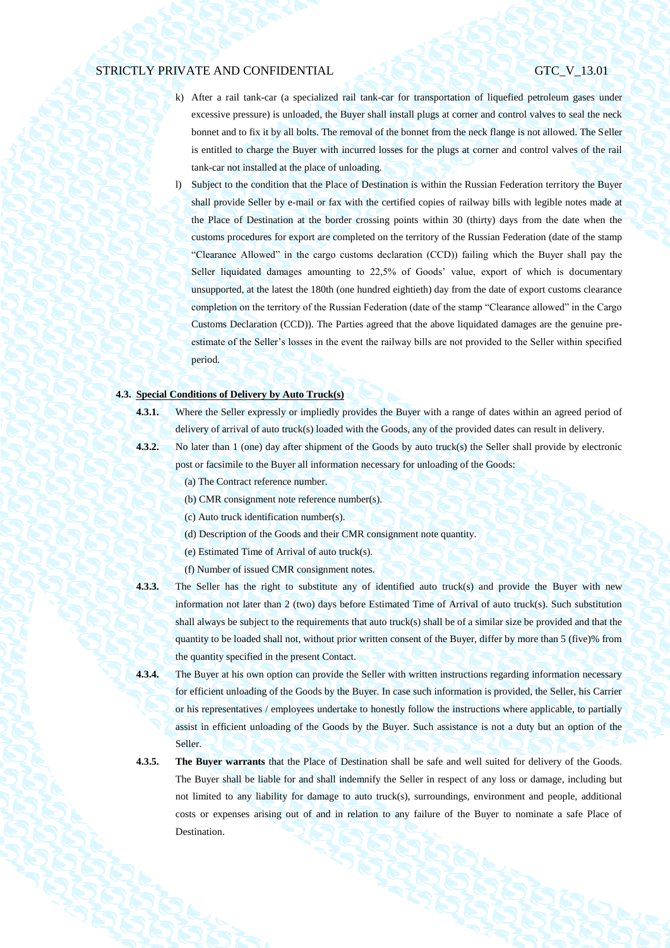- k) After a rail tank-car (a specialized rail tank-car for transportation of liquefied petroleum gases under excessive pressure) is unloaded, the Buyer shall install plugs at corner and control valves to seal the neck bonnet and to fix it by all bolts. The removal of the bonnet from the neck flange is not allowed. The Seller is entitled to charge the Buyer with incurred losses for the plugs at corner and control valves of the rail tank-car not installed at the place of unloading.
- l) Subject to the condition that the Place of Destination is within the Russian Federation territory the Buyer shall provide Seller by e-mail or fax with the certified copies of railway bills with legible notes made at the Place of Destination at the border crossing points within 30 (thirty) days from the date when the customs procedures for export are completed on the territory of the Russian Federation (date of the stamp "Clearance Allowed" in the cargo customs declaration (CCD)) failing which the Buyer shall pay the Seller liquidated damages amounting to 22,5% of Goods' value, export of which is documentary unsupported, at the latest the 180th (one hundred eightieth) day from the date of export customs clearance completion on the territory of the Russian Federation (date of the stamp "Clearance allowed" in the Cargo Customs Declaration (CCD)). The Parties agreed that the above liquidated damages are the genuine preestimate of the Seller's losses in the event the railway bills are not provided to the Seller within specified period.

## **4.3. Special Conditions of Delivery by Auto Truck(s)**

- 
- **4.3.1.** Where the Seller expressly or impliedly provides the Buyer with a range of dates within an agreed period of delivery of arrival of auto truck(s) loaded with the Goods, any of the provided dates can result in delivery.
- 
- **4.3.2.** No later than 1 (one) day after shipment of the Goods by auto truck(s) the Seller shall provide by electronic post or facsimile to the Buyer all information necessary for unloading of the Goods:
	- (a) The Contract reference number.
	- (b) CMR consignment note reference number(s).
	- (c) Auto truck identification number(s).
	- (d) Description of the Goods and their CMR consignment note quantity.
	- (e) Estimated Time of Arrival of auto truck(s).
	- (f) Number of issued CMR consignment notes.
- **4.3.3.** The Seller has the right to substitute any of identified auto truck(s) and provide the Buyer with new information not later than 2 (two) days before Estimated Time of Arrival of auto truck(s). Such substitution shall always be subject to the requirements that auto truck(s) shall be of a similar size be provided and that the quantity to be loaded shall not, without prior written consent of the Buyer, differ by more than 5 (five)% from the quantity specified in the present Contact.
- **4.3.4.** The Buyer at his own option can provide the Seller with written instructions regarding information necessary for efficient unloading of the Goods by the Buyer. In case such information is provided, the Seller, his Carrier or his representatives / employees undertake to honestly follow the instructions where applicable, to partially assist in efficient unloading of the Goods by the Buyer. Such assistance is not a duty but an option of the Seller.
- **4.3.5. The Buyer warrants** that the Place of Destination shall be safe and well suited for delivery of the Goods. The Buyer shall be liable for and shall indemnify the Seller in respect of any loss or damage, including but not limited to any liability for damage to auto truck(s), surroundings, environment and people, additional costs or expenses arising out of and in relation to any failure of the Buyer to nominate a safe Place of Destination.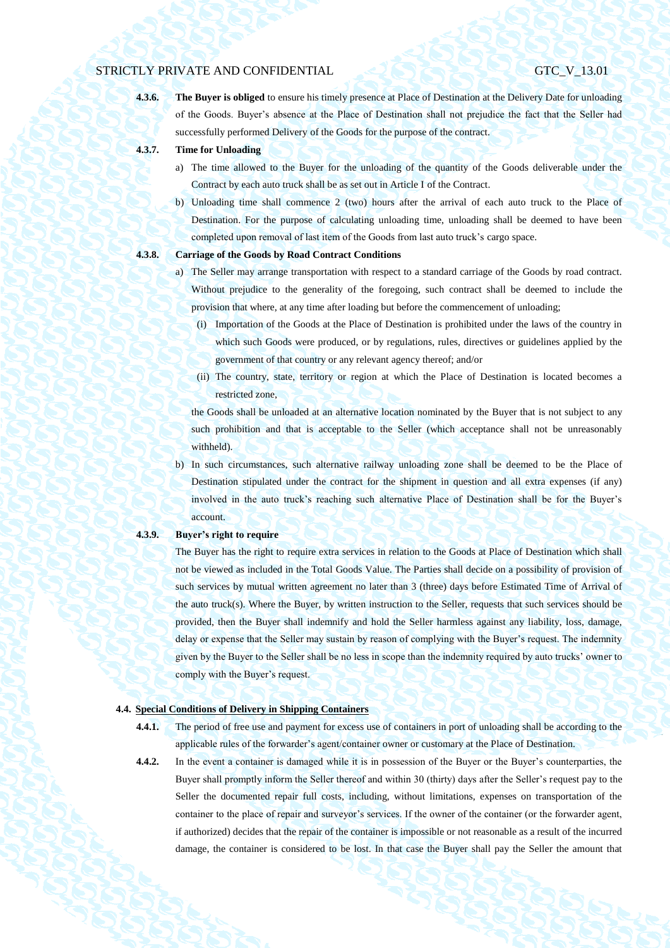**4.3.6. The Buyer is obliged** to ensure his timely presence at Place of Destination at the Delivery Date for unloading of the Goods. Buyer's absence at the Place of Destination shall not prejudice the fact that the Seller had successfully performed Delivery of the Goods for the purpose of the contract.

- **4.3.7. Time for Unloading**
	- a) The time allowed to the Buyer for the unloading of the quantity of the Goods deliverable under the Contract by each auto truck shall be as set out in Article I of the Contract.
	- b) Unloading time shall commence 2 (two) hours after the arrival of each auto truck to the Place of Destination. For the purpose of calculating unloading time, unloading shall be deemed to have been completed upon removal of last item of the Goods from last auto truck's cargo space.

## **4.3.8. Carriage of the Goods by Road Contract Conditions**

- a) The Seller may arrange transportation with respect to a standard carriage of the Goods by road contract. Without prejudice to the generality of the foregoing, such contract shall be deemed to include the provision that where, at any time after loading but before the commencement of unloading;
	- (i) Importation of the Goods at the Place of Destination is prohibited under the laws of the country in which such Goods were produced, or by regulations, rules, directives or guidelines applied by the government of that country or any relevant agency thereof; and/or
	- (ii) The country, state, territory or region at which the Place of Destination is located becomes a restricted zone,

the Goods shall be unloaded at an alternative location nominated by the Buyer that is not subject to any such prohibition and that is acceptable to the Seller (which acceptance shall not be unreasonably withheld).

b) In such circumstances, such alternative railway unloading zone shall be deemed to be the Place of Destination stipulated under the contract for the shipment in question and all extra expenses (if any) involved in the auto truck's reaching such alternative Place of Destination shall be for the Buyer's account.

#### **4.3.9. Buyer's right to require**

The Buyer has the right to require extra services in relation to the Goods at Place of Destination which shall not be viewed as included in the Total Goods Value. The Parties shall decide on a possibility of provision of such services by mutual written agreement no later than 3 (three) days before Estimated Time of Arrival of the auto truck(s). Where the Buyer, by written instruction to the Seller, requests that such services should be provided, then the Buyer shall indemnify and hold the Seller harmless against any liability, loss, damage, delay or expense that the Seller may sustain by reason of complying with the Buyer's request. The indemnity given by the Buyer to the Seller shall be no less in scope than the indemnity required by auto trucks' owner to comply with the Buyer's request.

## <span id="page-25-0"></span>**4.4. Special Conditions of Delivery in Shipping Containers**

- **4.4.1.** The period of free use and payment for excess use of containers in port of unloading shall be according to the applicable rules of the forwarder's agent/container owner or customary at the Place of Destination.
	-

**4.4.2.** In the event a container is damaged while it is in possession of the Buyer or the Buyer's counterparties, the Buyer shall promptly inform the Seller thereof and within 30 (thirty) days after the Seller's request pay to the Seller the documented repair full costs, including, without limitations, expenses on transportation of the container to the place of repair and surveyor's services. If the owner of the container (or the forwarder agent, if authorized) decides that the repair of the container is impossible or not reasonable as a result of the incurred damage, the container is considered to be lost. In that case the Buyer shall pay the Seller the amount that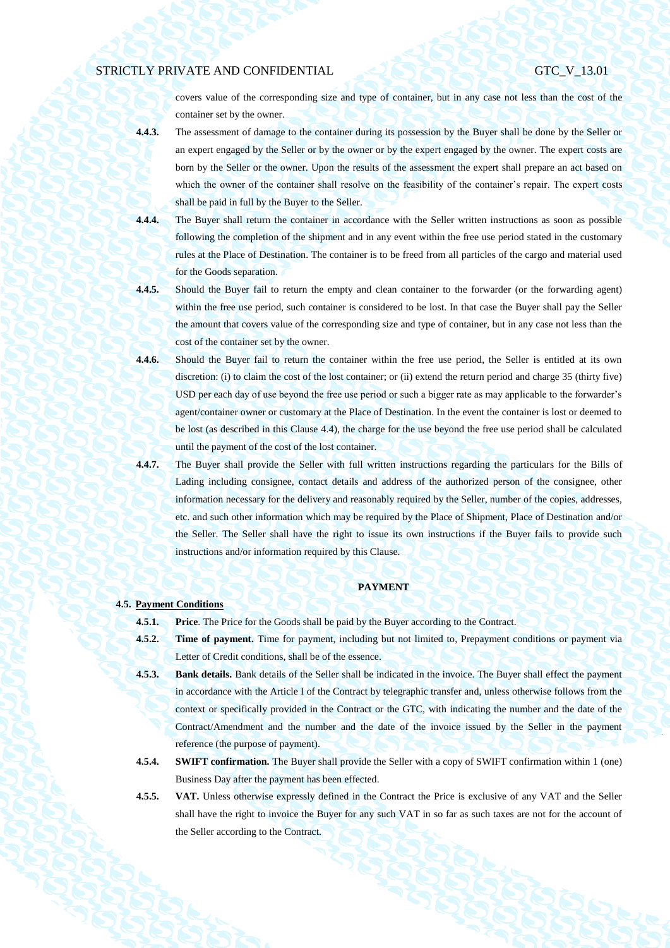covers value of the corresponding size and type of container, but in any case not less than the cost of the container set by the owner.

- **4.4.3.** The assessment of damage to the container during its possession by the Buyer shall be done by the Seller or an expert engaged by the Seller or by the owner or by the expert engaged by the owner. The expert costs are born by the Seller or the owner. Upon the results of the assessment the expert shall prepare an act based on which the owner of the container shall resolve on the feasibility of the container's repair. The expert costs shall be paid in full by the Buyer to the Seller.
- **4.4.4.** The Buyer shall return the container in accordance with the Seller written instructions as soon as possible following the completion of the shipment and in any event within the free use period stated in the customary rules at the Place of Destination. The container is to be freed from all particles of the cargo and material used for the Goods separation.
- **4.4.5.** Should the Buyer fail to return the empty and clean container to the forwarder (or the forwarding agent) within the free use period, such container is considered to be lost. In that case the Buyer shall pay the Seller the amount that covers value of the corresponding size and type of container, but in any case not less than the cost of the container set by the owner.
- **4.4.6.** Should the Buyer fail to return the container within the free use period, the Seller is entitled at its own discretion: (i) to claim the cost of the lost container; or (ii) extend the return period and charge 35 (thirty five) USD per each day of use beyond the free use period or such a bigger rate as may applicable to the forwarder's agent/container owner or customary at the Place of Destination. In the event the container is lost or deemed to be lost (as described in this Clause [4.4\)](#page-25-0), the charge for the use beyond the free use period shall be calculated until the payment of the cost of the lost container.
- **4.4.7.** The Buyer shall provide the Seller with full written instructions regarding the particulars for the Bills of Lading including consignee, contact details and address of the authorized person of the consignee, other information necessary for the delivery and reasonably required by the Seller, number of the copies, addresses, etc. and such other information which may be required by the Place of Shipment, Place of Destination and/or the Seller. The Seller shall have the right to issue its own instructions if the Buyer fails to provide such instructions and/or information required by this Clause.

### **PAYMENT**

## **4.5. Payment Conditions**

**4.5.1. Price**. The Price for the Goods shall be paid by the Buyer according to the Contract.

- **4.5.2. Time of payment.** Time for payment, including but not limited to, Prepayment conditions or payment via Letter of Credit conditions, shall be of the essence.
- **4.5.3. Bank details.** Bank details of the Seller shall be indicated in the invoice. The Buyer shall effect the payment in accordance with the Article I of the Contract by telegraphic transfer and, unless otherwise follows from the context or specifically provided in the Contract or the GTC, with indicating the number and the date of the Contract/Amendment and the number and the date of the invoice issued by the Seller in the payment reference (the purpose of payment).
- **4.5.4. SWIFT confirmation.** The Buyer shall provide the Seller with a copy of SWIFT confirmation within 1 (one) Business Day after the payment has been effected.
- **4.5.5. VAT.** Unless otherwise expressly defined in the Contract the Price is exclusive of any VAT and the Seller shall have the right to invoice the Buyer for any such VAT in so far as such taxes are not for the account of the Seller according to the Contract.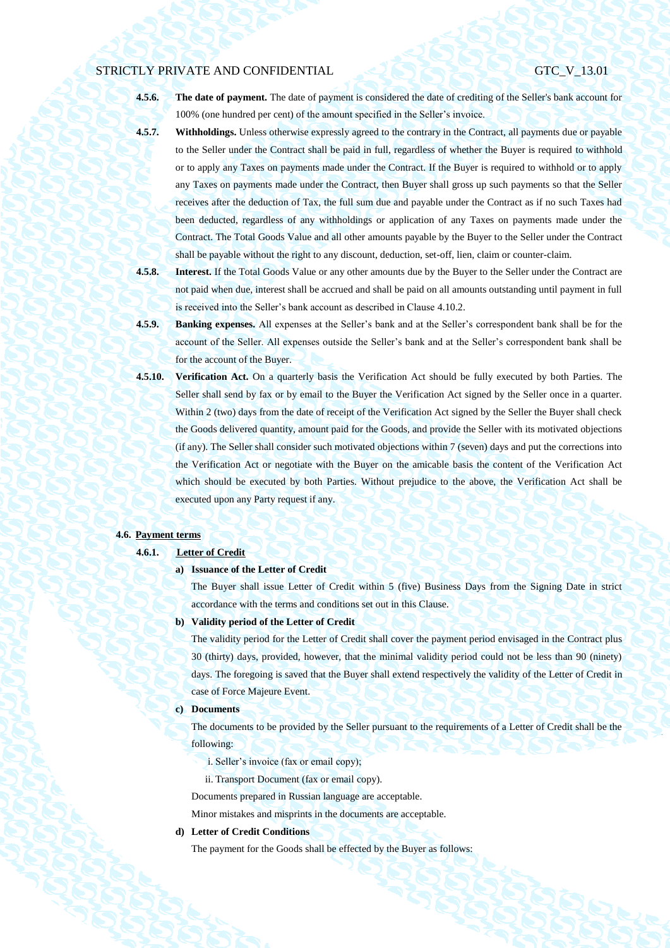**4.5.6. The date of payment.** The date of payment is considered the date of crediting of the Seller's bank account for 100% (one hundred per cent) of the amount specified in the Seller's invoice.

**4.5.7. Withholdings.** Unless otherwise expressly agreed to the contrary in the Contract, all payments due or payable to the Seller under the Contract shall be paid in full, regardless of whether the Buyer is required to withhold or to apply any Taxes on payments made under the Contract. If the Buyer is required to withhold or to apply any Taxes on payments made under the Contract, then Buyer shall gross up such payments so that the Seller receives after the deduction of Tax, the full sum due and payable under the Contract as if no such Taxes had been deducted, regardless of any withholdings or application of any Taxes on payments made under the Contract. The Total Goods Value and all other amounts payable by the Buyer to the Seller under the Contract shall be payable without the right to any discount, deduction, set-off, lien, claim or counter-claim.

- **4.5.8. Interest.** If the Total Goods Value or any other amounts due by the Buyer to the Seller under the Contract are not paid when due, interest shall be accrued and shall be paid on all amounts outstanding until payment in full is received into the Seller's bank account as described in Clause 4.10.2.
- **4.5.9. Banking expenses.** All expenses at the Seller's bank and at the Seller's correspondent bank shall be for the account of the Seller. All expenses outside the Seller's bank and at the Seller's correspondent bank shall be for the account of the Buyer.
- <span id="page-27-0"></span>**4.5.10. Verification Act.** On a quarterly basis the Verification Act should be fully executed by both Parties. The Seller shall send by fax or by email to the Buyer the Verification Act signed by the Seller once in a quarter. Within 2 (two) days from the date of receipt of the Verification Act signed by the Seller the Buyer shall check the Goods delivered quantity, amount paid for the Goods, and provide the Seller with its motivated objections (if any). The Seller shall consider such motivated objections within 7 (seven) days and put the corrections into the Verification Act or negotiate with the Buyer on the amicable basis the content of the Verification Act which should be executed by both Parties. Without prejudice to the above, the Verification Act shall be executed upon any Party request if any.

## <span id="page-27-1"></span>**4.6. Payment terms**

#### **4.6.1. Letter of Credit**

### **a) Issuance of the Letter of Credit**

The Buyer shall issue Letter of Credit within 5 (five) Business Days from the Signing Date in strict accordance with the terms and conditions set out in this Clause.

#### **b) Validity period of the Letter of Credit**

The validity period for the Letter of Credit shall cover the payment period envisaged in the Contract plus 30 (thirty) days, provided, however, that the minimal validity period could not be less than 90 (ninety) days. The foregoing is saved that the Buyer shall extend respectively the validity of the Letter of Credit in case of Force Majeure Event.

#### **c) Documents**

The documents to be provided by the Seller pursuant to the requirements of a Letter of Credit shall be the following:

- i. Seller's invoice (fax or email copy);
- ii. Transport Document (fax or email copy).

Documents prepared in Russian language are acceptable.

Minor mistakes and misprints in the documents are acceptable.

## **d) Letter of Credit Conditions**

The payment for the Goods shall be effected by the Buyer as follows: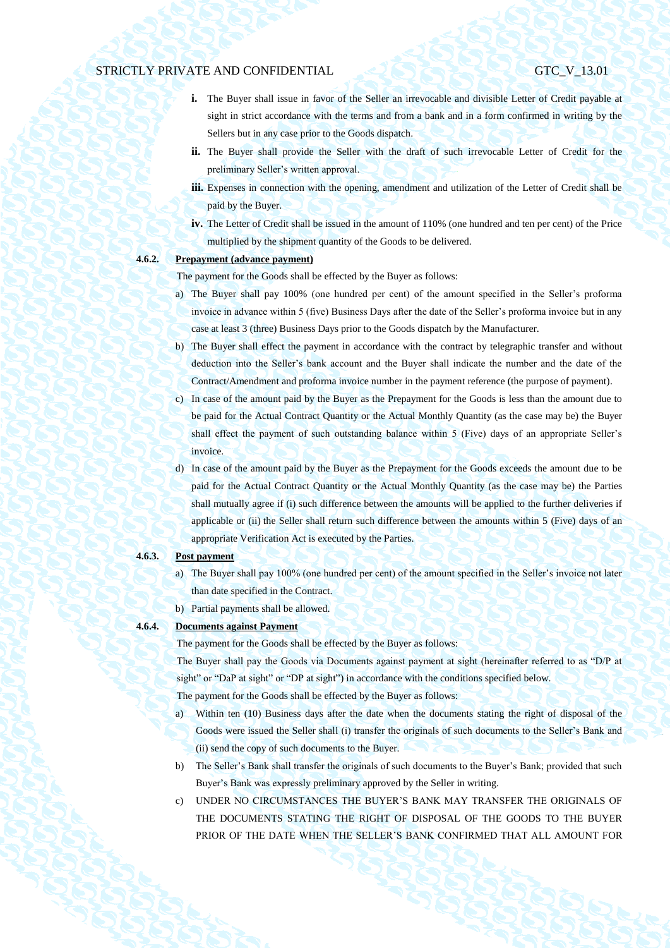- **i.** The Buyer shall issue in favor of the Seller an irrevocable and divisible Letter of Credit payable at sight in strict accordance with the terms and from a bank and in a form confirmed in writing by the Sellers but in any case prior to the Goods dispatch.
- **ii.** The Buyer shall provide the Seller with the draft of such irrevocable Letter of Credit for the preliminary Seller's written approval.
- **iii.** Expenses in connection with the opening, amendment and utilization of the Letter of Credit shall be paid by the Buyer.
- **iv.** The Letter of Credit shall be issued in the amount of 110% (one hundred and ten per cent) of the Price multiplied by the shipment quantity of the Goods to be delivered.

## <span id="page-28-0"></span>**4.6.2. Prepayment (advance payment)**

The payment for the Goods shall be effected by the Buyer as follows:

- a) The Buyer shall pay 100% (one hundred per cent) of the amount specified in the Seller's proforma invoice in advance within 5 (five) Business Days after the date of the Seller's proforma invoice but in any case at least 3 (three) Business Days prior to the Goods dispatch by the Manufacturer.
- b) The Buyer shall effect the payment in accordance with the contract by telegraphic transfer and without deduction into the Seller's bank account and the Buyer shall indicate the number and the date of the Contract/Amendment and proforma invoice number in the payment reference (the purpose of payment).
- c) In case of the amount paid by the Buyer as the Prepayment for the Goods is less than the amount due to be paid for the Actual Contract Quantity or the Actual Monthly Quantity (as the case may be) the Buyer shall effect the payment of such outstanding balance within 5 (Five) days of an appropriate Seller's invoice.
- d) In case of the amount paid by the Buyer as the Prepayment for the Goods exceeds the amount due to be paid for the Actual Contract Quantity or the Actual Monthly Quantity (as the case may be) the Parties shall mutually agree if (i) such difference between the amounts will be applied to the further deliveries if applicable or (ii) the Seller shall return such difference between the amounts within 5 (Five) days of an appropriate Verification Act is executed by the Parties.

## **4.6.3. Post payment**

- a) The Buyer shall pay 100% (one hundred per cent) of the amount specified in the Seller's invoice not later than date specified in the Contract.
- b) Partial payments shall be allowed.

## **4.6.4. Documents against Payment**

The payment for the Goods shall be effected by the Buyer as follows:

The Buyer shall pay the Goods via Documents against payment at sight (hereinafter referred to as "D/P at sight" or "DaP at sight" or "DP at sight") in accordance with the conditions specified below.

The payment for the Goods shall be effected by the Buyer as follows:

- a) Within ten (10) Business days after the date when the documents stating the right of disposal of the Goods were issued the Seller shall (i) transfer the originals of such documents to the Seller's Bank and (ii) send the copy of such documents to the Buyer.
- b) The Seller's Bank shall transfer the originals of such documents to the Buyer's Bank; provided that such Buyer's Bank was expressly preliminary approved by the Seller in writing.
- c) UNDER NO CIRCUMSTANCES THE BUYER'S BANK MAY TRANSFER THE ORIGINALS OF THE DOCUMENTS STATING THE RIGHT OF DISPOSAL OF THE GOODS TO THE BUYER PRIOR OF THE DATE WHEN THE SELLER'S BANK CONFIRMED THAT ALL AMOUNT FOR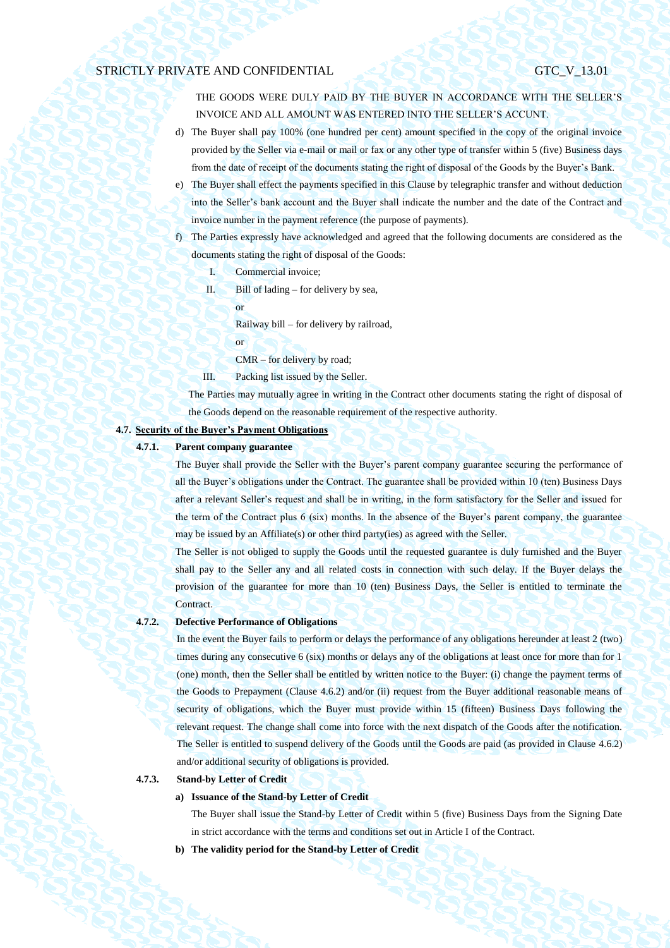THE GOODS WERE DULY PAID BY THE BUYER IN ACCORDANCE WITH THE SELLER'S INVOICE AND ALL AMOUNT WAS ENTERED INTO THE SELLER'S ACCUNT.

- d) The Buyer shall pay 100% (one hundred per cent) amount specified in the copy of the original invoice provided by the Seller via e-mail or mail or fax or any other type of transfer within 5 (five) Business days from the date of receipt of the documents stating the right of disposal of the Goods by the Buyer's Bank.
- e) The Buyer shall effect the payments specified in this Clause by telegraphic transfer and without deduction into the Seller's bank account and the Buyer shall indicate the number and the date of the Contract and invoice number in the payment reference (the purpose of payments).
- f) The Parties expressly have acknowledged and agreed that the following documents are considered as the documents stating the right of disposal of the Goods:
	- I. Commercial invoice;
	- II. Bill of lading for delivery by sea,
		- or

Railway bill – for delivery by railroad,

- or
- CMR for delivery by road;
- III. Packing list issued by the Seller.

The Parties may mutually agree in writing in the Contract other documents stating the right of disposal of the Goods depend on the reasonable requirement of the respective authority.

## **4.7. Security of the Buyer's Payment Obligations**

### **4.7.1. Parent company guarantee**

The Buyer shall provide the Seller with the Buyer's parent company guarantee securing the performance of all the Buyer's obligations under the Contract. The guarantee shall be provided within 10 (ten) Business Days after a relevant Seller's request and shall be in writing, in the form satisfactory for the Seller and issued for the term of the Contract plus 6 (six) months. In the absence of the Buyer's parent company, the guarantee may be issued by an Affiliate(s) or other third party(ies) as agreed with the Seller.

The Seller is not obliged to supply the Goods until the requested guarantee is duly furnished and the Buyer shall pay to the Seller any and all related costs in connection with such delay. If the Buyer delays the provision of the guarantee for more than 10 (ten) Business Days, the Seller is entitled to terminate the Contract.

#### **4.7.2. Defective Performance of Obligations**

In the event the Buyer fails to perform or delays the performance of any obligations hereunder at least 2 (two) times during any consecutive 6 (six) months or delays any of the obligations at least once for more than for 1 (one) month, then the Seller shall be entitled by written notice to the Buyer: (i) change the payment terms of the Goods to Prepayment (Clause [4.6.2\)](#page-28-0) and/or (ii) request from the Buyer additional reasonable means of security of obligations, which the Buyer must provide within 15 (fifteen) Business Days following the relevant request. The change shall come into force with the next dispatch of the Goods after the notification. The Seller is entitled to suspend delivery of the Goods until the Goods are paid (as provided in Clause [4.6.2\)](#page-28-0) and/or additional security of obligations is provided.

### **4.7.3. Stand-by Letter of Credit**

## **a) Issuance of the Stand-by Letter of Credit**

The Buyer shall issue the Stand-by Letter of Credit within 5 (five) Business Days from the Signing Date in strict accordance with the terms and conditions set out in Article I of the Contract.

**b) The validity period for the Stand-by Letter of Credit**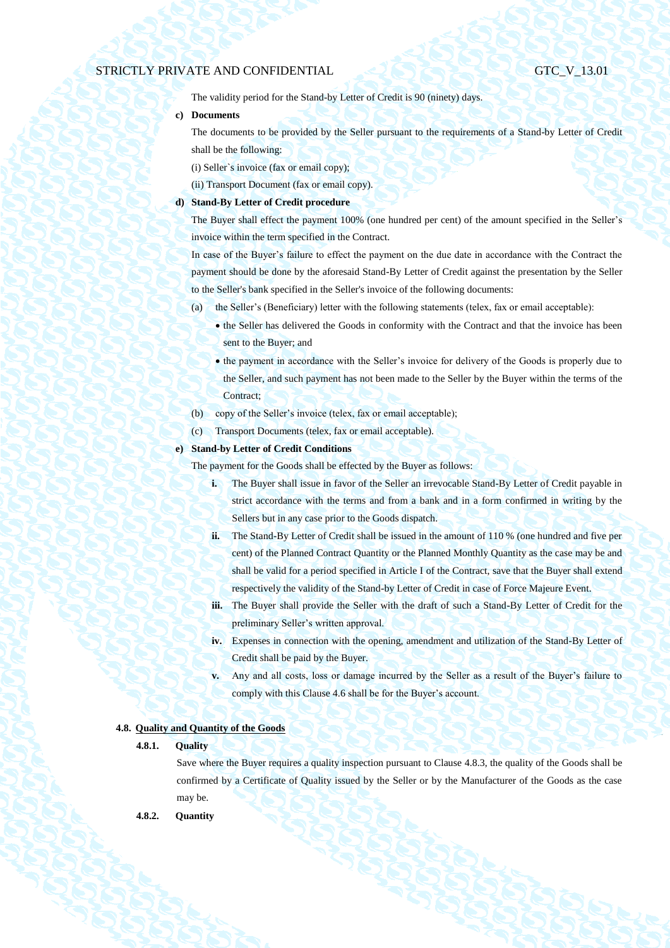The validity period for the Stand-by Letter of Credit is 90 (ninety) days.

### **c) Documents**

The documents to be provided by the Seller pursuant to the requirements of a Stand-by Letter of Credit shall be the following:

(i) Seller`s invoice (fax or email copy);

(ii) Transport Document (fax or email copy).

## **d) Stand-By Letter of Credit procedure**

The Buyer shall effect the payment 100% (one hundred per cent) of the amount specified in the Seller's invoice within the term specified in the Contract.

In case of the Buyer's failure to effect the payment on the due date in accordance with the Contract the payment should be done by the aforesaid Stand-By Letter of Credit against the presentation by the Seller to the Seller's bank specified in the Seller's invoice of the following documents:

- (a) the Seller's (Beneficiary) letter with the following statements (telex, fax or email acceptable):
	- the Seller has delivered the Goods in conformity with the Contract and that the invoice has been sent to the Buyer; and
	- the payment in accordance with the Seller's invoice for delivery of the Goods is properly due to the Seller, and such payment has not been made to the Seller by the Buyer within the terms of the Contract;
- (b) copy of the Seller's invoice (telex, fax or email acceptable);
- (c) Transport Documents (telex, fax or email acceptable).

## **e) Stand-by Letter of Credit Conditions**

The payment for the Goods shall be effected by the Buyer as follows:

- **i.** The Buyer shall issue in favor of the Seller an irrevocable Stand-By Letter of Credit payable in strict accordance with the terms and from a bank and in a form confirmed in writing by the Sellers but in any case prior to the Goods dispatch.
- **ii.** The Stand-By Letter of Credit shall be issued in the amount of 110 % (one hundred and five per cent) of the Planned Contract Quantity or the Planned Monthly Quantity as the case may be and shall be valid for a period specified in Article I of the Contract, save that the Buyer shall extend respectively the validity of the Stand-by Letter of Credit in case of Force Majeure Event.
- **iii.** The Buyer shall provide the Seller with the draft of such a Stand-By Letter of Credit for the preliminary Seller's written approval.
- **iv.** Expenses in connection with the opening, amendment and utilization of the Stand-By Letter of Credit shall be paid by the Buyer.
- **v.** Any and all costs, loss or damage incurred by the Seller as a result of the Buyer's failure to comply with this Claus[e 4.6](#page-27-1) shall be for the Buyer's account.

## **4.8. Quality and Quantity of the Goods**

## **4.8.1. Quality**

Save where the Buyer requires a quality inspection pursuant to Clause [4.8.3,](#page-31-0) the quality of the Goods shall be confirmed by a Certificate of Quality issued by the Seller or by the Manufacturer of the Goods as the case may be.

**4.8.2. Quantity**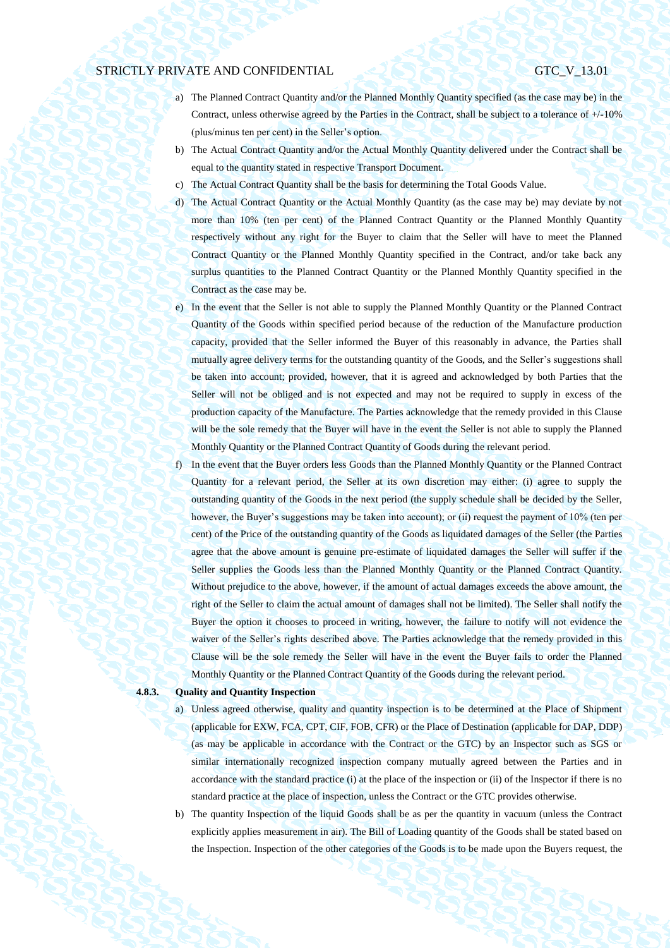- a) The Planned Contract Quantity and/or the Planned Monthly Quantity specified (as the case may be) in the Contract, unless otherwise agreed by the Parties in the Contract, shall be subject to a tolerance of +/-10% (plus/minus ten per cent) in the Seller's option.
- b) The Actual Contract Quantity and/or the Actual Monthly Quantity delivered under the Contract shall be equal to the quantity stated in respective Transport Document.
- c) The Actual Contract Quantity shall be the basis for determining the Total Goods Value.
- d) The Actual Contract Quantity or the Actual Monthly Quantity (as the case may be) may deviate by not more than 10% (ten per cent) of the Planned Contract Quantity or the Planned Monthly Quantity respectively without any right for the Buyer to claim that the Seller will have to meet the Planned Contract Quantity or the Planned Monthly Quantity specified in the Contract, and/or take back any surplus quantities to the Planned Contract Quantity or the Planned Monthly Quantity specified in the Contract as the case may be.
- e) In the event that the Seller is not able to supply the Planned Monthly Quantity or the Planned Contract Quantity of the Goods within specified period because of the reduction of the Manufacture production capacity, provided that the Seller informed the Buyer of this reasonably in advance, the Parties shall mutually agree delivery terms for the outstanding quantity of the Goods, and the Seller's suggestions shall be taken into account; provided, however, that it is agreed and acknowledged by both Parties that the Seller will not be obliged and is not expected and may not be required to supply in excess of the production capacity of the Manufacture. The Parties acknowledge that the remedy provided in this Clause will be the sole remedy that the Buyer will have in the event the Seller is not able to supply the Planned Monthly Quantity or the Planned Contract Quantity of Goods during the relevant period.
- f) In the event that the Buyer orders less Goods than the Planned Monthly Quantity or the Planned Contract Quantity for a relevant period, the Seller at its own discretion may either: (i) agree to supply the outstanding quantity of the Goods in the next period (the supply schedule shall be decided by the Seller, however, the Buyer's suggestions may be taken into account); or (ii) request the payment of 10% (ten per cent) of the Price of the outstanding quantity of the Goods as liquidated damages of the Seller (the Parties agree that the above amount is genuine pre-estimate of liquidated damages the Seller will suffer if the Seller supplies the Goods less than the Planned Monthly Quantity or the Planned Contract Quantity. Without prejudice to the above, however, if the amount of actual damages exceeds the above amount, the right of the Seller to claim the actual amount of damages shall not be limited). The Seller shall notify the Buyer the option it chooses to proceed in writing, however, the failure to notify will not evidence the waiver of the Seller's rights described above. The Parties acknowledge that the remedy provided in this Clause will be the sole remedy the Seller will have in the event the Buyer fails to order the Planned Monthly Quantity or the Planned Contract Quantity of the Goods during the relevant period.

### <span id="page-31-1"></span><span id="page-31-0"></span>**4.8.3. Quality and Quantity Inspection**

- a) Unless agreed otherwise, quality and quantity inspection is to be determined at the Place of Shipment (applicable for EXW, FCA, CPT, CIF, FOB, CFR) or the Place of Destination (applicable for DAP, DDP) (as may be applicable in accordance with the Contract or the GTC) by an Inspector such as SGS or similar internationally recognized inspection company mutually agreed between the Parties and in accordance with the standard practice (i) at the place of the inspection or (ii) of the Inspector if there is no standard practice at the place of inspection, unless the Contract or the GTC provides otherwise.
- <span id="page-31-2"></span>b) The quantity Inspection of the liquid Goods shall be as per the quantity in vacuum (unless the Contract explicitly applies measurement in air). The Bill of Loading quantity of the Goods shall be stated based on the Inspection. Inspection of the other categories of the Goods is to be made upon the Buyers request, the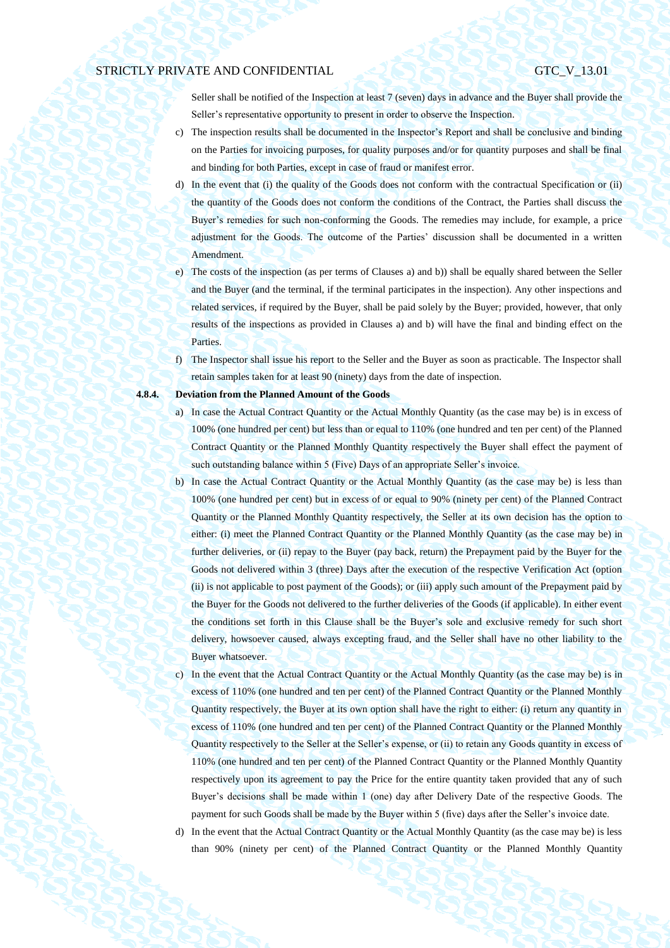Seller shall be notified of the Inspection at least 7 (seven) days in advance and the Buyer shall provide the Seller's representative opportunity to present in order to observe the Inspection.

- c) The inspection results shall be documented in the Inspector's Report and shall be conclusive and binding on the Parties for invoicing purposes, for quality purposes and/or for quantity purposes and shall be final and binding for both Parties, except in case of fraud or manifest error.
- d) In the event that (i) the quality of the Goods does not conform with the contractual Specification or (ii) the quantity of the Goods does not conform the conditions of the Contract, the Parties shall discuss the Buyer's remedies for such non-conforming the Goods. The remedies may include, for example, a price adjustment for the Goods. The outcome of the Parties' discussion shall be documented in a written Amendment.
- e) The costs of the inspection (as per terms of Clauses [a\)](#page-31-1) an[d b\)\)](#page-31-2) shall be equally shared between the Seller and the Buyer (and the terminal, if the terminal participates in the inspection). Any other inspections and related services, if required by the Buyer, shall be paid solely by the Buyer; provided, however, that only results of the inspections as provided in Clauses [a\)](#page-31-1) and [b\)](#page-31-2) will have the final and binding effect on the Parties.
- f) The Inspector shall issue his report to the Seller and the Buyer as soon as practicable. The Inspector shall retain samples taken for at least 90 (ninety) days from the date of inspection.

#### <span id="page-32-0"></span>**4.8.4. Deviation from the Planned Amount of the Goods**

- a) In case the Actual Contract Quantity or the Actual Monthly Quantity (as the case may be) is in excess of 100% (one hundred per cent) but less than or equal to 110% (one hundred and ten per cent) of the Planned Contract Quantity or the Planned Monthly Quantity respectively the Buyer shall effect the payment of such outstanding balance within 5 (Five) Days of an appropriate Seller's invoice.
- b) In case the Actual Contract Quantity or the Actual Monthly Quantity (as the case may be) is less than 100% (one hundred per cent) but in excess of or equal to 90% (ninety per cent) of the Planned Contract Quantity or the Planned Monthly Quantity respectively, the Seller at its own decision has the option to either: (i) meet the Planned Contract Quantity or the Planned Monthly Quantity (as the case may be) in further deliveries, or (ii) repay to the Buyer (pay back, return) the Prepayment paid by the Buyer for the Goods not delivered within 3 (three) Days after the execution of the respective Verification Act (option (ii) is not applicable to post payment of the Goods); or (iii) apply such amount of the Prepayment paid by the Buyer for the Goods not delivered to the further deliveries of the Goods (if applicable). In either event the conditions set forth in this Clause shall be the Buyer's sole and exclusive remedy for such short delivery, howsoever caused, always excepting fraud, and the Seller shall have no other liability to the Buyer whatsoever.
- c) In the event that the Actual Contract Quantity or the Actual Monthly Quantity (as the case may be) is in excess of 110% (one hundred and ten per cent) of the Planned Contract Quantity or the Planned Monthly Quantity respectively, the Buyer at its own option shall have the right to either: (i) return any quantity in excess of 110% (one hundred and ten per cent) of the Planned Contract Quantity or the Planned Monthly Quantity respectively to the Seller at the Seller's expense, or (ii) to retain any Goods quantity in excess of 110% (one hundred and ten per cent) of the Planned Contract Quantity or the Planned Monthly Quantity respectively upon its agreement to pay the Price for the entire quantity taken provided that any of such Buyer's decisions shall be made within 1 (one) day after Delivery Date of the respective Goods. The payment for such Goods shall be made by the Buyer within 5 (five) days after the Seller's invoice date.
- d) In the event that the Actual Contract Quantity or the Actual Monthly Quantity (as the case may be) is less than 90% (ninety per cent) of the Planned Contract Quantity or the Planned Monthly Quantity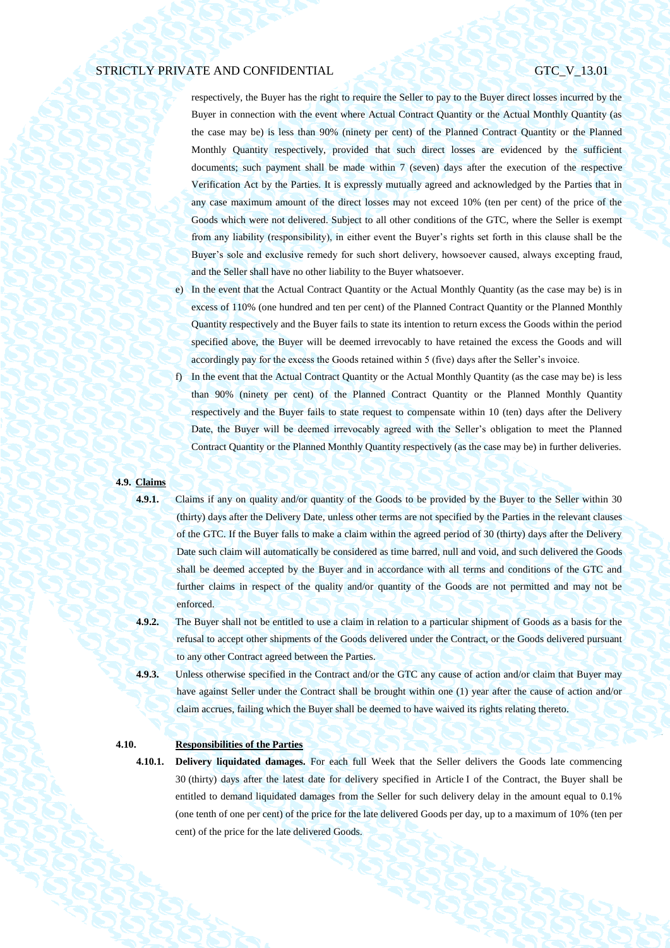respectively, the Buyer has the right to require the Seller to pay to the Buyer direct losses incurred by the Buyer in connection with the event where Actual Contract Quantity or the Actual Monthly Quantity (as the case may be) is less than 90% (ninety per cent) of the Planned Contract Quantity or the Planned Monthly Quantity respectively, provided that such direct losses are evidenced by the sufficient documents; such payment shall be made within 7 (seven) days after the execution of the respective Verification Act by the Parties. It is expressly mutually agreed and acknowledged by the Parties that in any case maximum amount of the direct losses may not exceed 10% (ten per cent) of the price of the Goods which were not delivered. Subject to all other conditions of the GTC, where the Seller is exempt from any liability (responsibility), in either event the Buyer's rights set forth in this clause shall be the Buyer's sole and exclusive remedy for such short delivery, howsoever caused, always excepting fraud, and the Seller shall have no other liability to the Buyer whatsoever.

- e) In the event that the Actual Contract Quantity or the Actual Monthly Quantity (as the case may be) is in excess of 110% (one hundred and ten per cent) of the Planned Contract Quantity or the Planned Monthly Quantity respectively and the Buyer fails to state its intention to return excess the Goods within the period specified above, the Buyer will be deemed irrevocably to have retained the excess the Goods and will accordingly pay for the excess the Goods retained within 5 (five) days after the Seller's invoice.
- f) In the event that the Actual Contract Quantity or the Actual Monthly Quantity (as the case may be) is less than 90% (ninety per cent) of the Planned Contract Quantity or the Planned Monthly Quantity respectively and the Buyer fails to state request to compensate within 10 (ten) days after the Delivery Date, the Buyer will be deemed irrevocably agreed with the Seller's obligation to meet the Planned Contract Quantity or the Planned Monthly Quantity respectively (as the case may be) in further deliveries.

#### **4.9. Claims**

<span id="page-33-0"></span>**4.9.1.** Claims if any on quality and/or quantity of the Goods to be provided by the Buyer to the Seller within 30 (thirty) days after the Delivery Date, unless other terms are not specified by the Parties in the relevant clauses of the GTC. If the Buyer falls to make a claim within the agreed period of 30 (thirty) days after the Delivery Date such claim will automatically be considered as time barred, null and void, and such delivered the Goods shall be deemed accepted by the Buyer and in accordance with all terms and conditions of the GTC and further claims in respect of the quality and/or quantity of the Goods are not permitted and may not be enforced.

**4.9.2.** The Buyer shall not be entitled to use a claim in relation to a particular shipment of Goods as a basis for the refusal to accept other shipments of the Goods delivered under the Contract, or the Goods delivered pursuant to any other Contract agreed between the Parties.

**4.9.3.** Unless otherwise specified in the Contract and/or the GTC any cause of action and/or claim that Buyer may have against Seller under the Contract shall be brought within one (1) year after the cause of action and/or claim accrues, failing which the Buyer shall be deemed to have waived its rights relating thereto.

## **4.10. Responsibilities of the Parties**

**4.10.1. Delivery liquidated damages.** For each full Week that the Seller delivers the Goods late commencing 30 (thirty) days after the latest date for delivery specified in Article I of the Contract, the Buyer shall be entitled to demand liquidated damages from the Seller for such delivery delay in the amount equal to 0.1% (one tenth of one per cent) of the price for the late delivered Goods per day, up to a maximum of 10% (ten per cent) of the price for the late delivered Goods.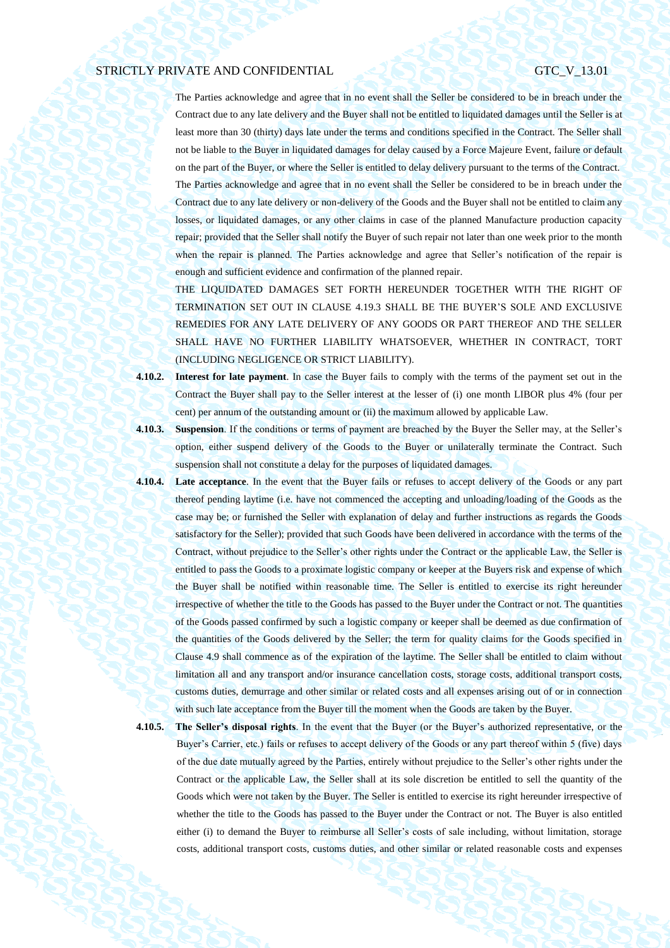The Parties acknowledge and agree that in no event shall the Seller be considered to be in breach under the Contract due to any late delivery and the Buyer shall not be entitled to liquidated damages until the Seller is at least more than 30 (thirty) days late under the terms and conditions specified in the Contract. The Seller shall not be liable to the Buyer in liquidated damages for delay caused by a Force Majeure Event, failure or default on the part of the Buyer, or where the Seller is entitled to delay delivery pursuant to the terms of the Contract. The Parties acknowledge and agree that in no event shall the Seller be considered to be in breach under the Contract due to any late delivery or non-delivery of the Goods and the Buyer shall not be entitled to claim any losses, or liquidated damages, or any other claims in case of the planned Manufacture production capacity repair; provided that the Seller shall notify the Buyer of such repair not later than one week prior to the month when the repair is planned. The Parties acknowledge and agree that Seller's notification of the repair is enough and sufficient evidence and confirmation of the planned repair.

THE LIQUIDATED DAMAGES SET FORTH HEREUNDER TOGETHER WITH THE RIGHT OF TERMINATION SET OUT IN CLAUSE [4.19.3](#page-39-0) SHALL BE THE BUYER'S SOLE AND EXCLUSIVE REMEDIES FOR ANY LATE DELIVERY OF ANY GOODS OR PART THEREOF AND THE SELLER SHALL HAVE NO FURTHER LIABILITY WHATSOEVER, WHETHER IN CONTRACT, TORT (INCLUDING NEGLIGENCE OR STRICT LIABILITY).

**4.10.2. Interest for late payment**. In case the Buyer fails to comply with the terms of the payment set out in the Contract the Buyer shall pay to the Seller interest at the lesser of (i) one month LIBOR plus 4% (four per cent) per annum of the outstanding amount or (ii) the maximum allowed by applicable Law.

- **4.10.3. Suspension**. If the conditions or terms of payment are breached by the Buyer the Seller may, at the Seller's option, either suspend delivery of the Goods to the Buyer or unilaterally terminate the Contract. Such suspension shall not constitute a delay for the purposes of liquidated damages.
- **4.10.4. Late acceptance**. In the event that the Buyer fails or refuses to accept delivery of the Goods or any part thereof pending laytime (i.e. have not commenced the accepting and unloading/loading of the Goods as the case may be; or furnished the Seller with explanation of delay and further instructions as regards the Goods satisfactory for the Seller); provided that such Goods have been delivered in accordance with the terms of the Contract, without prejudice to the Seller's other rights under the Contract or the applicable Law, the Seller is entitled to pass the Goods to a proximate logistic company or keeper at the Buyers risk and expense of which the Buyer shall be notified within reasonable time. The Seller is entitled to exercise its right hereunder irrespective of whether the title to the Goods has passed to the Buyer under the Contract or not. The quantities of the Goods passed confirmed by such a logistic company or keeper shall be deemed as due confirmation of the quantities of the Goods delivered by the Seller; the term for quality claims for the Goods specified in Clause [4.9](#page-33-0) shall commence as of the expiration of the laytime. The Seller shall be entitled to claim without limitation all and any transport and/or insurance cancellation costs, storage costs, additional transport costs, customs duties, demurrage and other similar or related costs and all expenses arising out of or in connection with such late acceptance from the Buyer till the moment when the Goods are taken by the Buyer.
- 

**4.10.5. The Seller's disposal rights**. In the event that the Buyer (or the Buyer's authorized representative, or the Buyer's Carrier, etc.) fails or refuses to accept delivery of the Goods or any part thereof within 5 (five) days of the due date mutually agreed by the Parties, entirely without prejudice to the Seller's other rights under the Contract or the applicable Law, the Seller shall at its sole discretion be entitled to sell the quantity of the Goods which were not taken by the Buyer. The Seller is entitled to exercise its right hereunder irrespective of whether the title to the Goods has passed to the Buyer under the Contract or not. The Buyer is also entitled either (i) to demand the Buyer to reimburse all Seller's costs of sale including, without limitation, storage costs, additional transport costs, customs duties, and other similar or related reasonable costs and expenses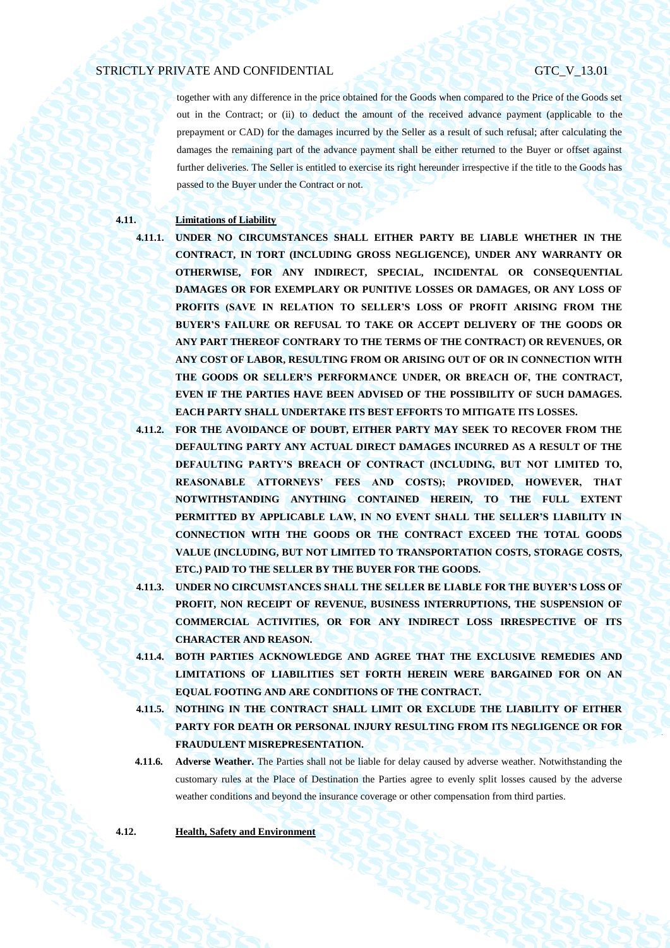together with any difference in the price obtained for the Goods when compared to the Price of the Goods set out in the Contract; or (ii) to deduct the amount of the received advance payment (applicable to the prepayment or CAD) for the damages incurred by the Seller as a result of such refusal; after calculating the damages the remaining part of the advance payment shall be either returned to the Buyer or offset against further deliveries. The Seller is entitled to exercise its right hereunder irrespective if the title to the Goods has passed to the Buyer under the Contract or not.

## **4.11. Limitations of Liability**

**4.11.1. UNDER NO CIRCUMSTANCES SHALL EITHER PARTY BE LIABLE WHETHER IN THE CONTRACT, IN TORT (INCLUDING GROSS NEGLIGENCE), UNDER ANY WARRANTY OR OTHERWISE, FOR ANY INDIRECT, SPECIAL, INCIDENTAL OR CONSEQUENTIAL DAMAGES OR FOR EXEMPLARY OR PUNITIVE LOSSES OR DAMAGES, OR ANY LOSS OF PROFITS (SAVE IN RELATION TO SELLER'S LOSS OF PROFIT ARISING FROM THE BUYER'S FAILURE OR REFUSAL TO TAKE OR ACCEPT DELIVERY OF THE GOODS OR ANY PART THEREOF CONTRARY TO THE TERMS OF THE CONTRACT) OR REVENUES, OR ANY COST OF LABOR, RESULTING FROM OR ARISING OUT OF OR IN CONNECTION WITH THE GOODS OR SELLER'S PERFORMANCE UNDER, OR BREACH OF, THE CONTRACT, EVEN IF THE PARTIES HAVE BEEN ADVISED OF THE POSSIBILITY OF SUCH DAMAGES. EACH PARTY SHALL UNDERTAKE ITS BEST EFFORTS TO MITIGATE ITS LOSSES.**

- **4.11.2. FOR THE AVOIDANCE OF DOUBT, EITHER PARTY MAY SEEK TO RECOVER FROM THE DEFAULTING PARTY ANY ACTUAL DIRECT DAMAGES INCURRED AS A RESULT OF THE DEFAULTING PARTY'S BREACH OF CONTRACT (INCLUDING, BUT NOT LIMITED TO, REASONABLE ATTORNEYS' FEES AND COSTS); PROVIDED, HOWEVER, THAT NOTWITHSTANDING ANYTHING CONTAINED HEREIN, TO THE FULL EXTENT**  PERMITTED BY APPLICABLE LAW, IN NO EVENT SHALL THE SELLER'S LIABILITY IN **CONNECTION WITH THE GOODS OR THE CONTRACT EXCEED THE TOTAL GOODS VALUE (INCLUDING, BUT NOT LIMITED TO TRANSPORTATION COSTS, STORAGE COSTS, ETC.) PAID TO THE SELLER BY THE BUYER FOR THE GOODS.**
- **4.11.3. UNDER NO CIRCUMSTANCES SHALL THE SELLER BE LIABLE FOR THE BUYER'S LOSS OF PROFIT, NON RECEIPT OF REVENUE, BUSINESS INTERRUPTIONS, THE SUSPENSION OF COMMERCIAL ACTIVITIES, OR FOR ANY INDIRECT LOSS IRRESPECTIVE OF ITS CHARACTER AND REASON.**
- **4.11.4. BOTH PARTIES ACKNOWLEDGE AND AGREE THAT THE EXCLUSIVE REMEDIES AND LIMITATIONS OF LIABILITIES SET FORTH HEREIN WERE BARGAINED FOR ON AN EQUAL FOOTING AND ARE CONDITIONS OF THE CONTRACT.**
- **4.11.5. NOTHING IN THE CONTRACT SHALL LIMIT OR EXCLUDE THE LIABILITY OF EITHER PARTY FOR DEATH OR PERSONAL INJURY RESULTING FROM ITS NEGLIGENCE OR FOR FRAUDULENT MISREPRESENTATION.**
- <span id="page-35-0"></span>**4.11.6. Adverse Weather.** The Parties shall not be liable for delay caused by adverse weather. Notwithstanding the customary rules at the Place of Destination the Parties agree to evenly split losses caused by the adverse weather conditions and beyond the insurance coverage or other compensation from third parties.

**4.12. Health, Safety and Environment**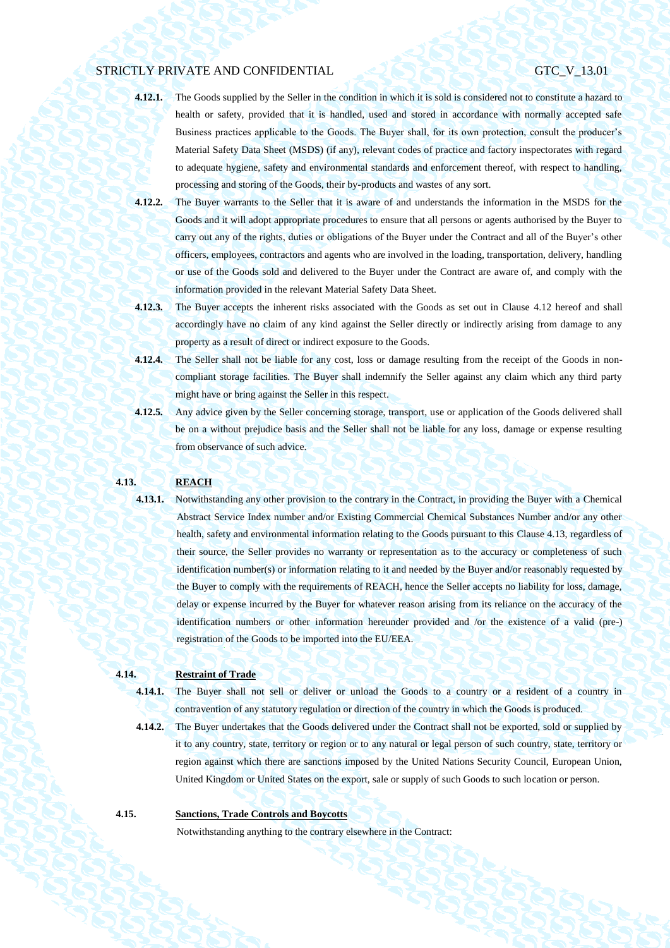- **4.12.1.** The Goods supplied by the Seller in the condition in which it is sold is considered not to constitute a hazard to health or safety, provided that it is handled, used and stored in accordance with normally accepted safe Business practices applicable to the Goods. The Buyer shall, for its own protection, consult the producer's Material Safety Data Sheet (MSDS) (if any), relevant codes of practice and factory inspectorates with regard to adequate hygiene, safety and environmental standards and enforcement thereof, with respect to handling, processing and storing of the Goods, their by-products and wastes of any sort.
- **4.12.2.** The Buyer warrants to the Seller that it is aware of and understands the information in the MSDS for the Goods and it will adopt appropriate procedures to ensure that all persons or agents authorised by the Buyer to carry out any of the rights, duties or obligations of the Buyer under the Contract and all of the Buyer's other officers, employees, contractors and agents who are involved in the loading, transportation, delivery, handling or use of the Goods sold and delivered to the Buyer under the Contract are aware of, and comply with the information provided in the relevant Material Safety Data Sheet.
- **4.12.3.** The Buyer accepts the inherent risks associated with the Goods as set out in Clause [4.12](#page-35-0) hereof and shall accordingly have no claim of any kind against the Seller directly or indirectly arising from damage to any property as a result of direct or indirect exposure to the Goods.
- **4.12.4.** The Seller shall not be liable for any cost, loss or damage resulting from the receipt of the Goods in noncompliant storage facilities. The Buyer shall indemnify the Seller against any claim which any third party might have or bring against the Seller in this respect.
- **4.12.5.** Any advice given by the Seller concerning storage, transport, use or application of the Goods delivered shall be on a without prejudice basis and the Seller shall not be liable for any loss, damage or expense resulting from observance of such advice.

### <span id="page-36-0"></span>**4.13. REACH**

**4.13.1.** Notwithstanding any other provision to the contrary in the Contract, in providing the Buyer with a Chemical Abstract Service Index number and/or Existing Commercial Chemical Substances Number and/or any other health, safety and environmental information relating to the Goods pursuant to this Clause [4.13,](#page-36-0) regardless of their source, the Seller provides no warranty or representation as to the accuracy or completeness of such identification number(s) or information relating to it and needed by the Buyer and/or reasonably requested by the Buyer to comply with the requirements of REACH, hence the Seller accepts no liability for loss, damage, delay or expense incurred by the Buyer for whatever reason arising from its reliance on the accuracy of the identification numbers or other information hereunder provided and /or the existence of a valid (pre-) registration of the Goods to be imported into the EU/EEA.

## **4.14. Restraint of Trade**

**4.14.1.** The Buyer shall not sell or deliver or unload the Goods to a country or a resident of a country in contravention of any statutory regulation or direction of the country in which the Goods is produced.

**4.14.2.** The Buyer undertakes that the Goods delivered under the Contract shall not be exported, sold or supplied by it to any country, state, territory or region or to any natural or legal person of such country, state, territory or region against which there are sanctions imposed by the United Nations Security Council, European Union, United Kingdom or United States on the export, sale or supply of such Goods to such location or person.

## **4.15. Sanctions, Trade Controls and Boycotts**

Notwithstanding anything to the contrary elsewhere in the Contract: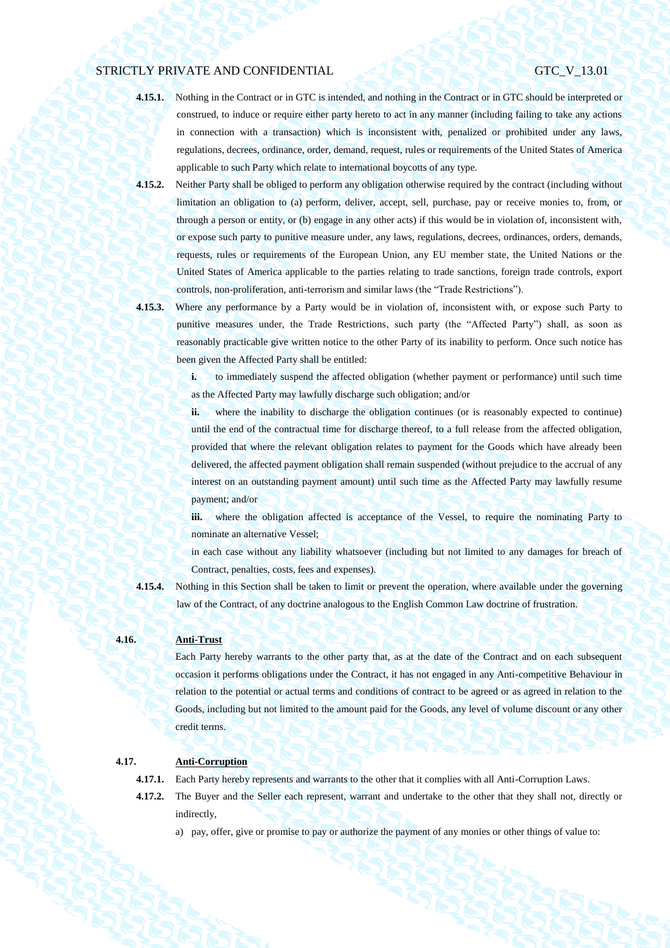- **4.15.1.** Nothing in the Contract or in GTC is intended, and nothing in the Contract or in GTC should be interpreted or construed, to induce or require either party hereto to act in any manner (including failing to take any actions in connection with a transaction) which is inconsistent with, penalized or prohibited under any laws, regulations, decrees, ordinance, order, demand, request, rules or requirements of the United States of America applicable to such Party which relate to international boycotts of any type.
- **4.15.2.** Neither Party shall be obliged to perform any obligation otherwise required by the contract (including without limitation an obligation to (a) perform, deliver, accept, sell, purchase, pay or receive monies to, from, or through a person or entity, or (b) engage in any other acts) if this would be in violation of, inconsistent with, or expose such party to punitive measure under, any laws, regulations, decrees, ordinances, orders, demands, requests, rules or requirements of the European Union, any EU member state, the United Nations or the United States of America applicable to the parties relating to trade sanctions, foreign trade controls, export controls, non-proliferation, anti-terrorism and similar laws (the "Trade Restrictions").
- 

**4.15.3.** Where any performance by a Party would be in violation of, inconsistent with, or expose such Party to punitive measures under, the Trade Restrictions, such party (the "Affected Party") shall, as soon as reasonably practicable give written notice to the other Party of its inability to perform. Once such notice has been given the Affected Party shall be entitled:

> **i.** to immediately suspend the affected obligation (whether payment or performance) until such time as the Affected Party may lawfully discharge such obligation; and/or

> **ii.** where the inability to discharge the obligation continues (or is reasonably expected to continue) until the end of the contractual time for discharge thereof, to a full release from the affected obligation, provided that where the relevant obligation relates to payment for the Goods which have already been delivered, the affected payment obligation shall remain suspended (without prejudice to the accrual of any interest on an outstanding payment amount) until such time as the Affected Party may lawfully resume payment; and/or

> **iii.** where the obligation affected is acceptance of the Vessel, to require the nominating Party to nominate an alternative Vessel;

> in each case without any liability whatsoever (including but not limited to any damages for breach of Contract, penalties, costs, fees and expenses).

**4.15.4.** Nothing in this Section shall be taken to limit or prevent the operation, where available under the governing law of the Contract, of any doctrine analogous to the English Common Law doctrine of frustration.

## **4.16. Anti-Trust**

Each Party hereby warrants to the other party that, as at the date of the Contract and on each subsequent occasion it performs obligations under the Contract, it has not engaged in any Anti-competitive Behaviour in relation to the potential or actual terms and conditions of contract to be agreed or as agreed in relation to the Goods, including but not limited to the amount paid for the Goods, any level of volume discount or any other credit terms.

## **4.17. Anti-Corruption**

**4.17.1.** Each Party hereby represents and warrants to the other that it complies with all Anti-Corruption Laws.

- **4.17.2.** The Buyer and the Seller each represent, warrant and undertake to the other that they shall not, directly or indirectly,
	- a) pay, offer, give or promise to pay or authorize the payment of any monies or other things of value to: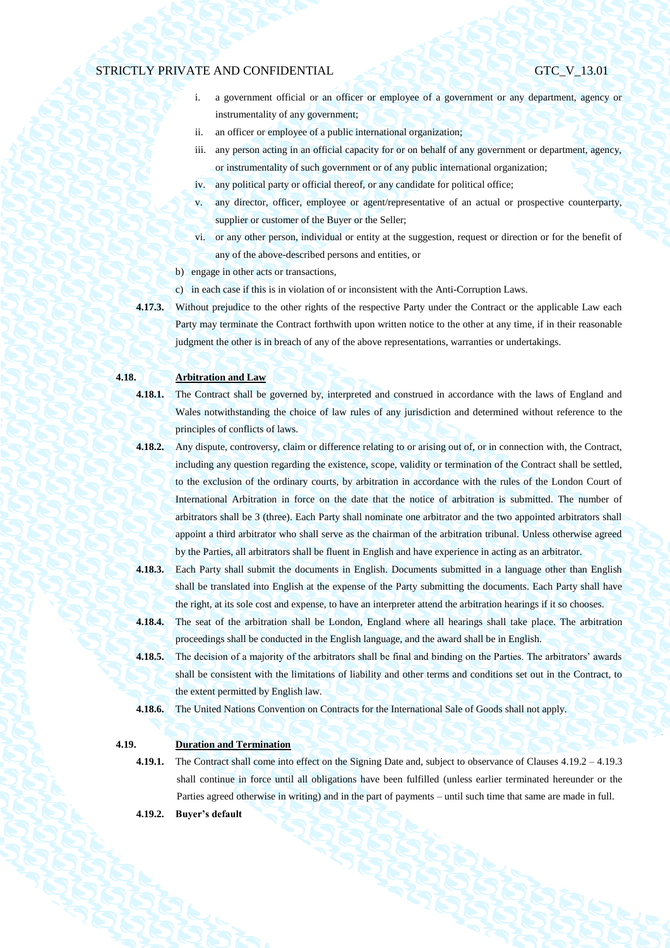- i. a government official or an officer or employee of a government or any department, agency or instrumentality of any government;
- ii. an officer or employee of a public international organization;
- iii. any person acting in an official capacity for or on behalf of any government or department, agency, or instrumentality of such government or of any public international organization;
- iv. any political party or official thereof, or any candidate for political office;
- v. any director, officer, employee or agent/representative of an actual or prospective counterparty, supplier or customer of the Buyer or the Seller;
- vi. or any other person, individual or entity at the suggestion, request or direction or for the benefit of any of the above-described persons and entities, or
- b) engage in other acts or transactions.
- c) in each case if this is in violation of or inconsistent with the Anti-Corruption Laws.
- **4.17.3.** Without prejudice to the other rights of the respective Party under the Contract or the applicable Law each Party may terminate the Contract forthwith upon written notice to the other at any time, if in their reasonable judgment the other is in breach of any of the above representations, warranties or undertakings.

## **4.18. Arbitration and Law**

**4.18.1.** The Contract shall be governed by, interpreted and construed in accordance with the laws of England and Wales notwithstanding the choice of law rules of any jurisdiction and determined without reference to the principles of conflicts of laws.

- **4.18.2.** Any dispute, controversy, claim or difference relating to or arising out of, or in connection with, the Contract, including any question regarding the existence, scope, validity or termination of the Contract shall be settled, to the exclusion of the ordinary courts, by arbitration in accordance with the rules of the London Court of International Arbitration in force on the date that the notice of arbitration is submitted. The number of arbitrators shall be 3 (three). Each Party shall nominate one arbitrator and the two appointed arbitrators shall appoint a third arbitrator who shall serve as the chairman of the arbitration tribunal. Unless otherwise agreed by the Parties, all arbitrators shall be fluent in English and have experience in acting as an arbitrator.
- **4.18.3.** Each Party shall submit the documents in English. Documents submitted in a language other than English shall be translated into English at the expense of the Party submitting the documents. Each Party shall have the right, at its sole cost and expense, to have an interpreter attend the arbitration hearings if it so chooses.
- **4.18.4.** The seat of the arbitration shall be London, England where all hearings shall take place. The arbitration proceedings shall be conducted in the English language, and the award shall be in English.
- **4.18.5.** The decision of a majority of the arbitrators shall be final and binding on the Parties. The arbitrators' awards shall be consistent with the limitations of liability and other terms and conditions set out in the Contract, to the extent permitted by English law.
- **4.18.6.** The United Nations Convention on Contracts for the International Sale of Goods shall not apply.

## **4.19. Duration and Termination**

- <span id="page-38-0"></span>**4.19.1.** The Contract shall come into effect on the Signing Date and, subject to observance of Clauses [4.19.2](#page-38-0) – [4.19.3](#page-39-0) shall continue in force until all obligations have been fulfilled (unless earlier terminated hereunder or the Parties agreed otherwise in writing) and in the part of payments – until such time that same are made in full.
	- **4.19.2. Buyer's default**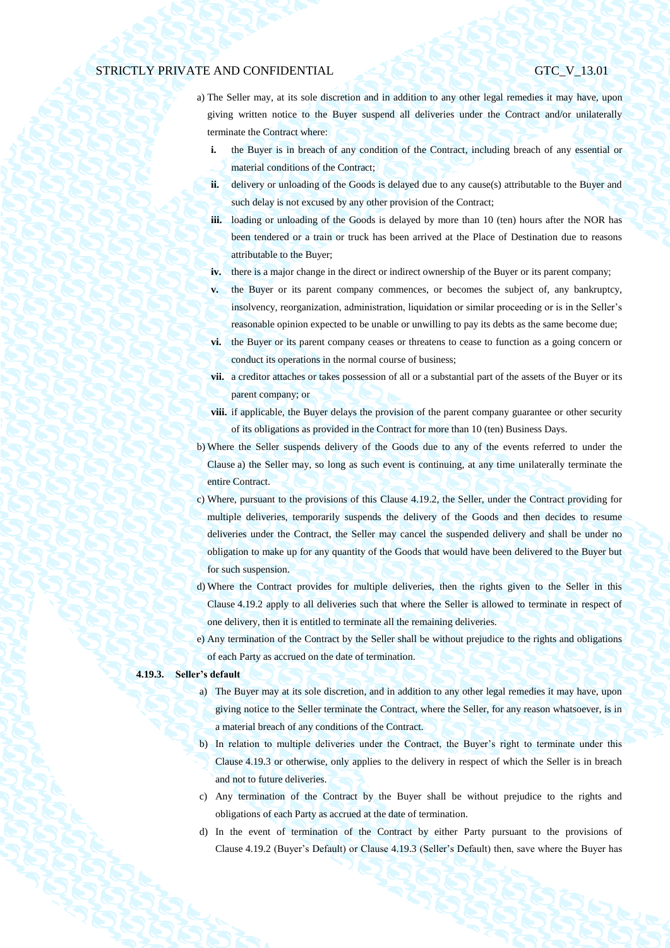- <span id="page-39-1"></span>a) The Seller may, at its sole discretion and in addition to any other legal remedies it may have, upon giving written notice to the Buyer suspend all deliveries under the Contract and/or unilaterally terminate the Contract where:
	- **i.** the Buyer is in breach of any condition of the Contract, including breach of any essential or material conditions of the Contract;
	- **ii.** delivery or unloading of the Goods is delayed due to any cause(s) attributable to the Buyer and such delay is not excused by any other provision of the Contract;
	- **iii.** loading or unloading of the Goods is delayed by more than 10 (ten) hours after the NOR has been tendered or a train or truck has been arrived at the Place of Destination due to reasons attributable to the Buyer;
	- **iv.** there is a major change in the direct or indirect ownership of the Buyer or its parent company;
	- **v.** the Buyer or its parent company commences, or becomes the subject of, any bankruptcy, insolvency, reorganization, administration, liquidation or similar proceeding or is in the Seller's reasonable opinion expected to be unable or unwilling to pay its debts as the same become due;
	- vi. the Buyer or its parent company ceases or threatens to cease to function as a going concern or conduct its operations in the normal course of business;
	- **vii.** a creditor attaches or takes possession of all or a substantial part of the assets of the Buyer or its parent company; or
	- viii. if applicable, the Buyer delays the provision of the parent company guarantee or other security of its obligations as provided in the Contract for more than 10 (ten) Business Days.
- b) Where the Seller suspends delivery of the Goods due to any of the events referred to under the Clause [a\)](#page-39-1) the Seller may, so long as such event is continuing, at any time unilaterally terminate the entire Contract.
- c) Where, pursuant to the provisions of this Clause [4.19.2,](#page-38-0) the Seller, under the Contract providing for multiple deliveries, temporarily suspends the delivery of the Goods and then decides to resume deliveries under the Contract, the Seller may cancel the suspended delivery and shall be under no obligation to make up for any quantity of the Goods that would have been delivered to the Buyer but for such suspension.
- d) Where the Contract provides for multiple deliveries, then the rights given to the Seller in this Clause [4.19.2](#page-38-0) apply to all deliveries such that where the Seller is allowed to terminate in respect of one delivery, then it is entitled to terminate all the remaining deliveries.
- e) Any termination of the Contract by the Seller shall be without prejudice to the rights and obligations of each Party as accrued on the date of termination.

#### <span id="page-39-0"></span>**4.19.3. Seller's default**

- a) The Buyer may at its sole discretion, and in addition to any other legal remedies it may have, upon giving notice to the Seller terminate the Contract, where the Seller, for any reason whatsoever, is in a material breach of any conditions of the Contract.
- b) In relation to multiple deliveries under the Contract, the Buyer's right to terminate under this Clause [4.19.3](#page-39-0) or otherwise, only applies to the delivery in respect of which the Seller is in breach and not to future deliveries.
- c) Any termination of the Contract by the Buyer shall be without prejudice to the rights and obligations of each Party as accrued at the date of termination.
- d) In the event of termination of the Contract by either Party pursuant to the provisions of Clause [4.19.2](#page-38-0) (Buyer's Default) or Claus[e 4.19.3](#page-39-0) (Seller's Default) then, save where the Buyer has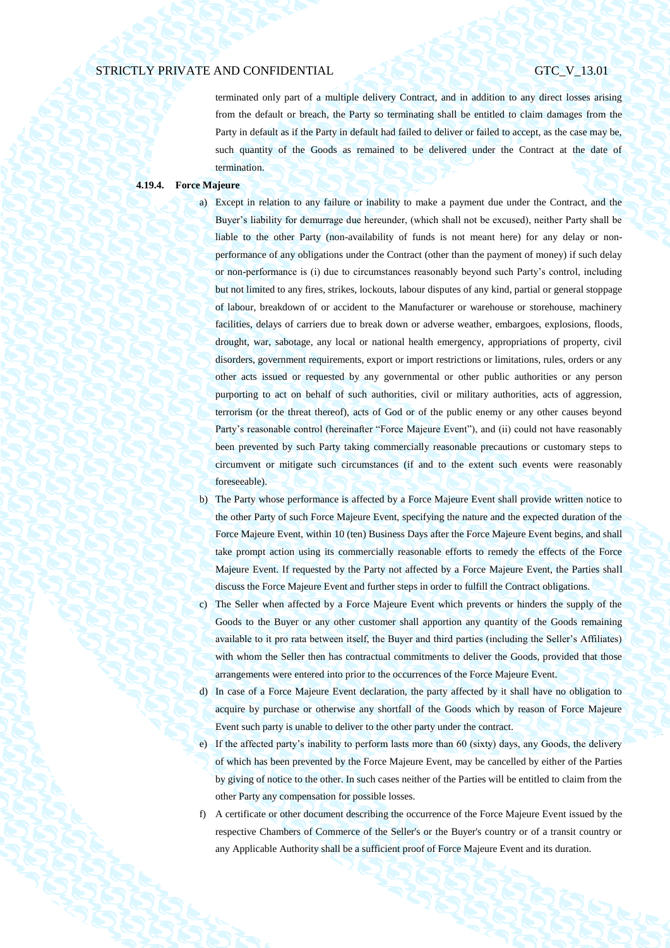terminated only part of a multiple delivery Contract, and in addition to any direct losses arising from the default or breach, the Party so terminating shall be entitled to claim damages from the Party in default as if the Party in default had failed to deliver or failed to accept, as the case may be, such quantity of the Goods as remained to be delivered under the Contract at the date of termination.

#### <span id="page-40-0"></span>**4.19.4. Force Majeure**

a) Except in relation to any failure or inability to make a payment due under the Contract, and the Buyer's liability for demurrage due hereunder, (which shall not be excused), neither Party shall be liable to the other Party (non-availability of funds is not meant here) for any delay or nonperformance of any obligations under the Contract (other than the payment of money) if such delay or non-performance is (i) due to circumstances reasonably beyond such Party's control, including but not limited to any fires, strikes, lockouts, labour disputes of any kind, partial or general stoppage of labour, breakdown of or accident to the Manufacturer or warehouse or storehouse, machinery facilities, delays of carriers due to break down or adverse weather, embargoes, explosions, floods, drought, war, sabotage, any local or national health emergency, appropriations of property, civil disorders, government requirements, export or import restrictions or limitations, rules, orders or any other acts issued or requested by any governmental or other public authorities or any person purporting to act on behalf of such authorities, civil or military authorities, acts of aggression, terrorism (or the threat thereof), acts of God or of the public enemy or any other causes beyond Party's reasonable control (hereinafter "Force Majeure Event"), and (ii) could not have reasonably been prevented by such Party taking commercially reasonable precautions or customary steps to circumvent or mitigate such circumstances (if and to the extent such events were reasonably foreseeable).

- b) The Party whose performance is affected by a Force Majeure Event shall provide written notice to the other Party of such Force Majeure Event, specifying the nature and the expected duration of the Force Majeure Event, within 10 (ten) Business Days after the Force Majeure Event begins, and shall take prompt action using its commercially reasonable efforts to remedy the effects of the Force Majeure Event. If requested by the Party not affected by a Force Majeure Event, the Parties shall discuss the Force Majeure Event and further steps in order to fulfill the Contract obligations.
- c) The Seller when affected by a Force Majeure Event which prevents or hinders the supply of the Goods to the Buyer or any other customer shall apportion any quantity of the Goods remaining available to it pro rata between itself, the Buyer and third parties (including the Seller's Affiliates) with whom the Seller then has contractual commitments to deliver the Goods, provided that those arrangements were entered into prior to the occurrences of the Force Majeure Event.
- d) In case of a Force Majeure Event declaration, the party affected by it shall have no obligation to acquire by purchase or otherwise any shortfall of the Goods which by reason of Force Majeure Event such party is unable to deliver to the other party under the contract.
- e) If the affected party's inability to perform lasts more than 60 (sixty) days, any Goods, the delivery of which has been prevented by the Force Majeure Event, may be cancelled by either of the Parties by giving of notice to the other. In such cases neither of the Parties will be entitled to claim from the other Party any compensation for possible losses.
- f) A certificate or other document describing the occurrence of the Force Majeure Event issued by the respective Chambers of Commerce of the Seller's or the Buyer's country or of a transit country or any Applicable Authority shall be a sufficient proof of Force Majeure Event and its duration.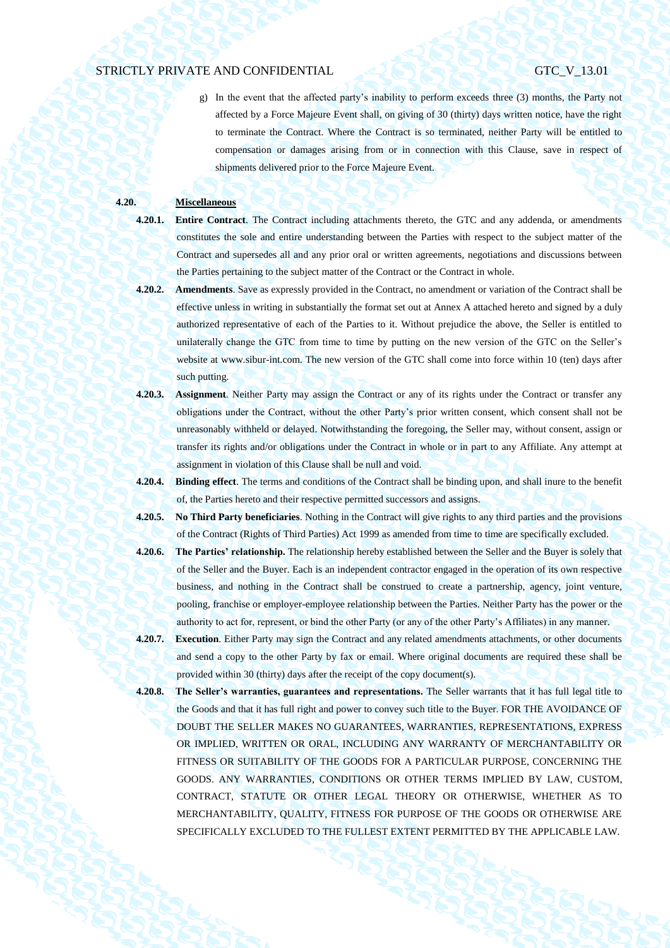g) In the event that the affected party's inability to perform exceeds three (3) months, the Party not affected by a Force Majeure Event shall, on giving of 30 (thirty) days written notice, have the right to terminate the Contract. Where the Contract is so terminated, neither Party will be entitled to compensation or damages arising from or in connection with this Clause, save in respect of shipments delivered prior to the Force Majeure Event.

## **4.20. Miscellaneous**

- **4.20.1. Entire Contract**. The Contract including attachments thereto, the GTC and any addenda, or amendments constitutes the sole and entire understanding between the Parties with respect to the subject matter of the Contract and supersedes all and any prior oral or written agreements, negotiations and discussions between the Parties pertaining to the subject matter of the Contract or the Contract in whole.
- 
- **4.20.2. Amendments**. Save as expressly provided in the Contract, no amendment or variation of the Contract shall be effective unless in writing in substantially the format set out at Annex A attached hereto and signed by a duly authorized representative of each of the Parties to it. Without prejudice the above, the Seller is entitled to unilaterally change the GTC from time to time by putting on the new version of the GTC on the Seller's website at www.sibur-int.com. The new version of the GTC shall come into force within 10 (ten) days after such putting.
- **4.20.3. Assignment**. Neither Party may assign the Contract or any of its rights under the Contract or transfer any obligations under the Contract, without the other Party's prior written consent, which consent shall not be unreasonably withheld or delayed. Notwithstanding the foregoing, the Seller may, without consent, assign or transfer its rights and/or obligations under the Contract in whole or in part to any Affiliate. Any attempt at assignment in violation of this Clause shall be null and void.
- **4.20.4. Binding effect**. The terms and conditions of the Contract shall be binding upon, and shall inure to the benefit of, the Parties hereto and their respective permitted successors and assigns.
- **4.20.5. No Third Party beneficiaries**. Nothing in the Contract will give rights to any third parties and the provisions of the Contract (Rights of Third Parties) Act 1999 as amended from time to time are specifically excluded.
- **4.20.6. The Parties' relationship.** The relationship hereby established between the Seller and the Buyer is solely that of the Seller and the Buyer. Each is an independent contractor engaged in the operation of its own respective business, and nothing in the Contract shall be construed to create a partnership, agency, joint venture, pooling, franchise or employer-employee relationship between the Parties. Neither Party has the power or the authority to act for, represent, or bind the other Party (or any of the other Party's Affiliates) in any manner.
- **4.20.7. Execution**. Either Party may sign the Contract and any related amendments attachments, or other documents and send a copy to the other Party by fax or email. Where original documents are required these shall be provided within 30 (thirty) days after the receipt of the copy document(s).
- **4.20.8. The Seller's warranties, guarantees and representations.** The Seller warrants that it has full legal title to the Goods and that it has full right and power to convey such title to the Buyer. FOR THE AVOIDANCE OF DOUBT THE SELLER MAKES NO GUARANTEES, WARRANTIES, REPRESENTATIONS, EXPRESS OR IMPLIED, WRITTEN OR ORAL, INCLUDING ANY WARRANTY OF MERCHANTABILITY OR FITNESS OR SUITABILITY OF THE GOODS FOR A PARTICULAR PURPOSE, CONCERNING THE GOODS. ANY WARRANTIES, CONDITIONS OR OTHER TERMS IMPLIED BY LAW, CUSTOM, CONTRACT, STATUTE OR OTHER LEGAL THEORY OR OTHERWISE, WHETHER AS TO MERCHANTABILITY, QUALITY, FITNESS FOR PURPOSE OF THE GOODS OR OTHERWISE ARE SPECIFICALLY EXCLUDED TO THE FULLEST EXTENT PERMITTED BY THE APPLICABLE LAW.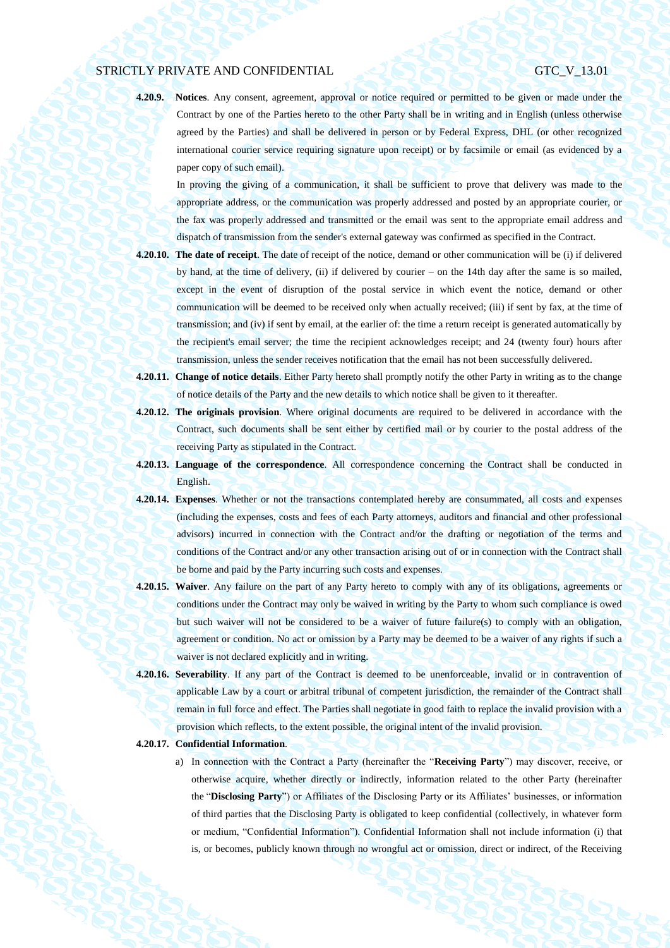**4.20.9. Notices**. Any consent, agreement, approval or notice required or permitted to be given or made under the Contract by one of the Parties hereto to the other Party shall be in writing and in English (unless otherwise agreed by the Parties) and shall be delivered in person or by Federal Express, DHL (or other recognized international courier service requiring signature upon receipt) or by facsimile or email (as evidenced by a paper copy of such email).

In proving the giving of a communication, it shall be sufficient to prove that delivery was made to the appropriate address, or the communication was properly addressed and posted by an appropriate courier, or the fax was properly addressed and transmitted or the email was sent to the appropriate email address and dispatch of transmission from the sender's external gateway was confirmed as specified in the Contract.

- **4.20.10. The date of receipt**. The date of receipt of the notice, demand or other communication will be (i) if delivered by hand, at the time of delivery, (ii) if delivered by courier – on the 14th day after the same is so mailed, except in the event of disruption of the postal service in which event the notice, demand or other communication will be deemed to be received only when actually received; (iii) if sent by fax, at the time of transmission; and (iv) if sent by email, at the earlier of: the time a return receipt is generated automatically by the recipient's email server; the time the recipient acknowledges receipt; and 24 (twenty four) hours after transmission, unless the sender receives notification that the email has not been successfully delivered.
- **4.20.11. Change of notice details**. Either Party hereto shall promptly notify the other Party in writing as to the change of notice details of the Party and the new details to which notice shall be given to it thereafter.
- **4.20.12. The originals provision**. Where original documents are required to be delivered in accordance with the Contract, such documents shall be sent either by certified mail or by courier to the postal address of the receiving Party as stipulated in the Contract.
- **4.20.13. Language of the correspondence**. All correspondence concerning the Contract shall be conducted in English.
- **4.20.14. Expenses**. Whether or not the transactions contemplated hereby are consummated, all costs and expenses (including the expenses, costs and fees of each Party attorneys, auditors and financial and other professional advisors) incurred in connection with the Contract and/or the drafting or negotiation of the terms and conditions of the Contract and/or any other transaction arising out of or in connection with the Contract shall be borne and paid by the Party incurring such costs and expenses.
- **4.20.15. Waiver**. Any failure on the part of any Party hereto to comply with any of its obligations, agreements or conditions under the Contract may only be waived in writing by the Party to whom such compliance is owed but such waiver will not be considered to be a waiver of future failure(s) to comply with an obligation, agreement or condition. No act or omission by a Party may be deemed to be a waiver of any rights if such a waiver is not declared explicitly and in writing.
- **4.20.16. Severability**. If any part of the Contract is deemed to be unenforceable, invalid or in contravention of applicable Law by a court or arbitral tribunal of competent jurisdiction, the remainder of the Contract shall remain in full force and effect. The Parties shall negotiate in good faith to replace the invalid provision with a provision which reflects, to the extent possible, the original intent of the invalid provision.

### **4.20.17. Confidential Information**.

a) In connection with the Contract a Party (hereinafter the "**Receiving Party**") may discover, receive, or otherwise acquire, whether directly or indirectly, information related to the other Party (hereinafter the "**Disclosing Party**") or Affiliates of the Disclosing Party or its Affiliates' businesses, or information of third parties that the Disclosing Party is obligated to keep confidential (collectively, in whatever form or medium, "Confidential Information"). Confidential Information shall not include information (i) that is, or becomes, publicly known through no wrongful act or omission, direct or indirect, of the Receiving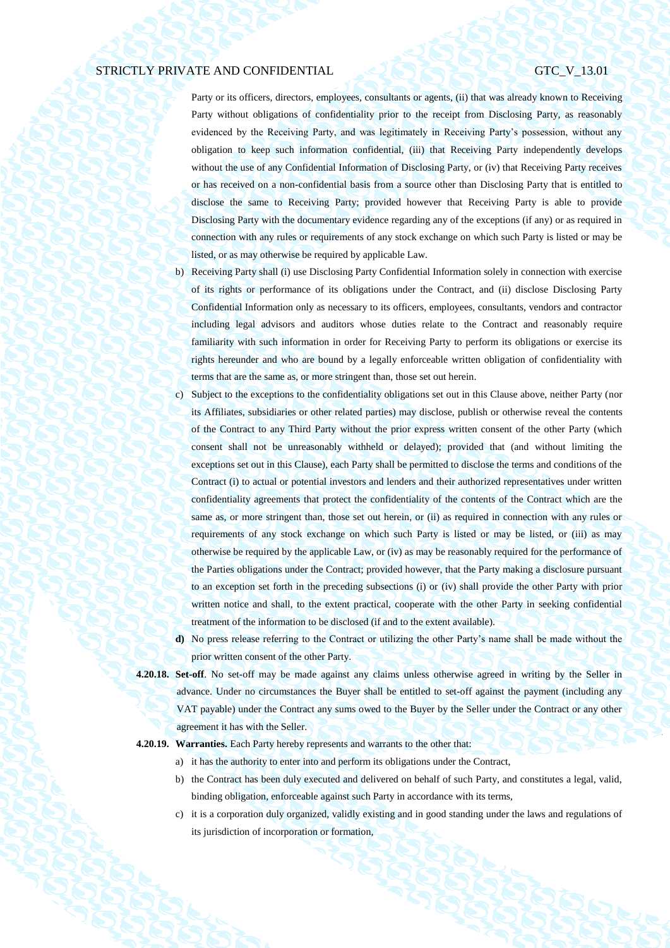Party or its officers, directors, employees, consultants or agents, (ii) that was already known to Receiving Party without obligations of confidentiality prior to the receipt from Disclosing Party, as reasonably evidenced by the Receiving Party, and was legitimately in Receiving Party's possession, without any obligation to keep such information confidential, (iii) that Receiving Party independently develops without the use of any Confidential Information of Disclosing Party, or (iv) that Receiving Party receives or has received on a non-confidential basis from a source other than Disclosing Party that is entitled to disclose the same to Receiving Party; provided however that Receiving Party is able to provide Disclosing Party with the documentary evidence regarding any of the exceptions (if any) or as required in connection with any rules or requirements of any stock exchange on which such Party is listed or may be listed, or as may otherwise be required by applicable Law.

- b) Receiving Party shall (i) use Disclosing Party Confidential Information solely in connection with exercise of its rights or performance of its obligations under the Contract, and (ii) disclose Disclosing Party Confidential Information only as necessary to its officers, employees, consultants, vendors and contractor including legal advisors and auditors whose duties relate to the Contract and reasonably require familiarity with such information in order for Receiving Party to perform its obligations or exercise its rights hereunder and who are bound by a legally enforceable written obligation of confidentiality with terms that are the same as, or more stringent than, those set out herein.
- c) Subject to the exceptions to the confidentiality obligations set out in this Clause above, neither Party (nor its Affiliates, subsidiaries or other related parties) may disclose, publish or otherwise reveal the contents of the Contract to any Third Party without the prior express written consent of the other Party (which consent shall not be unreasonably withheld or delayed); provided that (and without limiting the exceptions set out in this Clause), each Party shall be permitted to disclose the terms and conditions of the Contract (i) to actual or potential investors and lenders and their authorized representatives under written confidentiality agreements that protect the confidentiality of the contents of the Contract which are the same as, or more stringent than, those set out herein, or (ii) as required in connection with any rules or requirements of any stock exchange on which such Party is listed or may be listed, or (iii) as may otherwise be required by the applicable Law, or (iv) as may be reasonably required for the performance of the Parties obligations under the Contract; provided however, that the Party making a disclosure pursuant to an exception set forth in the preceding subsections (i) or (iv) shall provide the other Party with prior written notice and shall, to the extent practical, cooperate with the other Party in seeking confidential treatment of the information to be disclosed (if and to the extent available).
- **d)** No press release referring to the Contract or utilizing the other Party's name shall be made without the prior written consent of the other Party.
- **4.20.18. Set-off**. No set-off may be made against any claims unless otherwise agreed in writing by the Seller in advance. Under no circumstances the Buyer shall be entitled to set-off against the payment (including any VAT payable) under the Contract any sums owed to the Buyer by the Seller under the Contract or any other agreement it has with the Seller.

## **4.20.19. Warranties.** Each Party hereby represents and warrants to the other that:

- a) it has the authority to enter into and perform its obligations under the Contract,
- b) the Contract has been duly executed and delivered on behalf of such Party, and constitutes a legal, valid, binding obligation, enforceable against such Party in accordance with its terms,
- c) it is a corporation duly organized, validly existing and in good standing under the laws and regulations of its jurisdiction of incorporation or formation,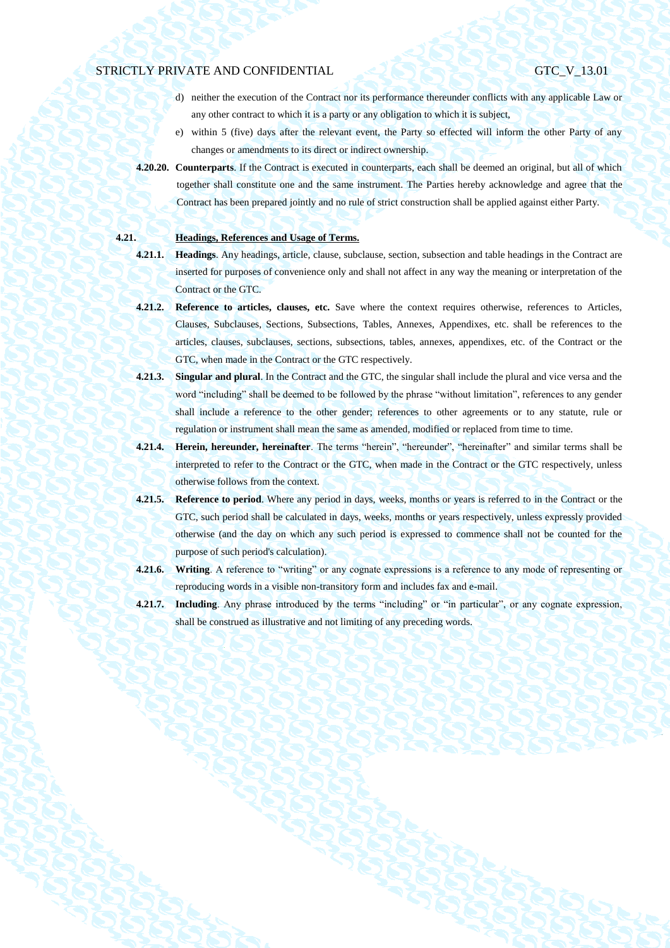- d) neither the execution of the Contract nor its performance thereunder conflicts with any applicable Law or any other contract to which it is a party or any obligation to which it is subject,
- e) within 5 (five) days after the relevant event, the Party so effected will inform the other Party of any changes or amendments to its direct or indirect ownership.
- **4.20.20. Counterparts**. If the Contract is executed in counterparts, each shall be deemed an original, but all of which together shall constitute one and the same instrument. The Parties hereby acknowledge and agree that the Contract has been prepared jointly and no rule of strict construction shall be applied against either Party.

## **4.21. Headings, References and Usage of Terms.**

- **4.21.1. Headings**. Any headings, article, clause, subclause, section, subsection and table headings in the Contract are inserted for purposes of convenience only and shall not affect in any way the meaning or interpretation of the Contract or the GTC.
- **4.21.2. Reference to articles, clauses, etc.** Save where the context requires otherwise, references to Articles, Clauses, Subclauses, Sections, Subsections, Tables, Annexes, Appendixes, etc. shall be references to the articles, clauses, subclauses, sections, subsections, tables, annexes, appendixes, etc. of the Contract or the GTC, when made in the Contract or the GTC respectively.
- **4.21.3. Singular and plural**. In the Contract and the GTC, the singular shall include the plural and vice versa and the word "including" shall be deemed to be followed by the phrase "without limitation", references to any gender shall include a reference to the other gender; references to other agreements or to any statute, rule or regulation or instrument shall mean the same as amended, modified or replaced from time to time.
- **4.21.4. Herein, hereunder, hereinafter**. The terms "herein", "hereunder", "hereinafter" and similar terms shall be interpreted to refer to the Contract or the GTC, when made in the Contract or the GTC respectively, unless otherwise follows from the context.
- **4.21.5. Reference to period**. Where any period in days, weeks, months or years is referred to in the Contract or the GTC, such period shall be calculated in days, weeks, months or years respectively, unless expressly provided otherwise (and the day on which any such period is expressed to commence shall not be counted for the purpose of such period's calculation).
- **4.21.6. Writing**. A reference to "writing" or any cognate expressions is a reference to any mode of representing or reproducing words in a visible non-transitory form and includes fax and e-mail.
- **4.21.7. Including**. Any phrase introduced by the terms "including" or "in particular", or any cognate expression, shall be construed as illustrative and not limiting of any preceding words.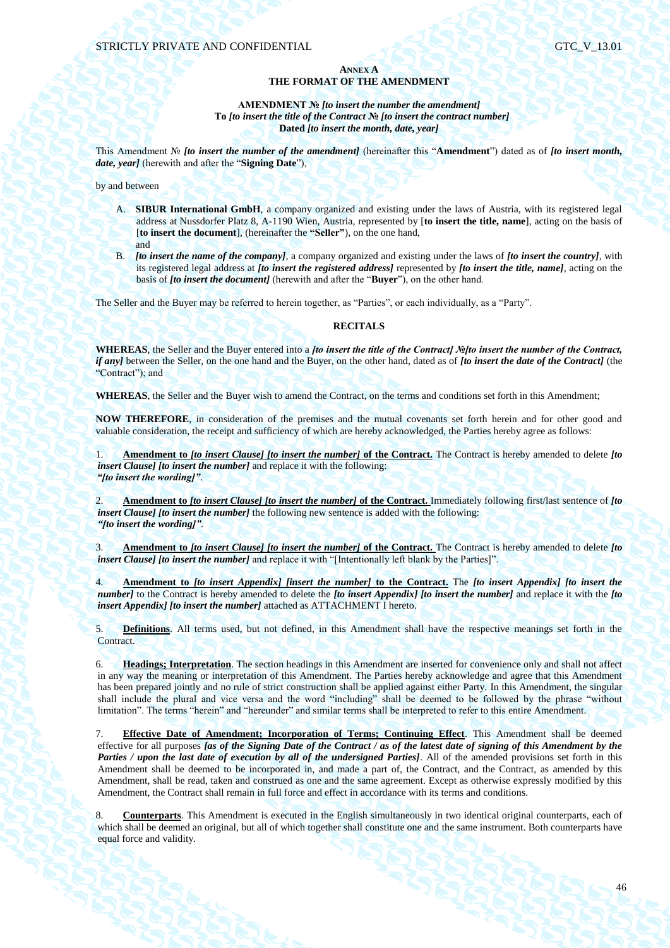## **ANNEX A THE FORMAT OF THE AMENDMENT**

## **AMENDMENT №** *[to insert the number the amendment]* **To** *[to insert the title of the Contract* **№** *[to insert the contract number]* **Dated** *[to insert the month, date, year]*

This Amendment № *[to insert the number of the amendment]* (hereinafter this "**Amendment**") dated as of *[to insert month, date, year]* (herewith and after the "**Signing Date**"),

by and between

- A. **SIBUR International GmbH**, a company organized and existing under the laws of Austria, with its registered legal address at Nussdorfer Platz 8, A-1190 Wien, Austria, represented by [**to insert the title, name**], acting on the basis of [**to insert the document**], (hereinafter the **"Seller"**), on the one hand, and
- B. *[to insert the name of the company]*, a company organized and existing under the laws of *[to insert the country]*, with its registered legal address at *[to insert the registered address]* represented by *[to insert the title, name]*, acting on the basis of *[to insert the document]* (herewith and after the "**Buyer**"), on the other hand.

The Seller and the Buyer may be referred to herein together, as "Parties", or each individually, as a "Party".

## **RECITALS**

**WHEREAS**, the Seller and the Buyer entered into a *[to insert the title of the Contract] №[to insert the number of the Contract, if any]* between the Seller, on the one hand and the Buyer, on the other hand, dated as of *[to insert the date of the Contract]* (the "Contract"); and

**WHEREAS**, the Seller and the Buyer wish to amend the Contract, on the terms and conditions set forth in this Amendment;

**NOW THEREFORE**, in consideration of the premises and the mutual covenants set forth herein and for other good and valuable consideration, the receipt and sufficiency of which are hereby acknowledged, the Parties hereby agree as follows:

1. **Amendment to** *[to insert Clause] [to insert the number]* **of the Contract.** The Contract is hereby amended to delete *[to insert Clause] [to insert the number]* and replace it with the following: *"[to insert the wording]"*.

2. **Amendment to** *[to insert Clause] [to insert the number]* **of the Contract.** Immediately following first/last sentence of *[to insert Clause] [to insert the number]* the following new sentence is added with the following: *"[to insert the wording]"*.

3. **Amendment to** *[to insert Clause] [to insert the number]* **of the Contract.** The Contract is hereby amended to delete *[to insert Clause] [to insert the number]* and replace it with "[Intentionally left blank by the Parties]".

4. **Amendment to** *[to insert Appendix] [insert the number]* **to the Contract.** The *[to insert Appendix] [to insert the number]* to the Contract is hereby amended to delete the *[to insert Appendix] [to insert the number]* and replace it with the *[to insert Appendix] [to insert the number]* attached as ATTACHMENT I hereto.

5. **Definitions**. All terms used, but not defined, in this Amendment shall have the respective meanings set forth in the Contract.

6. **Headings; Interpretation**. The section headings in this Amendment are inserted for convenience only and shall not affect in any way the meaning or interpretation of this Amendment. The Parties hereby acknowledge and agree that this Amendment has been prepared jointly and no rule of strict construction shall be applied against either Party. In this Amendment, the singular shall include the plural and vice versa and the word "including" shall be deemed to be followed by the phrase "without limitation". The terms "herein" and "hereunder" and similar terms shall be interpreted to refer to this entire Amendment.

7. **Effective Date of Amendment; Incorporation of Terms; Continuing Effect**. This Amendment shall be deemed effective for all purposes *[as of the Signing Date of the Contract / as of the latest date of signing of this Amendment by the Parties / upon the last date of execution by all of the undersigned Parties]*. All of the amended provisions set forth in this Amendment shall be deemed to be incorporated in, and made a part of, the Contract, and the Contract, as amended by this Amendment, shall be read, taken and construed as one and the same agreement. Except as otherwise expressly modified by this Amendment, the Contract shall remain in full force and effect in accordance with its terms and conditions.

8. **Counterparts**. This Amendment is executed in the English simultaneously in two identical original counterparts, each of which shall be deemed an original, but all of which together shall constitute one and the same instrument. Both counterparts have equal force and validity.